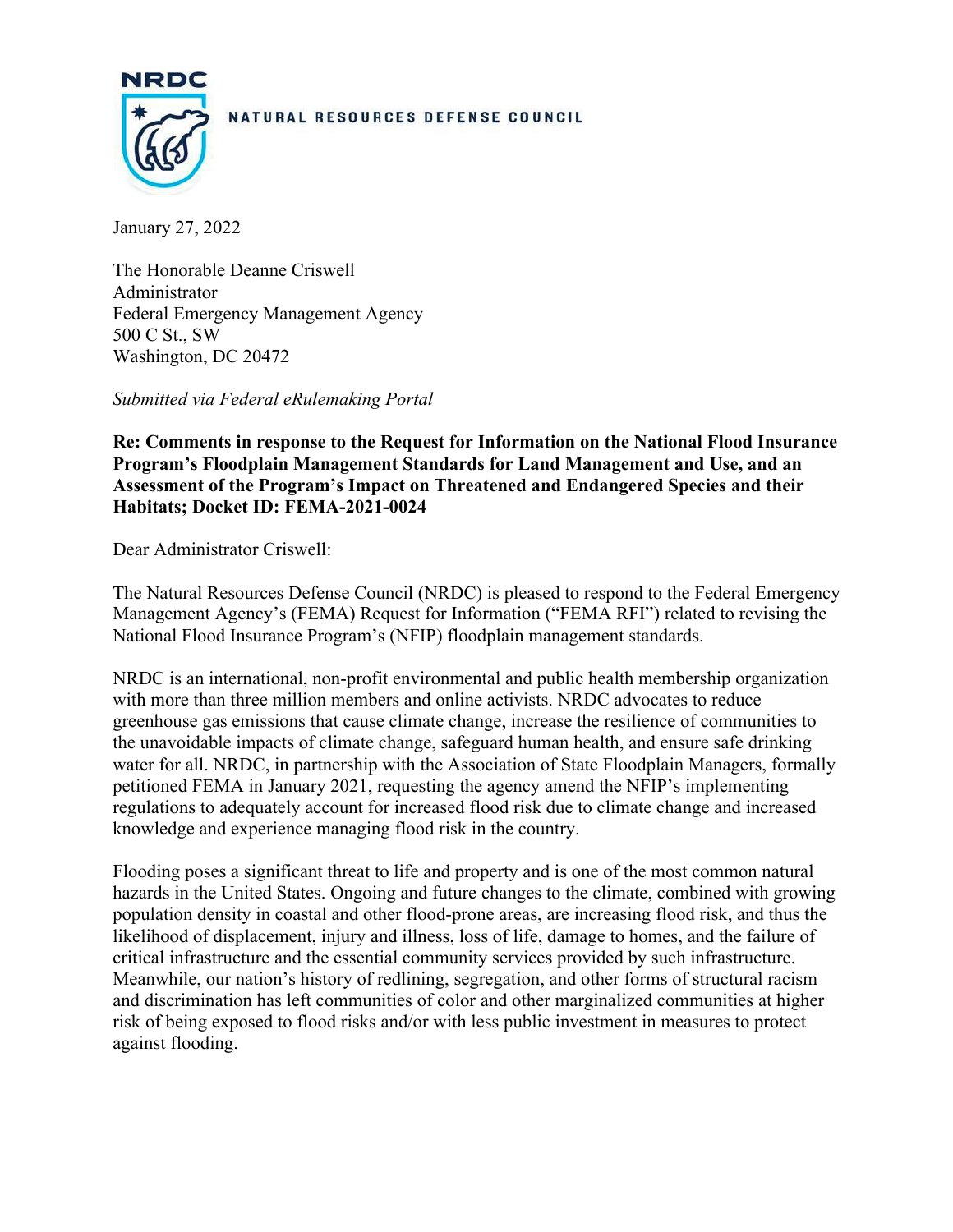

#### NATURAL RESOURCES DEFENSE COUNCIL

January 27, 2022

The Honorable Deanne Criswell Administrator Federal Emergency Management Agency 500 C St., SW Washington, DC 20472

*Submitted via Federal eRulemaking Portal*

**Re: Comments in response to the Request for Information on the National Flood Insurance Program's Floodplain Management Standards for Land Management and Use, and an Assessment of the Program's Impact on Threatened and Endangered Species and their Habitats; Docket ID: FEMA-2021-0024**

Dear Administrator Criswell:

The Natural Resources Defense Council (NRDC) is pleased to respond to the Federal Emergency Management Agency's (FEMA) Request for Information ("FEMA RFI") related to revising the National Flood Insurance Program's (NFIP) floodplain management standards.

NRDC is an international, non-profit environmental and public health membership organization with more than three million members and online activists. NRDC advocates to reduce greenhouse gas emissions that cause climate change, increase the resilience of communities to the unavoidable impacts of climate change, safeguard human health, and ensure safe drinking water for all. NRDC, in partnership with the Association of State Floodplain Managers, formally petitioned FEMA in January 2021, requesting the agency amend the NFIP's implementing regulations to adequately account for increased flood risk due to climate change and increased knowledge and experience managing flood risk in the country.

Flooding poses a significant threat to life and property and is one of the most common natural hazards in the United States. Ongoing and future changes to the climate, combined with growing population density in coastal and other flood-prone areas, are increasing flood risk, and thus the likelihood of displacement, injury and illness, loss of life, damage to homes, and the failure of critical infrastructure and the essential community services provided by such infrastructure. Meanwhile, our nation's history of redlining, segregation, and other forms of structural racism and discrimination has left communities of color and other marginalized communities at higher risk of being exposed to flood risks and/or with less public investment in measures to protect against flooding.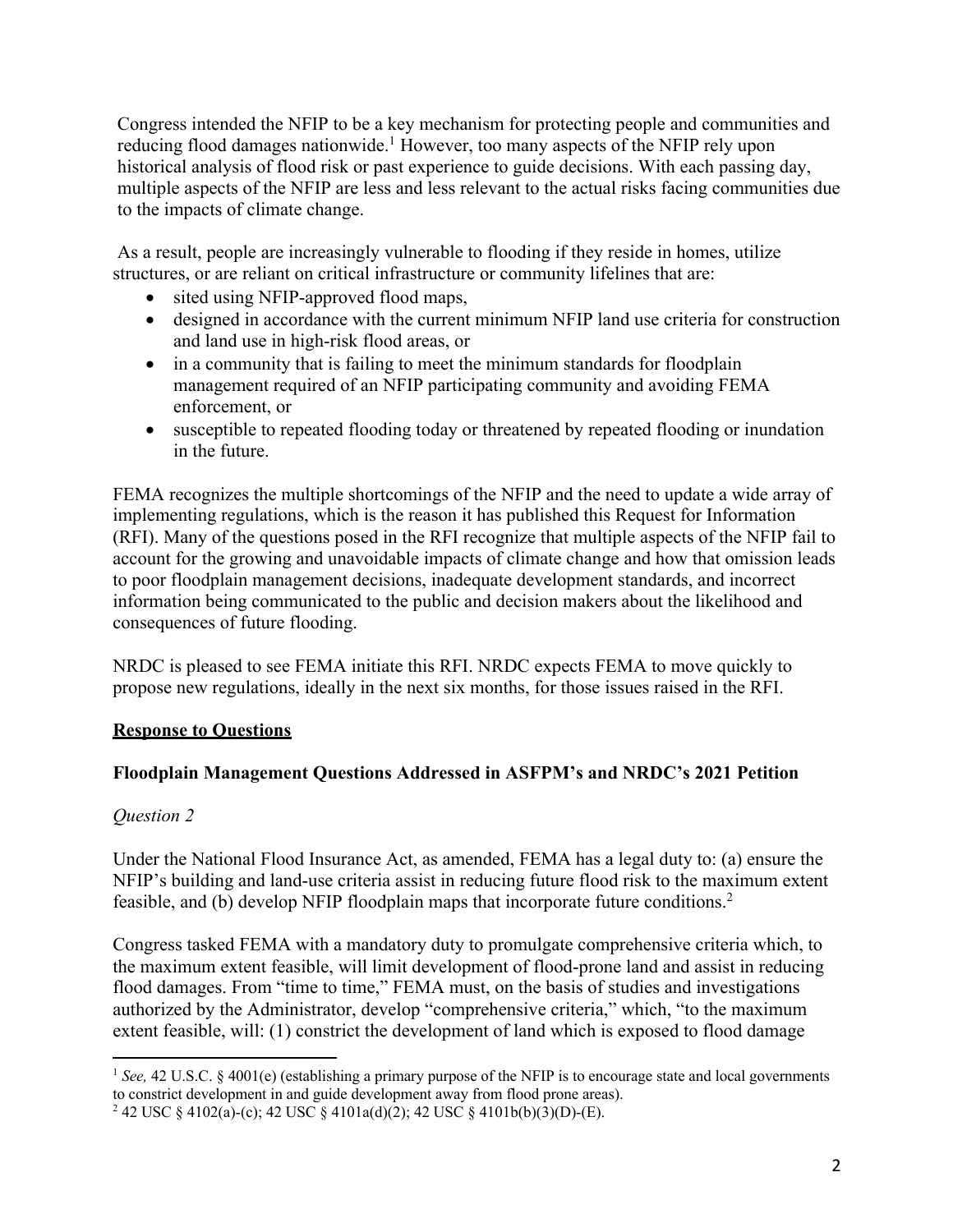Congress intended the NFIP to be a key mechanism for protecting people and communities and reducing flood damages nationwide.<sup>1</sup> However, too many aspects of the NFIP rely upon historical analysis of flood risk or past experience to guide decisions. With each passing day, multiple aspects of the NFIP are less and less relevant to the actual risks facing communities due to the impacts of climate change.

As a result, people are increasingly vulnerable to flooding if they reside in homes, utilize structures, or are reliant on critical infrastructure or community lifelines that are:

- sited using NFIP-approved flood maps,
- designed in accordance with the current minimum NFIP land use criteria for construction and land use in high-risk flood areas, or
- in a community that is failing to meet the minimum standards for floodplain management required of an NFIP participating community and avoiding FEMA enforcement, or
- susceptible to repeated flooding today or threatened by repeated flooding or inundation in the future.

FEMA recognizes the multiple shortcomings of the NFIP and the need to update a wide array of implementing regulations, which is the reason it has published this Request for Information (RFI). Many of the questions posed in the RFI recognize that multiple aspects of the NFIP fail to account for the growing and unavoidable impacts of climate change and how that omission leads to poor floodplain management decisions, inadequate development standards, and incorrect information being communicated to the public and decision makers about the likelihood and consequences of future flooding.

NRDC is pleased to see FEMA initiate this RFI. NRDC expects FEMA to move quickly to propose new regulations, ideally in the next six months, for those issues raised in the RFI.

#### **Response to Questions**

#### **Floodplain Management Questions Addressed in ASFPM's and NRDC's 2021 Petition**

# *Question 2*

Under the National Flood Insurance Act, as amended, FEMA has a legal duty to: (a) ensure the NFIP's building and land-use criteria assist in reducing future flood risk to the maximum extent feasible, and (b) develop NFIP floodplain maps that incorporate future conditions.2

Congress tasked FEMA with a mandatory duty to promulgate comprehensive criteria which, to the maximum extent feasible, will limit development of flood-prone land and assist in reducing flood damages. From "time to time," FEMA must, on the basis of studies and investigations authorized by the Administrator, develop "comprehensive criteria," which, "to the maximum extent feasible, will: (1) constrict the development of land which is exposed to flood damage

<sup>&</sup>lt;sup>1</sup> See, 42 U.S.C. § 4001(e) (establishing a primary purpose of the NFIP is to encourage state and local governments to constrict development in and guide development away from flood prone areas).

<sup>&</sup>lt;sup>2</sup> 42 USC § 4102(a)-(c); 42 USC § 4101a(d)(2); 42 USC § 4101b(b)(3)(D)-(E).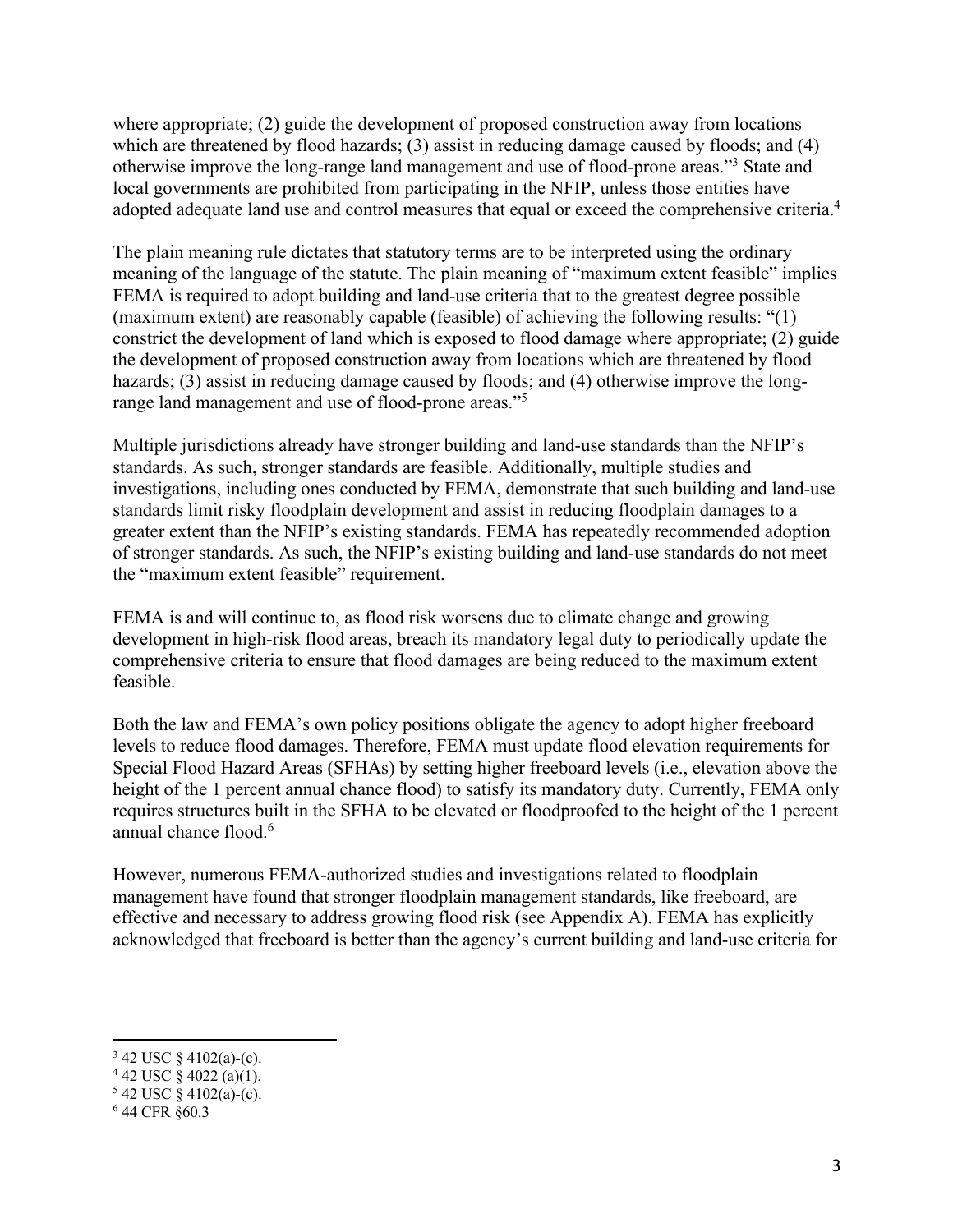where appropriate; (2) guide the development of proposed construction away from locations which are threatened by flood hazards; (3) assist in reducing damage caused by floods; and (4) otherwise improve the long-range land management and use of flood-prone areas."3 State and local governments are prohibited from participating in the NFIP, unless those entities have adopted adequate land use and control measures that equal or exceed the comprehensive criteria.<sup>4</sup>

The plain meaning rule dictates that statutory terms are to be interpreted using the ordinary meaning of the language of the statute. The plain meaning of "maximum extent feasible" implies FEMA is required to adopt building and land-use criteria that to the greatest degree possible (maximum extent) are reasonably capable (feasible) of achieving the following results: "(1) constrict the development of land which is exposed to flood damage where appropriate; (2) guide the development of proposed construction away from locations which are threatened by flood hazards; (3) assist in reducing damage caused by floods; and (4) otherwise improve the longrange land management and use of flood-prone areas."5

Multiple jurisdictions already have stronger building and land-use standards than the NFIP's standards. As such, stronger standards are feasible. Additionally, multiple studies and investigations, including ones conducted by FEMA, demonstrate that such building and land-use standards limit risky floodplain development and assist in reducing floodplain damages to a greater extent than the NFIP's existing standards. FEMA has repeatedly recommended adoption of stronger standards. As such, the NFIP's existing building and land-use standards do not meet the "maximum extent feasible" requirement.

FEMA is and will continue to, as flood risk worsens due to climate change and growing development in high-risk flood areas, breach its mandatory legal duty to periodically update the comprehensive criteria to ensure that flood damages are being reduced to the maximum extent feasible.

Both the law and FEMA's own policy positions obligate the agency to adopt higher freeboard levels to reduce flood damages. Therefore, FEMA must update flood elevation requirements for Special Flood Hazard Areas (SFHAs) by setting higher freeboard levels (i.e., elevation above the height of the 1 percent annual chance flood) to satisfy its mandatory duty. Currently, FEMA only requires structures built in the SFHA to be elevated or floodproofed to the height of the 1 percent annual chance flood.<sup>6</sup>

However, numerous FEMA-authorized studies and investigations related to floodplain management have found that stronger floodplain management standards, like freeboard, are effective and necessary to address growing flood risk (see Appendix A). FEMA has explicitly acknowledged that freeboard is better than the agency's current building and land-use criteria for

 $342$  USC § 4102(a)-(c).

 $4$  42 USC  $\frac{8}{9}$  4022 (a)(1).

 $5$  42 USC § 4102(a)-(c).

<sup>6</sup> 44 CFR §60.3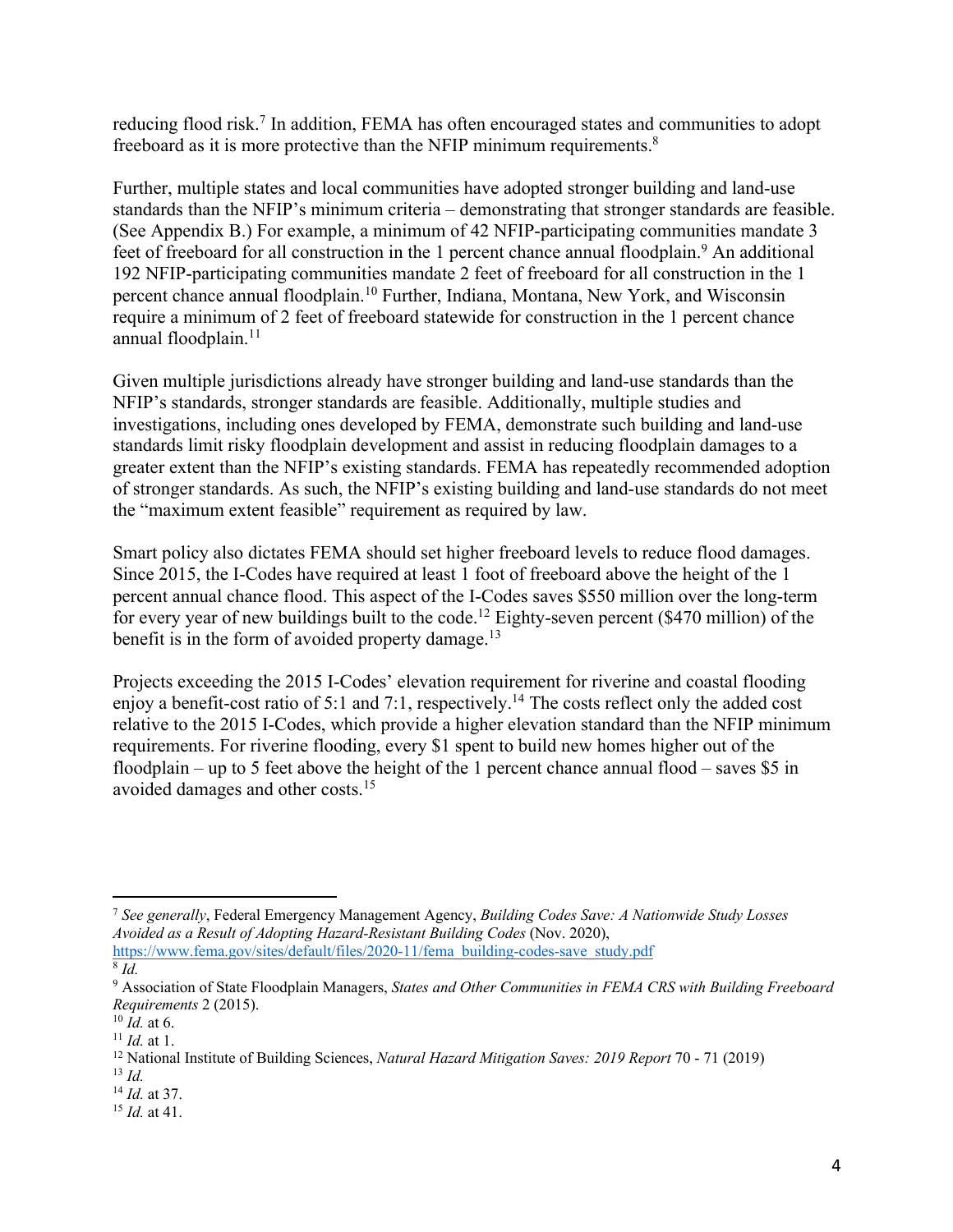reducing flood risk.<sup>7</sup> In addition, FEMA has often encouraged states and communities to adopt freeboard as it is more protective than the NFIP minimum requirements.8

Further, multiple states and local communities have adopted stronger building and land-use standards than the NFIP's minimum criteria – demonstrating that stronger standards are feasible. (See Appendix B.) For example, a minimum of 42 NFIP-participating communities mandate 3 feet of freeboard for all construction in the 1 percent chance annual floodplain.<sup>9</sup> An additional 192 NFIP-participating communities mandate 2 feet of freeboard for all construction in the 1 percent chance annual floodplain.<sup>10</sup> Further, Indiana, Montana, New York, and Wisconsin require a minimum of 2 feet of freeboard statewide for construction in the 1 percent chance annual floodplain. 11

Given multiple jurisdictions already have stronger building and land-use standards than the NFIP's standards, stronger standards are feasible. Additionally, multiple studies and investigations, including ones developed by FEMA, demonstrate such building and land-use standards limit risky floodplain development and assist in reducing floodplain damages to a greater extent than the NFIP's existing standards. FEMA has repeatedly recommended adoption of stronger standards. As such, the NFIP's existing building and land-use standards do not meet the "maximum extent feasible" requirement as required by law.

Smart policy also dictates FEMA should set higher freeboard levels to reduce flood damages. Since 2015, the I-Codes have required at least 1 foot of freeboard above the height of the 1 percent annual chance flood. This aspect of the I-Codes saves \$550 million over the long-term for every year of new buildings built to the code.12 Eighty-seven percent (\$470 million) of the benefit is in the form of avoided property damage.<sup>13</sup>

Projects exceeding the 2015 I-Codes' elevation requirement for riverine and coastal flooding enjoy a benefit-cost ratio of 5:1 and 7:1, respectively.14 The costs reflect only the added cost relative to the 2015 I-Codes, which provide a higher elevation standard than the NFIP minimum requirements. For riverine flooding, every \$1 spent to build new homes higher out of the floodplain – up to 5 feet above the height of the 1 percent chance annual flood – saves \$5 in avoided damages and other costs. 15

<sup>7</sup> *See generally*, Federal Emergency Management Agency, *Building Codes Save: A Nationwide Study Losses Avoided as a Result of Adopting Hazard-Resistant Building Codes* (Nov. 2020),

https://www.fema.gov/sites/default/files/2020-11/fema\_building-codes-save\_study.pdf  $\overline{\delta}$  *Id.* 

<sup>9</sup> Association of State Floodplain Managers, *States and Other Communities in FEMA CRS with Building Freeboard Requirements* 2 (2015).

 $^{10}$   $\dot{Id}$ , at 6.

 $11$  *Id.* at 1.

<sup>12</sup> National Institute of Building Sciences, *Natural Hazard Mitigation Saves: 2019 Report* 70 - 71 (2019)

<sup>13</sup> *Id.* <sup>14</sup> *Id.* at 37.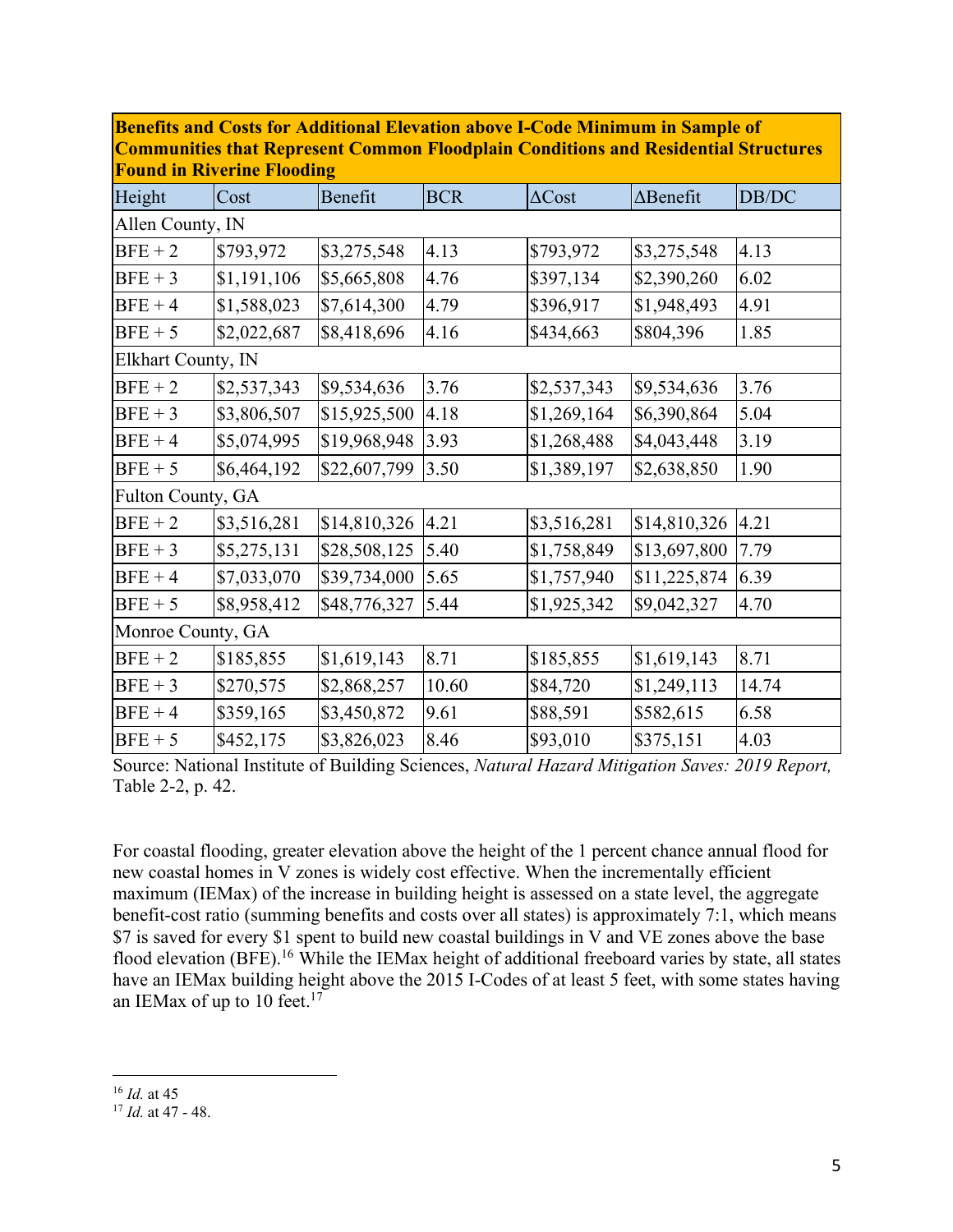|                    | <u>гоина ні імусі піс гіобаніз</u> |              |            |               |                  |       |
|--------------------|------------------------------------|--------------|------------|---------------|------------------|-------|
| Height             | Cost                               | Benefit      | <b>BCR</b> | $\Delta$ Cost | $\Delta$ Benefit | DB/DC |
| Allen County, IN   |                                    |              |            |               |                  |       |
| $BFE + 2$          | \$793,972                          | \$3,275,548  | 4.13       | \$793,972     | \$3,275,548      | 4.13  |
| $BFE + 3$          | \$1,191,106                        | \$5,665,808  | 4.76       | \$397,134     | \$2,390,260      | 6.02  |
| $BFE + 4$          | \$1,588,023                        | \$7,614,300  | 4.79       | \$396,917     | \$1,948,493      | 4.91  |
| $BFE + 5$          | \$2,022,687                        | \$8,418,696  | 4.16       | \$434,663     | \$804,396        | 1.85  |
| Elkhart County, IN |                                    |              |            |               |                  |       |
| $BFE + 2$          | \$2,537,343                        | \$9,534,636  | 3.76       | \$2,537,343   | \$9,534,636      | 3.76  |
| $BFE + 3$          | \$3,806,507                        | \$15,925,500 | 4.18       | \$1,269,164   | \$6,390,864      | 5.04  |
| $BFE + 4$          | \$5,074,995                        | \$19,968,948 | 3.93       | \$1,268,488   | \$4,043,448      | 3.19  |
| $BFE + 5$          | \$6,464,192                        | \$22,607,799 | 3.50       | \$1,389,197   | \$2,638,850      | 1.90  |
| Fulton County, GA  |                                    |              |            |               |                  |       |
| $BFE + 2$          | \$3,516,281                        | \$14,810,326 | 4.21       | \$3,516,281   | \$14,810,326     | 4.21  |
| $BFE + 3$          | \$5,275,131                        | \$28,508,125 | 5.40       | \$1,758,849   | \$13,697,800     | 7.79  |
| $BFE + 4$          | \$7,033,070                        | \$39,734,000 | 5.65       | \$1,757,940   | \$11,225,874     | 6.39  |
| $BFE + 5$          | \$8,958,412                        | \$48,776,327 | 5.44       | \$1,925,342   | \$9,042,327      | 4.70  |
| Monroe County, GA  |                                    |              |            |               |                  |       |
| $BFE + 2$          | \$185,855                          | \$1,619,143  | 8.71       | \$185,855     | \$1,619,143      | 8.71  |
| $BFE + 3$          | \$270,575                          | \$2,868,257  | 10.60      | \$84,720      | \$1,249,113      | 14.74 |
| $BFE + 4$          | \$359,165                          | \$3,450,872  | 9.61       | \$88,591      | \$582,615        | 6.58  |
| $BFE + 5$          | \$452,175                          | \$3,826,023  | 8.46       | \$93,010      | \$375,151        | 4.03  |

**Benefits and Costs for Additional Elevation above I-Code Minimum in Sample of Communities that Represent Common Floodplain Conditions and Residential Structures Found in Riverine Flooding**

Source: National Institute of Building Sciences, *Natural Hazard Mitigation Saves: 2019 Report,* Table 2-2, p. 42.

For coastal flooding, greater elevation above the height of the 1 percent chance annual flood for new coastal homes in V zones is widely cost effective. When the incrementally efficient maximum (IEMax) of the increase in building height is assessed on a state level, the aggregate benefit-cost ratio (summing benefits and costs over all states) is approximately 7:1, which means \$7 is saved for every \$1 spent to build new coastal buildings in V and VE zones above the base flood elevation (BFE).<sup>16</sup> While the IEMax height of additional freeboard varies by state, all states have an IEMax building height above the 2015 I-Codes of at least 5 feet, with some states having an IEMax of up to 10 feet. $17$ 

<sup>16</sup> *Id.* at 45

<sup>17</sup> *Id.* at 47 - 48.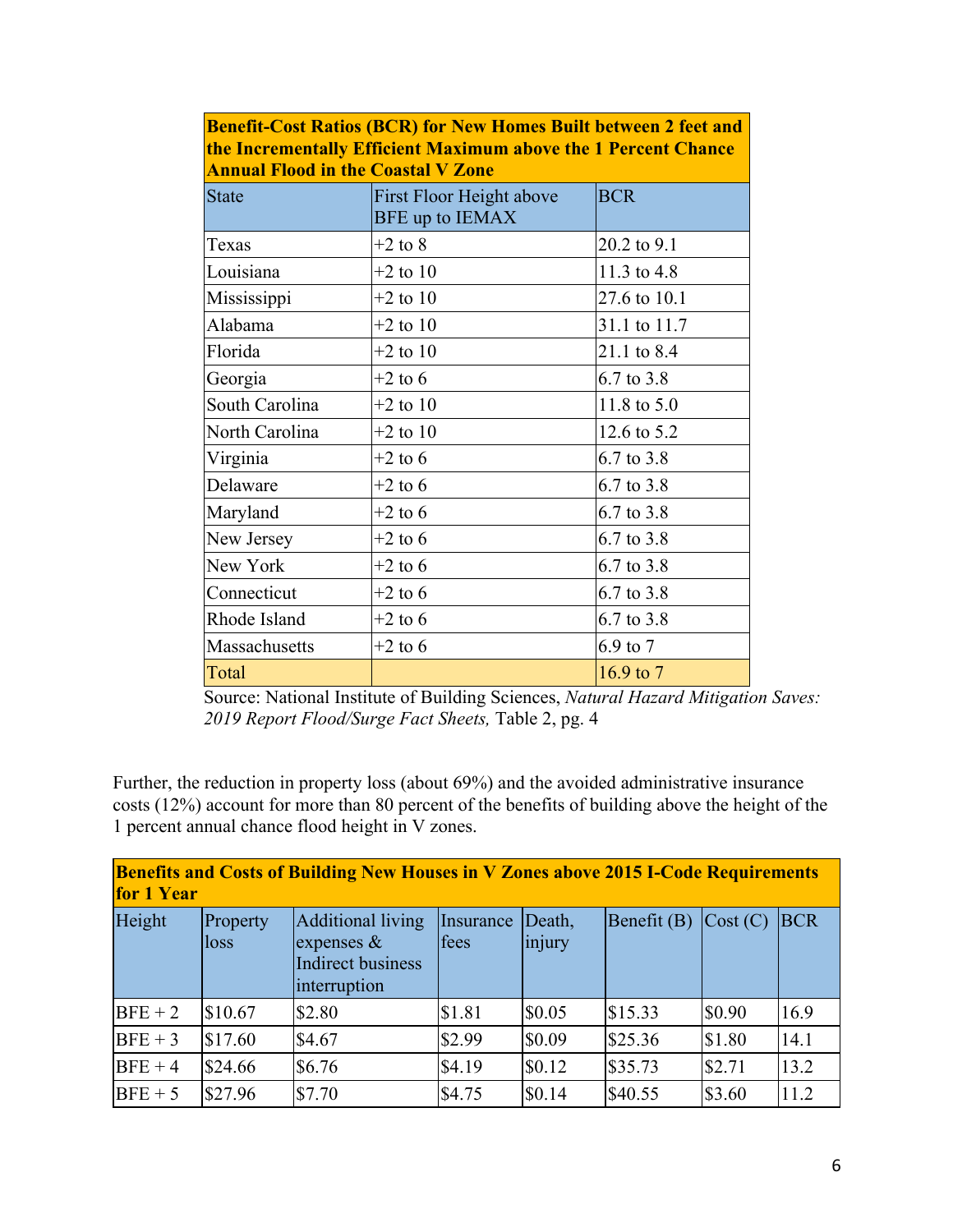| the Incrementally Efficient Maximum above the 1 Percent Chance<br><b>Annual Flood in the Coastal V Zone</b> |                                             |              |  |
|-------------------------------------------------------------------------------------------------------------|---------------------------------------------|--------------|--|
| <b>State</b>                                                                                                | First Floor Height above<br>BFE up to IEMAX | <b>BCR</b>   |  |
| Texas                                                                                                       | $+2$ to 8                                   | 20.2 to 9.1  |  |
| Louisiana                                                                                                   | $+2$ to 10                                  | 11.3 to 4.8  |  |
| Mississippi                                                                                                 | $+2$ to 10                                  | 27.6 to 10.1 |  |
| Alabama                                                                                                     | $+2$ to 10                                  | 31.1 to 11.7 |  |
| Florida                                                                                                     | $+2$ to 10                                  | 21.1 to 8.4  |  |
| Georgia                                                                                                     | $+2$ to 6                                   | 6.7 to 3.8   |  |
| South Carolina                                                                                              | $+2$ to 10                                  | 11.8 to 5.0  |  |
| North Carolina                                                                                              | $+2$ to 10                                  | 12.6 to 5.2  |  |
| Virginia                                                                                                    | $+2$ to 6                                   | 6.7 to 3.8   |  |
| Delaware                                                                                                    | $+2$ to 6                                   | 6.7 to 3.8   |  |
| Maryland                                                                                                    | $+2$ to 6                                   | 6.7 to 3.8   |  |
| New Jersey                                                                                                  | $+2$ to 6                                   | 6.7 to 3.8   |  |
| New York                                                                                                    | $+2$ to 6                                   | 6.7 to 3.8   |  |
| Connecticut                                                                                                 | $+2$ to 6                                   | 6.7 to 3.8   |  |
| Rhode Island                                                                                                | $+2$ to 6                                   | 6.7 to 3.8   |  |
| Massachusetts                                                                                               | $+2$ to 6                                   | 6.9 to 7     |  |
| Total                                                                                                       |                                             | 16.9 to $7$  |  |

**Benefit-Cost Ratios (BCR) for New Homes Built between 2 feet and the Incrementally Efficient Maximum above the 1 Percent Chance** 

Source: National Institute of Building Sciences, *Natural Hazard Mitigation Saves: 2019 Report Flood/Surge Fact Sheets,* Table 2, pg. 4

Further, the reduction in property loss (about 69%) and the avoided administrative insurance costs (12%) account for more than 80 percent of the benefits of building above the height of the 1 percent annual chance flood height in V zones.

| <b>Benefits and Costs of Building New Houses in V Zones above 2015 I-Code Requirements</b><br>for 1 Year |                  |                                                                               |                   |                  |               |                               |            |
|----------------------------------------------------------------------------------------------------------|------------------|-------------------------------------------------------------------------------|-------------------|------------------|---------------|-------------------------------|------------|
| Height                                                                                                   | Property<br>loss | Additional living<br>expenses $&$<br><b>Indirect business</b><br>interruption | Insurance<br>fees | Death,<br>injury | Benefit $(B)$ | $\vert \text{Cost (C)} \vert$ | <b>BCR</b> |
| $BFE + 2$                                                                                                | \$10.67          | \$2.80                                                                        | \$1.81            | \$0.05           | \$15.33       | \$0.90                        | 16.9       |
| $BFE + 3$                                                                                                | \$17.60          | \$4.67                                                                        | \$2.99            | \$0.09           | \$25.36       | \$1.80                        | 14.1       |
| $BFE + 4$                                                                                                | \$24.66          | \$6.76                                                                        | \$4.19            | \$0.12           | \$35.73       | \$2.71                        | 13.2       |
| $BFE + 5$                                                                                                | \$27.96          | \$7.70                                                                        | \$4.75            | \$0.14           | \$40.55       | \$3.60                        | 11.2       |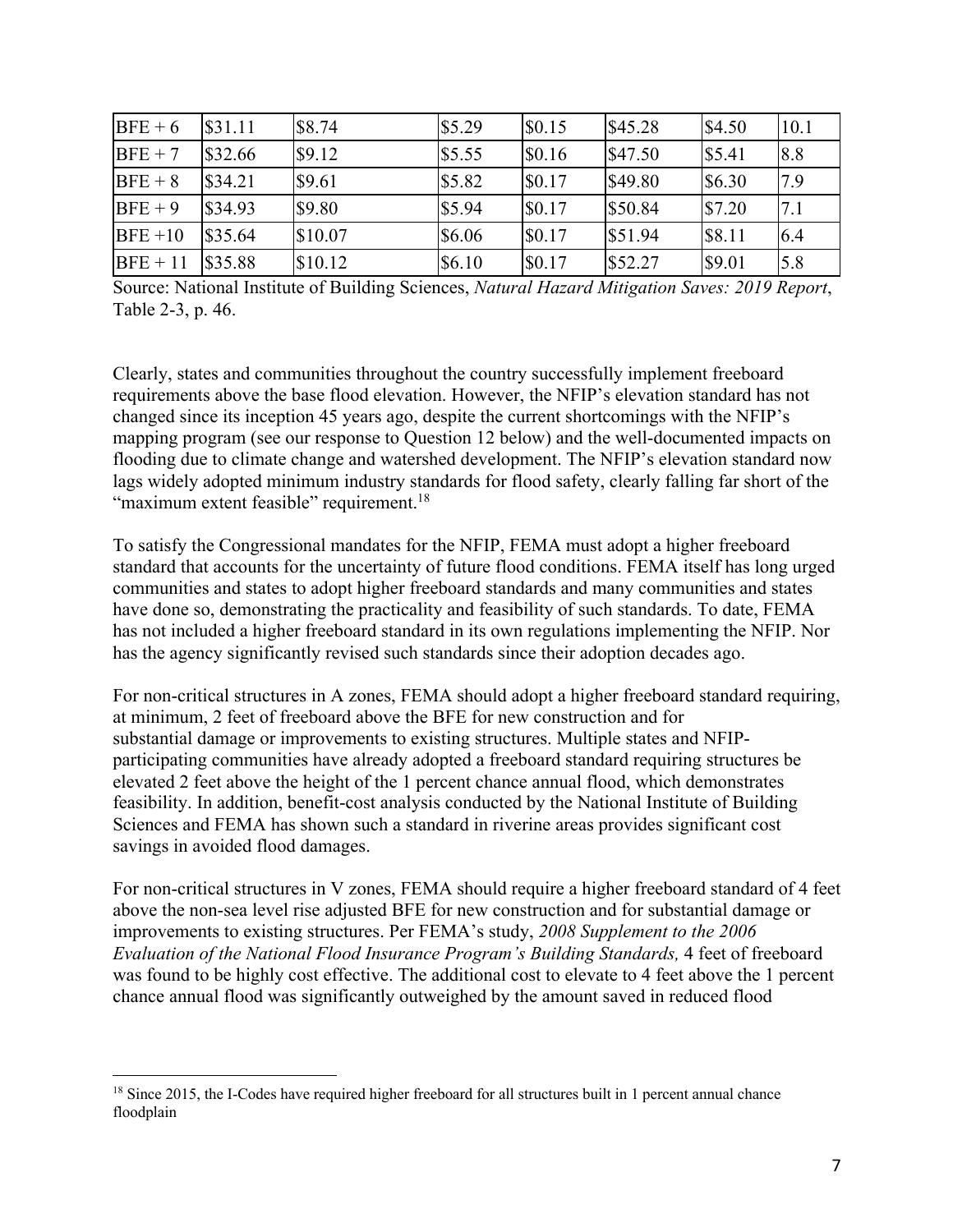| $BFE + 6$  | \$31.11 | \$8.74  | \$5.29 | \$0.15 | \$45.28 | \$4.50 | <b>10.1</b> |
|------------|---------|---------|--------|--------|---------|--------|-------------|
| $BFE + 7$  | \$32.66 | \$9.12  | \$5.55 | \$0.16 | \$47.50 | \$5.41 | 8.8         |
| $BFE + 8$  | \$34.21 | \$9.61  | \$5.82 | \$0.17 | \$49.80 | \$6.30 | 7.9         |
| $BFE + 9$  | \$34.93 | \$9.80  | \$5.94 | \$0.17 | \$50.84 | \$7.20 | 7.1         |
| $BFE+10$   | \$35.64 | \$10.07 | \$6.06 | \$0.17 | \$51.94 | \$8.11 | 6.4         |
| $BFE + 11$ | \$35.88 | \$10.12 | \$6.10 | \$0.17 | \$52.27 | \$9.01 | 5.8         |

Source: National Institute of Building Sciences, *Natural Hazard Mitigation Saves: 2019 Report*, Table 2-3, p. 46.

Clearly, states and communities throughout the country successfully implement freeboard requirements above the base flood elevation. However, the NFIP's elevation standard has not changed since its inception 45 years ago, despite the current shortcomings with the NFIP's mapping program (see our response to Question 12 below) and the well-documented impacts on flooding due to climate change and watershed development. The NFIP's elevation standard now lags widely adopted minimum industry standards for flood safety, clearly falling far short of the "maximum extent feasible" requirement.<sup>18</sup>

To satisfy the Congressional mandates for the NFIP, FEMA must adopt a higher freeboard standard that accounts for the uncertainty of future flood conditions. FEMA itself has long urged communities and states to adopt higher freeboard standards and many communities and states have done so, demonstrating the practicality and feasibility of such standards. To date, FEMA has not included a higher freeboard standard in its own regulations implementing the NFIP. Nor has the agency significantly revised such standards since their adoption decades ago.

For non-critical structures in A zones, FEMA should adopt a higher freeboard standard requiring, at minimum, 2 feet of freeboard above the BFE for new construction and for substantial damage or improvements to existing structures. Multiple states and NFIPparticipating communities have already adopted a freeboard standard requiring structures be elevated 2 feet above the height of the 1 percent chance annual flood, which demonstrates feasibility. In addition, benefit-cost analysis conducted by the National Institute of Building Sciences and FEMA has shown such a standard in riverine areas provides significant cost savings in avoided flood damages.

For non-critical structures in V zones, FEMA should require a higher freeboard standard of 4 feet above the non-sea level rise adjusted BFE for new construction and for substantial damage or improvements to existing structures. Per FEMA's study, *2008 Supplement to the 2006 Evaluation of the National Flood Insurance Program's Building Standards,* 4 feet of freeboard was found to be highly cost effective. The additional cost to elevate to 4 feet above the 1 percent chance annual flood was significantly outweighed by the amount saved in reduced flood

<sup>&</sup>lt;sup>18</sup> Since 2015, the I-Codes have required higher freeboard for all structures built in 1 percent annual chance floodplain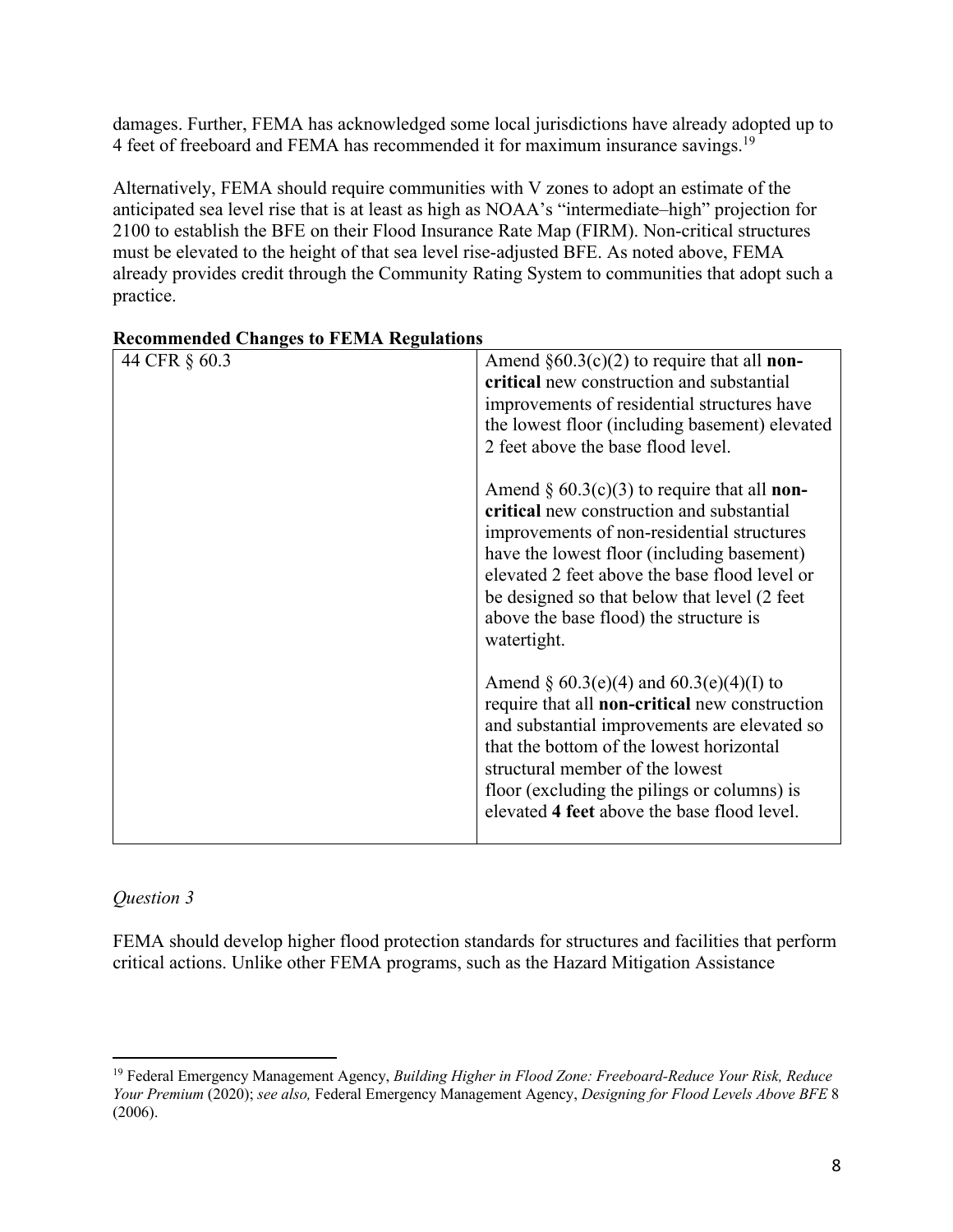damages. Further, FEMA has acknowledged some local jurisdictions have already adopted up to 4 feet of freeboard and FEMA has recommended it for maximum insurance savings.<sup>19</sup>

Alternatively, FEMA should require communities with V zones to adopt an estimate of the anticipated sea level rise that is at least as high as NOAA's "intermediate–high" projection for 2100 to establish the BFE on their Flood Insurance Rate Map (FIRM). Non-critical structures must be elevated to the height of that sea level rise-adjusted BFE. As noted above, FEMA already provides credit through the Community Rating System to communities that adopt such a practice.

| 44 CFR § 60.3 | Amend $\S60.3(c)(2)$ to require that all <b>non-</b><br>critical new construction and substantial<br>improvements of residential structures have<br>the lowest floor (including basement) elevated<br>2 feet above the base flood level.                                                                                                                  |
|---------------|-----------------------------------------------------------------------------------------------------------------------------------------------------------------------------------------------------------------------------------------------------------------------------------------------------------------------------------------------------------|
|               | Amend $\S 60.3(c)(3)$ to require that all <b>non-</b><br>critical new construction and substantial<br>improvements of non-residential structures<br>have the lowest floor (including basement)<br>elevated 2 feet above the base flood level or<br>be designed so that below that level (2 feet)<br>above the base flood) the structure is<br>watertight. |
|               | Amend § $60.3(e)(4)$ and $60.3(e)(4)(I)$ to<br>require that all <b>non-critical</b> new construction<br>and substantial improvements are elevated so<br>that the bottom of the lowest horizontal<br>structural member of the lowest<br>floor (excluding the pilings or columns) is<br>elevated 4 feet above the base flood level.                         |

# **Recommended Changes to FEMA Regulations**

#### *Question 3*

FEMA should develop higher flood protection standards for structures and facilities that perform critical actions. Unlike other FEMA programs, such as the Hazard Mitigation Assistance

<sup>19</sup> Federal Emergency Management Agency, *Building Higher in Flood Zone: Freeboard-Reduce Your Risk, Reduce Your Premium* (2020); *see also,* Federal Emergency Management Agency, *Designing for Flood Levels Above BFE* 8 (2006).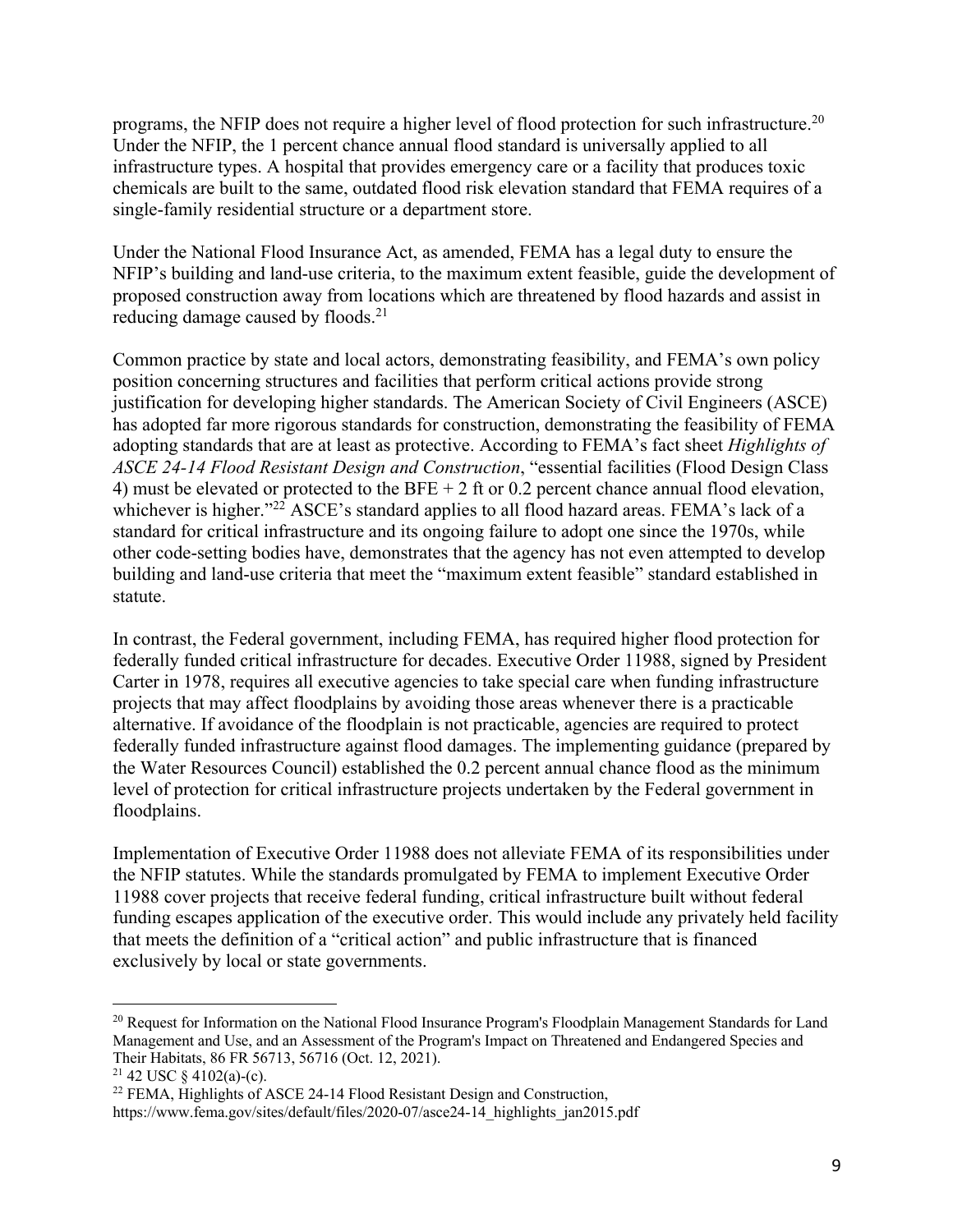programs, the NFIP does not require a higher level of flood protection for such infrastructure.20 Under the NFIP, the 1 percent chance annual flood standard is universally applied to all infrastructure types. A hospital that provides emergency care or a facility that produces toxic chemicals are built to the same, outdated flood risk elevation standard that FEMA requires of a single-family residential structure or a department store.

Under the National Flood Insurance Act, as amended, FEMA has a legal duty to ensure the NFIP's building and land-use criteria, to the maximum extent feasible, guide the development of proposed construction away from locations which are threatened by flood hazards and assist in reducing damage caused by floods.<sup>21</sup>

Common practice by state and local actors, demonstrating feasibility, and FEMA's own policy position concerning structures and facilities that perform critical actions provide strong justification for developing higher standards. The American Society of Civil Engineers (ASCE) has adopted far more rigorous standards for construction, demonstrating the feasibility of FEMA adopting standards that are at least as protective. According to FEMA's fact sheet *Highlights of ASCE 24-14 Flood Resistant Design and Construction*, "essential facilities (Flood Design Class 4) must be elevated or protected to the BFE  $+ 2$  ft or 0.2 percent chance annual flood elevation, whichever is higher."<sup>22</sup> ASCE's standard applies to all flood hazard areas. FEMA's lack of a standard for critical infrastructure and its ongoing failure to adopt one since the 1970s, while other code-setting bodies have, demonstrates that the agency has not even attempted to develop building and land-use criteria that meet the "maximum extent feasible" standard established in statute.

In contrast, the Federal government, including FEMA, has required higher flood protection for federally funded critical infrastructure for decades. Executive Order 11988, signed by President Carter in 1978, requires all executive agencies to take special care when funding infrastructure projects that may affect floodplains by avoiding those areas whenever there is a practicable alternative. If avoidance of the floodplain is not practicable, agencies are required to protect federally funded infrastructure against flood damages. The implementing guidance (prepared by the Water Resources Council) established the 0.2 percent annual chance flood as the minimum level of protection for critical infrastructure projects undertaken by the Federal government in floodplains.

Implementation of Executive Order 11988 does not alleviate FEMA of its responsibilities under the NFIP statutes. While the standards promulgated by FEMA to implement Executive Order 11988 cover projects that receive federal funding, critical infrastructure built without federal funding escapes application of the executive order. This would include any privately held facility that meets the definition of a "critical action" and public infrastructure that is financed exclusively by local or state governments.

<sup>&</sup>lt;sup>20</sup> Request for Information on the National Flood Insurance Program's Floodplain Management Standards for Land Management and Use, and an Assessment of the Program's Impact on Threatened and Endangered Species and Their Habitats, 86 FR 56713, 56716 (Oct. 12, 2021).<br><sup>21</sup> 42 USC § 4102(a)-(c).

 $22$  FEMA, Highlights of ASCE 24-14 Flood Resistant Design and Construction,

https://www.fema.gov/sites/default/files/2020-07/asce24-14\_highlights\_jan2015.pdf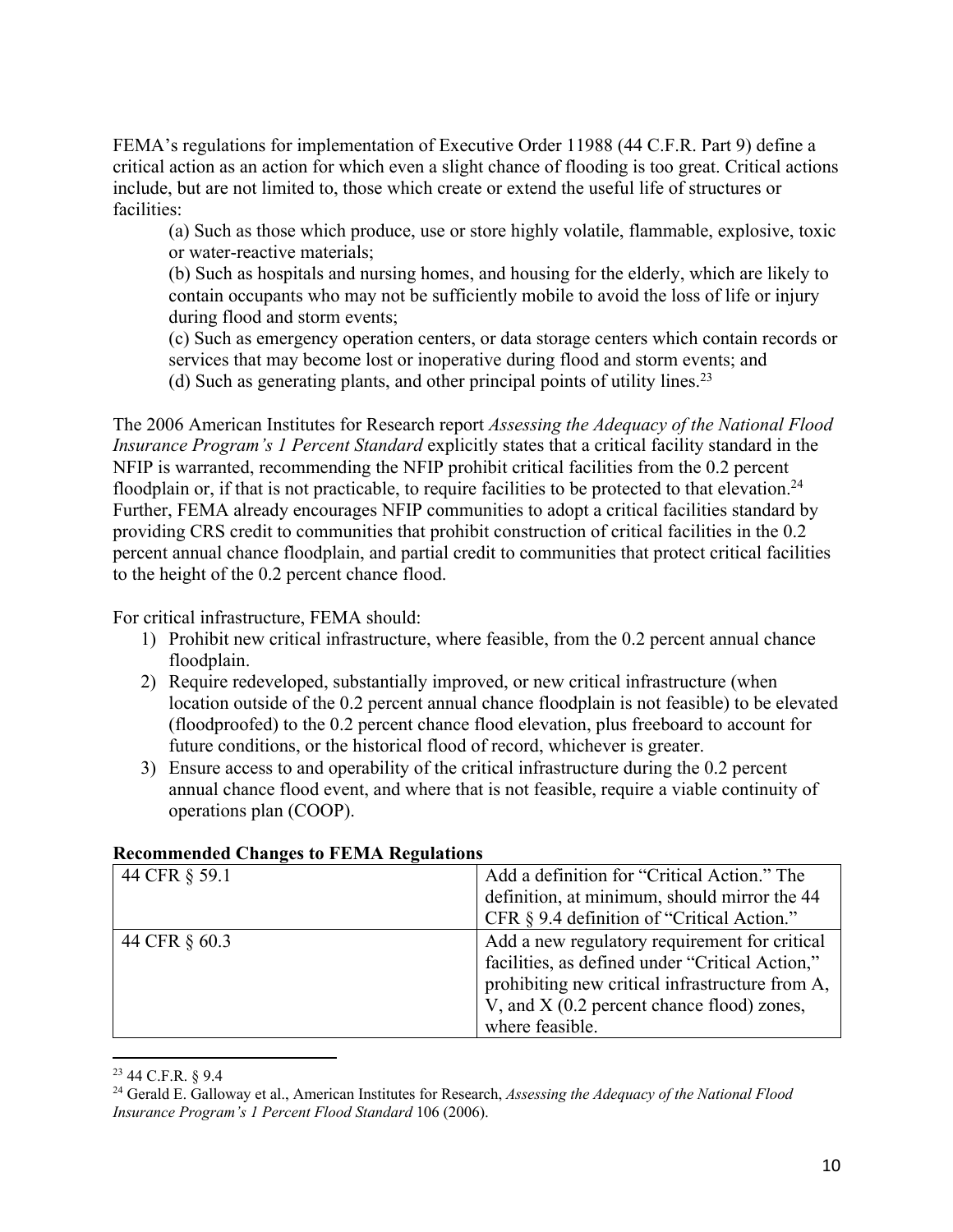FEMA's regulations for implementation of Executive Order 11988 (44 C.F.R. Part 9) define a critical action as an action for which even a slight chance of flooding is too great. Critical actions include, but are not limited to, those which create or extend the useful life of structures or facilities:

(a) Such as those which produce, use or store highly volatile, flammable, explosive, toxic or water-reactive materials;

(b) Such as hospitals and nursing homes, and housing for the elderly, which are likely to contain occupants who may not be sufficiently mobile to avoid the loss of life or injury during flood and storm events;

(c) Such as emergency operation centers, or data storage centers which contain records or services that may become lost or inoperative during flood and storm events; and (d) Such as generating plants, and other principal points of utility lines.<sup>23</sup>

The 2006 American Institutes for Research report *Assessing the Adequacy of the National Flood Insurance Program's 1 Percent Standard* explicitly states that a critical facility standard in the NFIP is warranted, recommending the NFIP prohibit critical facilities from the 0.2 percent floodplain or, if that is not practicable, to require facilities to be protected to that elevation.<sup>24</sup> Further, FEMA already encourages NFIP communities to adopt a critical facilities standard by providing CRS credit to communities that prohibit construction of critical facilities in the 0.2 percent annual chance floodplain, and partial credit to communities that protect critical facilities to the height of the 0.2 percent chance flood.

For critical infrastructure, FEMA should:

- 1) Prohibit new critical infrastructure, where feasible, from the 0.2 percent annual chance floodplain.
- 2) Require redeveloped, substantially improved, or new critical infrastructure (when location outside of the 0.2 percent annual chance floodplain is not feasible) to be elevated (floodproofed) to the 0.2 percent chance flood elevation, plus freeboard to account for future conditions, or the historical flood of record, whichever is greater.
- 3) Ensure access to and operability of the critical infrastructure during the 0.2 percent annual chance flood event, and where that is not feasible, require a viable continuity of operations plan (COOP).

| Recommended Changes to FEMIX Regulations |                                                 |
|------------------------------------------|-------------------------------------------------|
| 44 CFR § 59.1                            | Add a definition for "Critical Action." The     |
|                                          | definition, at minimum, should mirror the 44    |
|                                          | CFR $\S$ 9.4 definition of "Critical Action."   |
| 44 CFR § 60.3                            | Add a new regulatory requirement for critical   |
|                                          | facilities, as defined under "Critical Action," |
|                                          | prohibiting new critical infrastructure from A, |
|                                          | V, and X (0.2 percent chance flood) zones,      |
|                                          | where feasible.                                 |

#### **Recommended Changes to FEMA Regulations**

<sup>23</sup> 44 C.F.R. § 9.4

<sup>24</sup> Gerald E. Galloway et al., American Institutes for Research, *Assessing the Adequacy of the National Flood Insurance Program's 1 Percent Flood Standard* 106 (2006).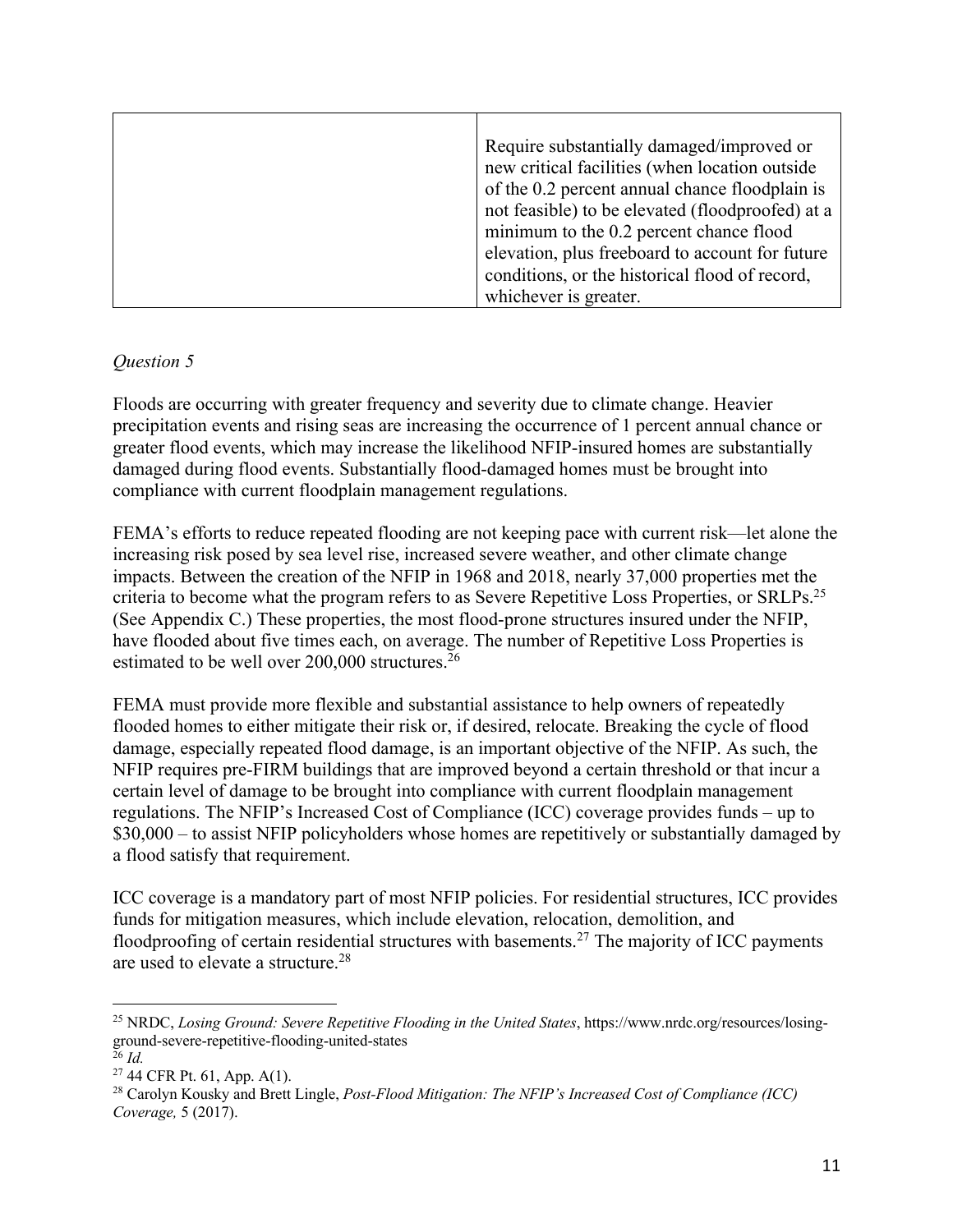| Require substantially damaged/improved or        |
|--------------------------------------------------|
| new critical facilities (when location outside   |
| of the 0.2 percent annual chance floodplain is   |
| not feasible) to be elevated (floodproofed) at a |
| minimum to the 0.2 percent chance flood          |
| elevation, plus freeboard to account for future  |
| conditions, or the historical flood of record,   |
| whichever is greater.                            |

# *Question 5*

Floods are occurring with greater frequency and severity due to climate change. Heavier precipitation events and rising seas are increasing the occurrence of 1 percent annual chance or greater flood events, which may increase the likelihood NFIP-insured homes are substantially damaged during flood events. Substantially flood-damaged homes must be brought into compliance with current floodplain management regulations.

FEMA's efforts to reduce repeated flooding are not keeping pace with current risk—let alone the increasing risk posed by sea level rise, increased severe weather, and other climate change impacts. Between the creation of the NFIP in 1968 and 2018, nearly 37,000 properties met the criteria to become what the program refers to as Severe Repetitive Loss Properties, or SRLPs.25 (See Appendix C.) These properties, the most flood-prone structures insured under the NFIP, have flooded about five times each, on average. The number of Repetitive Loss Properties is estimated to be well over 200,000 structures.<sup>26</sup>

FEMA must provide more flexible and substantial assistance to help owners of repeatedly flooded homes to either mitigate their risk or, if desired, relocate. Breaking the cycle of flood damage, especially repeated flood damage, is an important objective of the NFIP. As such, the NFIP requires pre-FIRM buildings that are improved beyond a certain threshold or that incur a certain level of damage to be brought into compliance with current floodplain management regulations. The NFIP's Increased Cost of Compliance (ICC) coverage provides funds – up to \$30,000 – to assist NFIP policyholders whose homes are repetitively or substantially damaged by a flood satisfy that requirement.

ICC coverage is a mandatory part of most NFIP policies. For residential structures, ICC provides funds for mitigation measures, which include elevation, relocation, demolition, and floodproofing of certain residential structures with basements.<sup>27</sup> The majority of ICC payments are used to elevate a structure.28

<sup>&</sup>lt;sup>25</sup> NRDC, *Losing Ground: Severe Repetitive Flooding in the United States*, https://www.nrdc.org/resources/losingground-severe-repetitive-flooding-united-states

 $\frac{26}{27}$  *Id.*<br><sup>27</sup> 44 CFR Pt. 61, App. A(1).

<sup>&</sup>lt;sup>28</sup> Carolyn Kousky and Brett Lingle, *Post-Flood Mitigation: The NFIP's Increased Cost of Compliance (ICC) Coverage,* 5 (2017).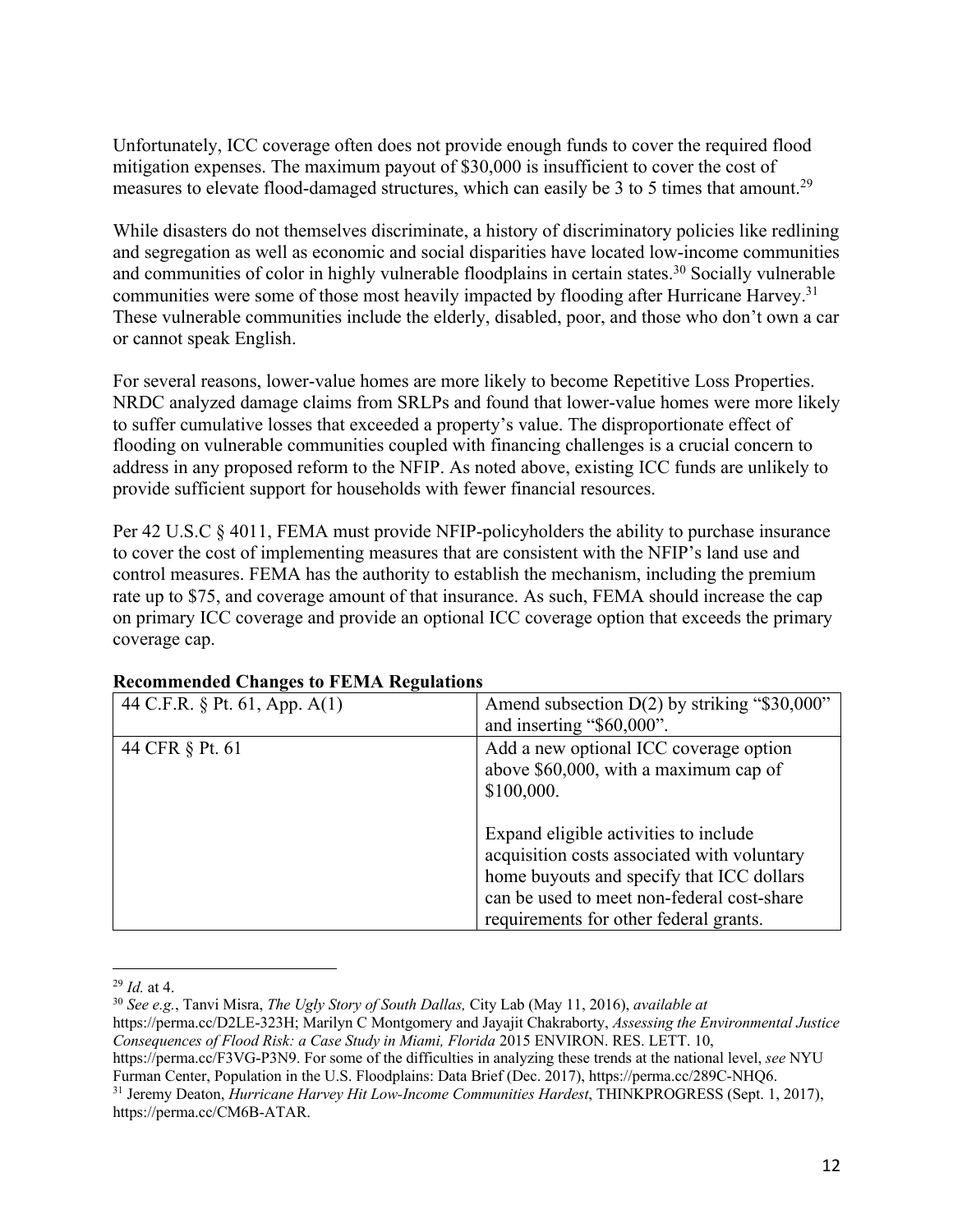Unfortunately, ICC coverage often does not provide enough funds to cover the required flood mitigation expenses. The maximum payout of \$30,000 is insufficient to cover the cost of measures to elevate flood-damaged structures, which can easily be 3 to 5 times that amount.<sup>29</sup>

While disasters do not themselves discriminate, a history of discriminatory policies like redlining and segregation as well as economic and social disparities have located low-income communities and communities of color in highly vulnerable floodplains in certain states. <sup>30</sup> Socially vulnerable communities were some of those most heavily impacted by flooding after Hurricane Harvey.<sup>31</sup> These vulnerable communities include the elderly, disabled, poor, and those who don't own a car or cannot speak English.

For several reasons, lower-value homes are more likely to become Repetitive Loss Properties. NRDC analyzed damage claims from SRLPs and found that lower-value homes were more likely to suffer cumulative losses that exceeded a property's value. The disproportionate effect of flooding on vulnerable communities coupled with financing challenges is a crucial concern to address in any proposed reform to the NFIP. As noted above, existing ICC funds are unlikely to provide sufficient support for households with fewer financial resources.

Per 42 U.S.C § 4011, FEMA must provide NFIP-policyholders the ability to purchase insurance to cover the cost of implementing measures that are consistent with the NFIP's land use and control measures. FEMA has the authority to establish the mechanism, including the premium rate up to \$75, and coverage amount of that insurance. As such, FEMA should increase the cap on primary ICC coverage and provide an optional ICC coverage option that exceeds the primary coverage cap.

| 44 C.F.R. $\S$ Pt. 61, App. A(1) | Amend subsection D(2) by striking "\$30,000"                                                                                                                                                                              |
|----------------------------------|---------------------------------------------------------------------------------------------------------------------------------------------------------------------------------------------------------------------------|
|                                  | and inserting "\$60,000".                                                                                                                                                                                                 |
| 44 CFR § Pt. 61                  | Add a new optional ICC coverage option<br>above \$60,000, with a maximum cap of                                                                                                                                           |
|                                  | \$100,000.                                                                                                                                                                                                                |
|                                  | Expand eligible activities to include<br>acquisition costs associated with voluntary<br>home buyouts and specify that ICC dollars<br>can be used to meet non-federal cost-share<br>requirements for other federal grants. |

#### **Recommended Changes to FEMA Regulations**

<sup>29</sup> *Id.* at 4. 30 *See e.g.*, Tanvi Misra, *The Ugly Story of South Dallas,* City Lab (May 11, 2016), *available at* 

https://perma.cc/D2LE-323H; Marilyn C Montgomery and Jayajit Chakraborty, *Assessing the Environmental Justice Consequences of Flood Risk: a Case Study in Miami, Florida* 2015 ENVIRON. RES. LETT. 10,

https://perma.cc/F3VG-P3N9. For some of the difficulties in analyzing these trends at the national level, *see* NYU Furman Center, Population in the U.S. Floodplains: Data Brief (Dec. 2017), https://perma.cc/289C-NHQ6. 31 Jeremy Deaton, *Hurricane Harvey Hit Low-Income Communities Hardest*, THINKPROGRESS (Sept. 1, 2017),

https://perma.cc/CM6B-ATAR.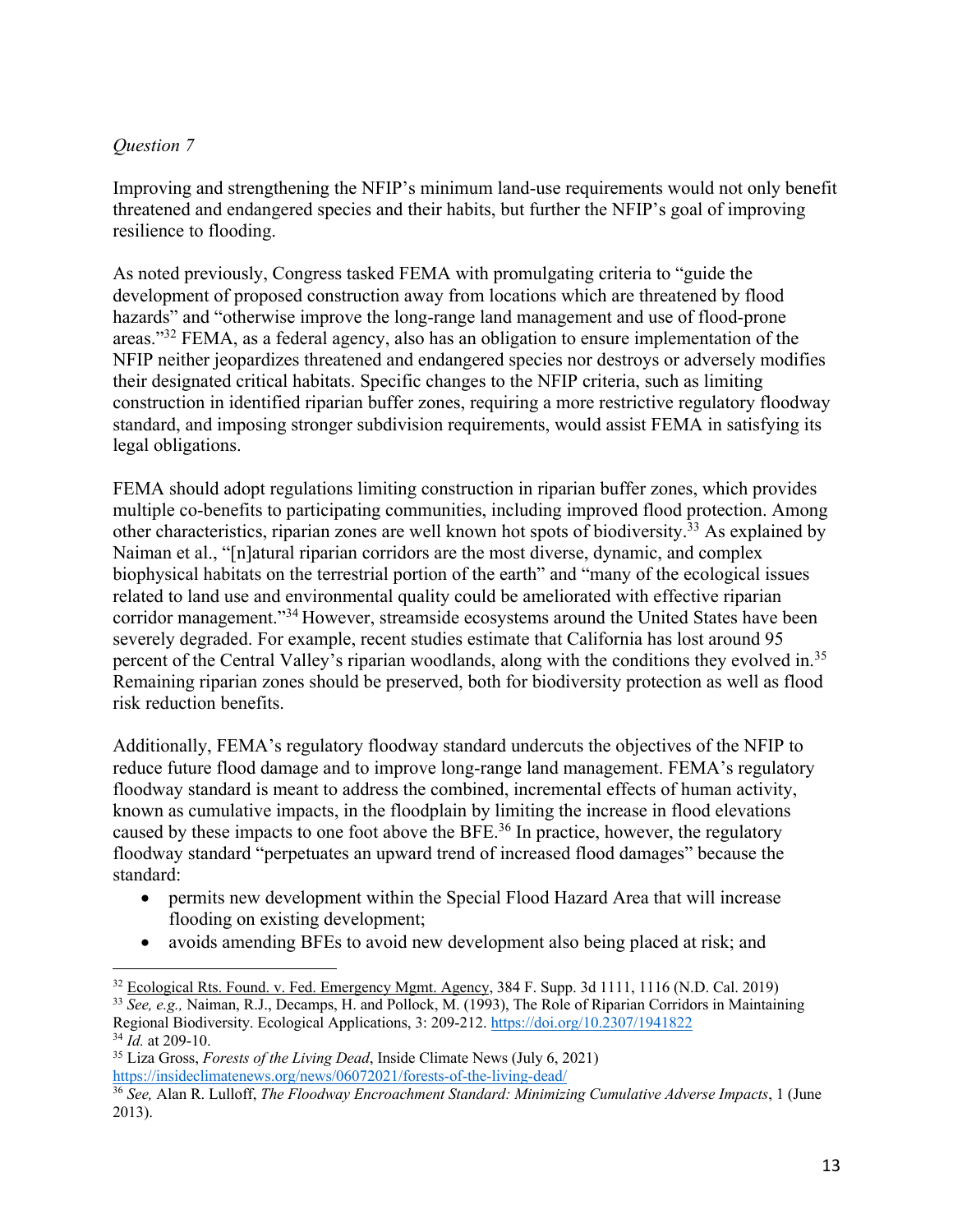# *Question 7*

Improving and strengthening the NFIP's minimum land-use requirements would not only benefit threatened and endangered species and their habits, but further the NFIP's goal of improving resilience to flooding.

As noted previously, Congress tasked FEMA with promulgating criteria to "guide the development of proposed construction away from locations which are threatened by flood hazards" and "otherwise improve the long-range land management and use of flood-prone areas."32 FEMA, as a federal agency, also has an obligation to ensure implementation of the NFIP neither jeopardizes threatened and endangered species nor destroys or adversely modifies their designated critical habitats. Specific changes to the NFIP criteria, such as limiting construction in identified riparian buffer zones, requiring a more restrictive regulatory floodway standard, and imposing stronger subdivision requirements, would assist FEMA in satisfying its legal obligations.

FEMA should adopt regulations limiting construction in riparian buffer zones, which provides multiple co-benefits to participating communities, including improved flood protection. Among other characteristics, riparian zones are well known hot spots of biodiversity.33 As explained by Naiman et al., "[n]atural riparian corridors are the most diverse, dynamic, and complex biophysical habitats on the terrestrial portion of the earth" and "many of the ecological issues related to land use and environmental quality could be ameliorated with effective riparian corridor management."34 However, streamside ecosystems around the United States have been severely degraded. For example, recent studies estimate that California has lost around 95 percent of the Central Valley's riparian woodlands, along with the conditions they evolved in.35 Remaining riparian zones should be preserved, both for biodiversity protection as well as flood risk reduction benefits.

Additionally, FEMA's regulatory floodway standard undercuts the objectives of the NFIP to reduce future flood damage and to improve long-range land management. FEMA's regulatory floodway standard is meant to address the combined, incremental effects of human activity, known as cumulative impacts, in the floodplain by limiting the increase in flood elevations caused by these impacts to one foot above the BFE.<sup>36</sup> In practice, however, the regulatory floodway standard "perpetuates an upward trend of increased flood damages" because the standard:

- permits new development within the Special Flood Hazard Area that will increase flooding on existing development;
- avoids amending BFEs to avoid new development also being placed at risk; and

<sup>&</sup>lt;sup>32</sup> Ecological Rts. Found. v. Fed. Emergency Mgmt. Agency, 384 F. Supp. 3d 1111, 1116 (N.D. Cal. 2019)

<sup>33</sup> *See, e.g.,* Naiman, R.J., Decamps, H. and Pollock, M. (1993), The Role of Riparian Corridors in Maintaining Regional Biodiversity. Ecological Applications, 3: 209-212. https://doi.org/10.2307/1941822 <sup>34</sup> *Id.* at 209-10.

<sup>35</sup> Liza Gross, *Forests of the Living Dead*, Inside Climate News (July 6, 2021) https://insideclimatenews.org/news/06072021/forests-of-the-living-dead/

<sup>36</sup> *See,* Alan R. Lulloff, *The Floodway Encroachment Standard: Minimizing Cumulative Adverse Impacts*, 1 (June 2013).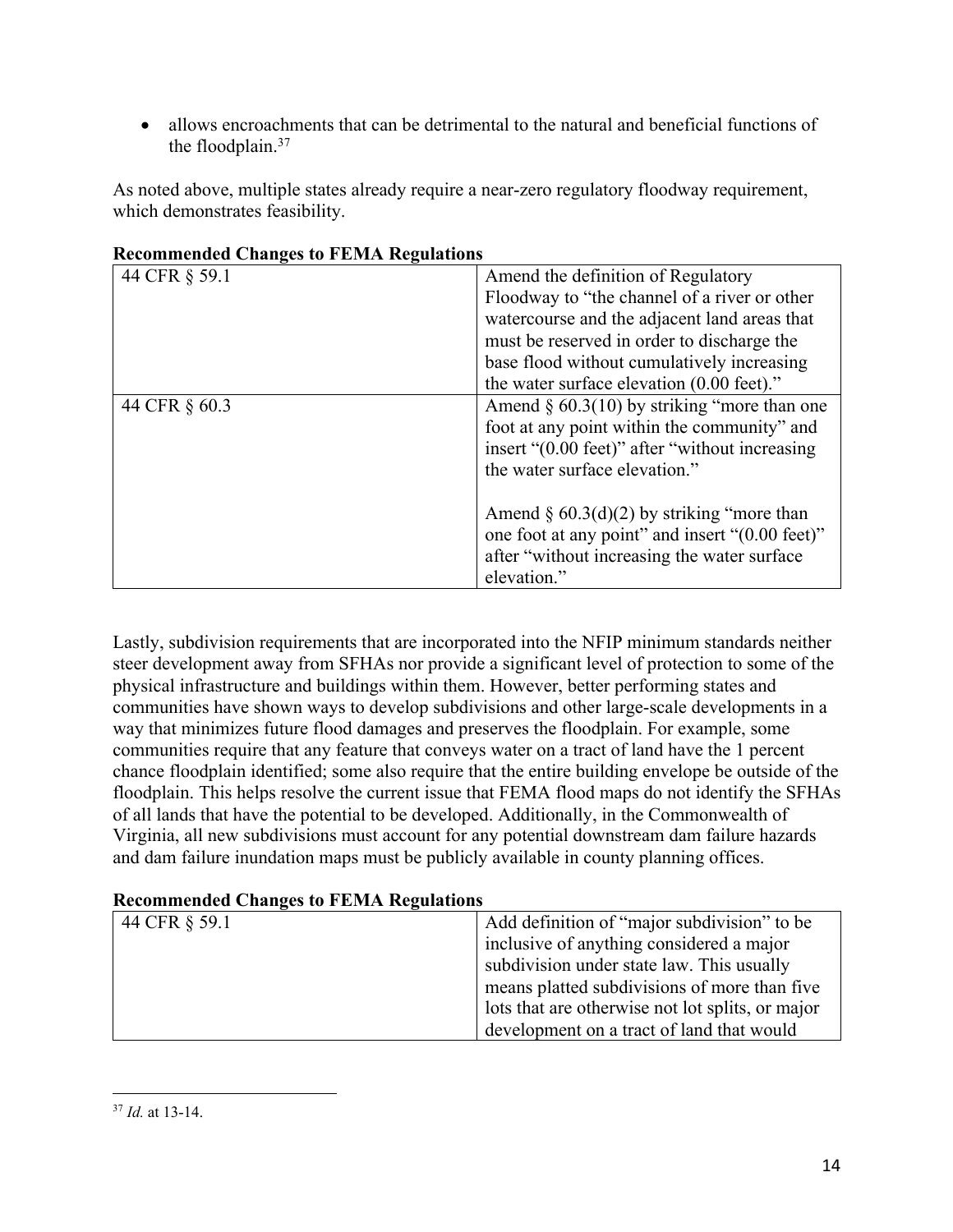• allows encroachments that can be detrimental to the natural and beneficial functions of the floodplain.37

As noted above, multiple states already require a near-zero regulatory floodway requirement, which demonstrates feasibility.

| 44 CFR § 59.1 | Amend the definition of Regulatory              |
|---------------|-------------------------------------------------|
|               | Floodway to "the channel of a river or other    |
|               | watercourse and the adjacent land areas that    |
|               | must be reserved in order to discharge the      |
|               | base flood without cumulatively increasing      |
|               | the water surface elevation (0.00 feet)."       |
| 44 CFR § 60.3 | Amend $\S$ 60.3(10) by striking "more than one  |
|               | foot at any point within the community" and     |
|               | insert "(0.00 feet)" after "without increasing  |
|               | the water surface elevation."                   |
|               |                                                 |
|               | Amend $\S$ 60.3(d)(2) by striking "more than    |
|               | one foot at any point" and insert "(0.00 feet)" |
|               | after "without increasing the water surface"    |
|               | elevation."                                     |

**Recommended Changes to FEMA Regulations**

Lastly, subdivision requirements that are incorporated into the NFIP minimum standards neither steer development away from SFHAs nor provide a significant level of protection to some of the physical infrastructure and buildings within them. However, better performing states and communities have shown ways to develop subdivisions and other large-scale developments in a way that minimizes future flood damages and preserves the floodplain. For example, some communities require that any feature that conveys water on a tract of land have the 1 percent chance floodplain identified; some also require that the entire building envelope be outside of the floodplain. This helps resolve the current issue that FEMA flood maps do not identify the SFHAs of all lands that have the potential to be developed. Additionally, in the Commonwealth of Virginia, all new subdivisions must account for any potential downstream dam failure hazards and dam failure inundation maps must be publicly available in county planning offices.

#### **Recommended Changes to FEMA Regulations**

| 44 CFR § 59.1 | Add definition of "major subdivision" to be      |
|---------------|--------------------------------------------------|
|               | inclusive of anything considered a major         |
|               | subdivision under state law. This usually        |
|               | means platted subdivisions of more than five     |
|               | lots that are otherwise not lot splits, or major |
|               | development on a tract of land that would        |

<sup>37</sup> *Id.* at 13-14.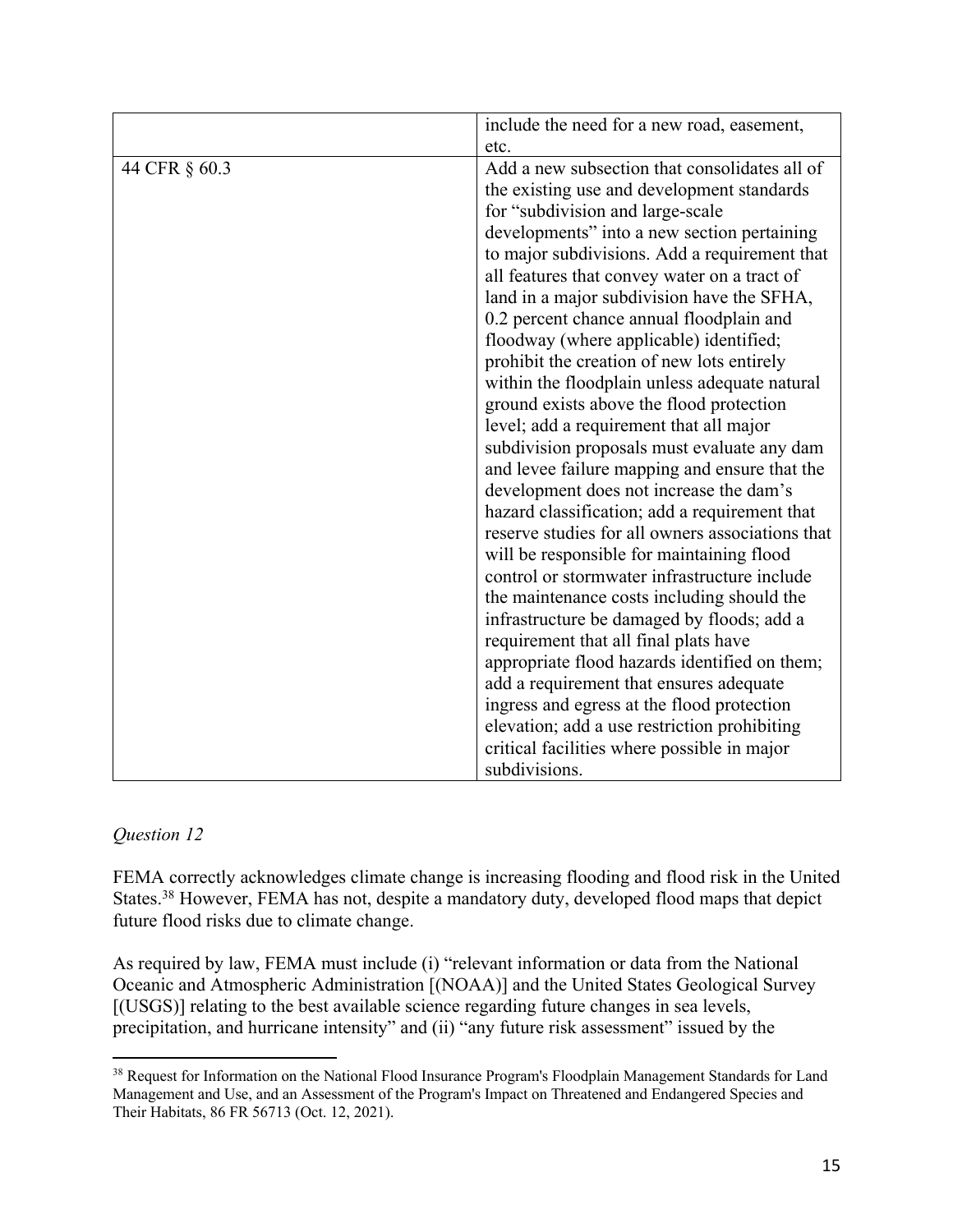|               | include the need for a new road, easement,                                                                                                                                                                                                                                                                                                                                                                                                                                                                                                                                                                                                                                                                                                                                                                                                                                                                                                                                                            |
|---------------|-------------------------------------------------------------------------------------------------------------------------------------------------------------------------------------------------------------------------------------------------------------------------------------------------------------------------------------------------------------------------------------------------------------------------------------------------------------------------------------------------------------------------------------------------------------------------------------------------------------------------------------------------------------------------------------------------------------------------------------------------------------------------------------------------------------------------------------------------------------------------------------------------------------------------------------------------------------------------------------------------------|
|               | etc.                                                                                                                                                                                                                                                                                                                                                                                                                                                                                                                                                                                                                                                                                                                                                                                                                                                                                                                                                                                                  |
| 44 CFR § 60.3 | Add a new subsection that consolidates all of<br>the existing use and development standards<br>for "subdivision and large-scale<br>developments" into a new section pertaining<br>to major subdivisions. Add a requirement that<br>all features that convey water on a tract of<br>land in a major subdivision have the SFHA,<br>0.2 percent chance annual floodplain and<br>floodway (where applicable) identified;<br>prohibit the creation of new lots entirely<br>within the floodplain unless adequate natural<br>ground exists above the flood protection<br>level; add a requirement that all major<br>subdivision proposals must evaluate any dam<br>and levee failure mapping and ensure that the<br>development does not increase the dam's<br>hazard classification; add a requirement that<br>reserve studies for all owners associations that<br>will be responsible for maintaining flood<br>control or stormwater infrastructure include<br>the maintenance costs including should the |
|               | infrastructure be damaged by floods; add a                                                                                                                                                                                                                                                                                                                                                                                                                                                                                                                                                                                                                                                                                                                                                                                                                                                                                                                                                            |
|               | requirement that all final plats have<br>appropriate flood hazards identified on them;<br>add a requirement that ensures adequate<br>ingress and egress at the flood protection<br>elevation; add a use restriction prohibiting<br>critical facilities where possible in major<br>subdivisions.                                                                                                                                                                                                                                                                                                                                                                                                                                                                                                                                                                                                                                                                                                       |

#### *Question 12*

FEMA correctly acknowledges climate change is increasing flooding and flood risk in the United States.38 However, FEMA has not, despite a mandatory duty, developed flood maps that depict future flood risks due to climate change.

As required by law, FEMA must include (i) "relevant information or data from the National Oceanic and Atmospheric Administration [(NOAA)] and the United States Geological Survey [(USGS)] relating to the best available science regarding future changes in sea levels, precipitation, and hurricane intensity" and (ii) "any future risk assessment" issued by the

<sup>&</sup>lt;sup>38</sup> Request for Information on the National Flood Insurance Program's Floodplain Management Standards for Land Management and Use, and an Assessment of the Program's Impact on Threatened and Endangered Species and Their Habitats, 86 FR 56713 (Oct. 12, 2021).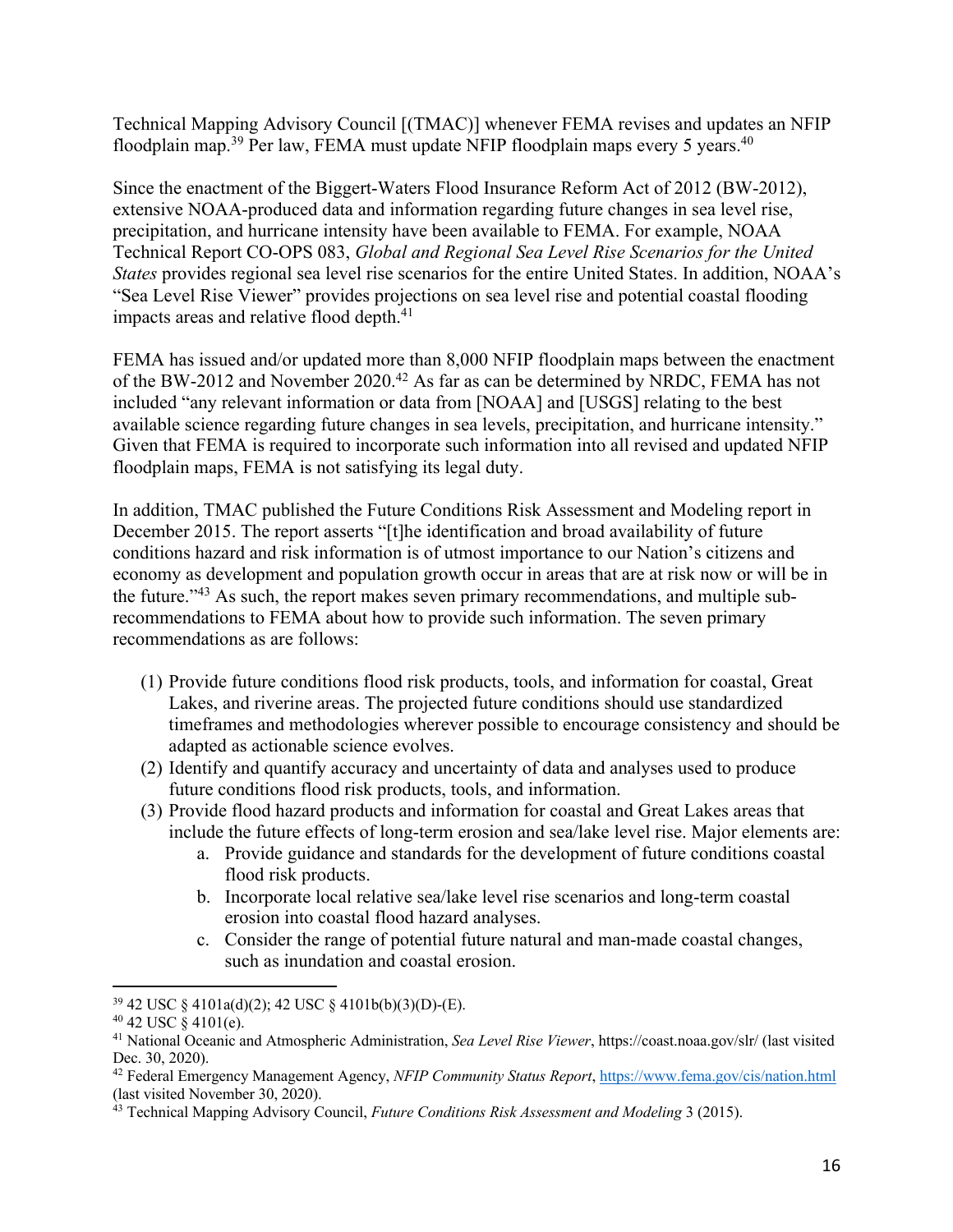Technical Mapping Advisory Council [(TMAC)] whenever FEMA revises and updates an NFIP floodplain map.<sup>39</sup> Per law, FEMA must update NFIP floodplain maps every 5 years.<sup>40</sup>

Since the enactment of the Biggert-Waters Flood Insurance Reform Act of 2012 (BW-2012), extensive NOAA-produced data and information regarding future changes in sea level rise, precipitation, and hurricane intensity have been available to FEMA. For example, NOAA Technical Report CO-OPS 083, *Global and Regional Sea Level Rise Scenarios for the United States* provides regional sea level rise scenarios for the entire United States. In addition, NOAA's "Sea Level Rise Viewer" provides projections on sea level rise and potential coastal flooding impacts areas and relative flood depth.<sup>41</sup>

FEMA has issued and/or updated more than 8,000 NFIP floodplain maps between the enactment of the BW-2012 and November 2020.<sup>42</sup> As far as can be determined by NRDC, FEMA has not included "any relevant information or data from [NOAA] and [USGS] relating to the best available science regarding future changes in sea levels, precipitation, and hurricane intensity." Given that FEMA is required to incorporate such information into all revised and updated NFIP floodplain maps, FEMA is not satisfying its legal duty.

In addition, TMAC published the Future Conditions Risk Assessment and Modeling report in December 2015. The report asserts "[t]he identification and broad availability of future conditions hazard and risk information is of utmost importance to our Nation's citizens and economy as development and population growth occur in areas that are at risk now or will be in the future."43 As such, the report makes seven primary recommendations, and multiple subrecommendations to FEMA about how to provide such information. The seven primary recommendations as are follows:

- (1) Provide future conditions flood risk products, tools, and information for coastal, Great Lakes, and riverine areas. The projected future conditions should use standardized timeframes and methodologies wherever possible to encourage consistency and should be adapted as actionable science evolves.
- (2) Identify and quantify accuracy and uncertainty of data and analyses used to produce future conditions flood risk products, tools, and information.
- (3) Provide flood hazard products and information for coastal and Great Lakes areas that include the future effects of long-term erosion and sea/lake level rise. Major elements are:
	- a. Provide guidance and standards for the development of future conditions coastal flood risk products.
	- b. Incorporate local relative sea/lake level rise scenarios and long-term coastal erosion into coastal flood hazard analyses.
	- c. Consider the range of potential future natural and man-made coastal changes, such as inundation and coastal erosion.

<sup>39</sup> 42 USC § 4101a(d)(2); 42 USC § 4101b(b)(3)(D)-(E).

 $40$  42 USC  $\dot{\S}$  4101(e).

<sup>41</sup> National Oceanic and Atmospheric Administration, *Sea Level Rise Viewer*, https://coast.noaa.gov/slr/ (last visited Dec. 30, 2020).

<sup>42</sup> Federal Emergency Management Agency, *NFIP Community Status Report*, https://www.fema.gov/cis/nation.html (last visited November 30, 2020).

<sup>43</sup> Technical Mapping Advisory Council, *Future Conditions Risk Assessment and Modeling* 3 (2015).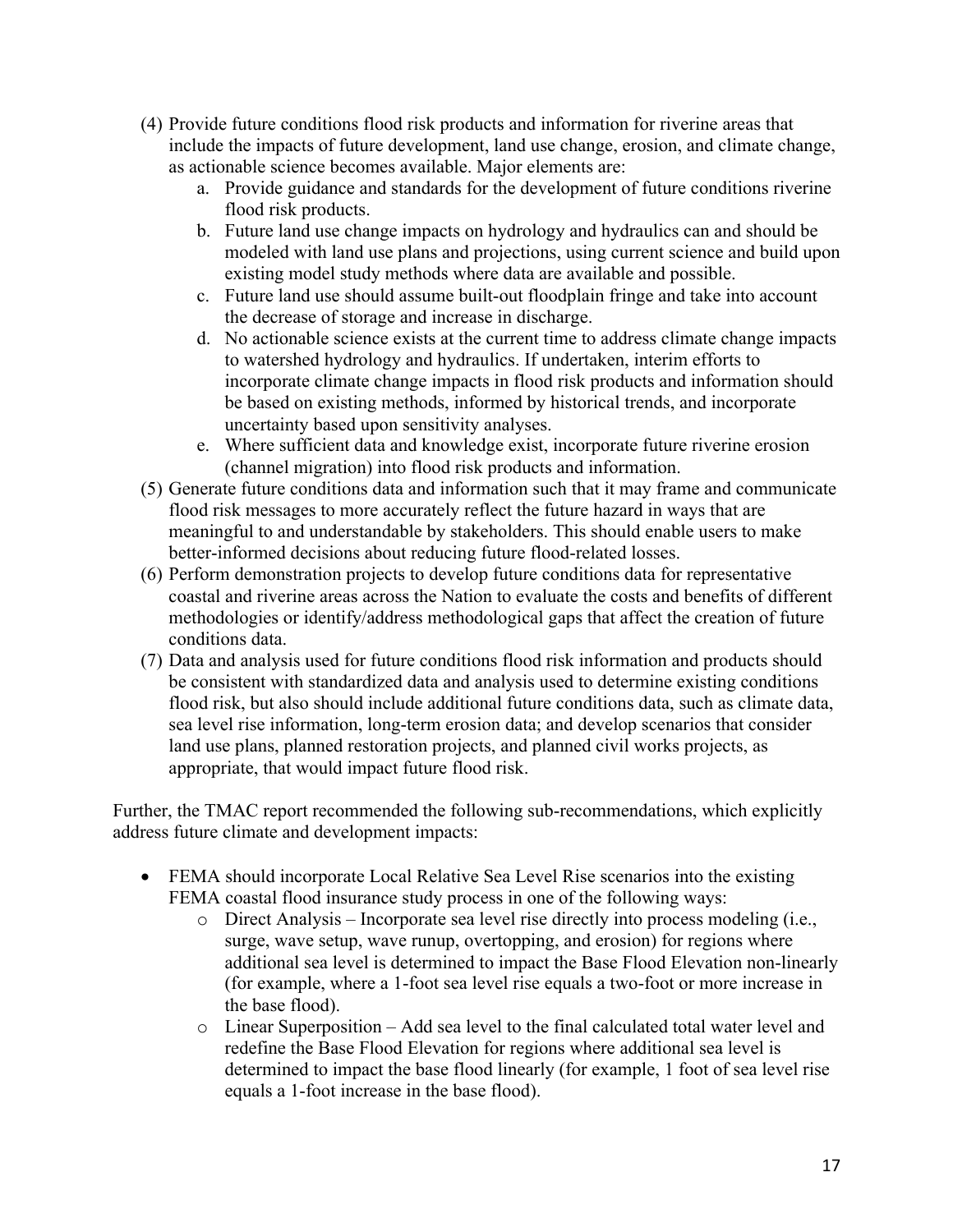- (4) Provide future conditions flood risk products and information for riverine areas that include the impacts of future development, land use change, erosion, and climate change, as actionable science becomes available. Major elements are:
	- a. Provide guidance and standards for the development of future conditions riverine flood risk products.
	- b. Future land use change impacts on hydrology and hydraulics can and should be modeled with land use plans and projections, using current science and build upon existing model study methods where data are available and possible.
	- c. Future land use should assume built-out floodplain fringe and take into account the decrease of storage and increase in discharge.
	- d. No actionable science exists at the current time to address climate change impacts to watershed hydrology and hydraulics. If undertaken, interim efforts to incorporate climate change impacts in flood risk products and information should be based on existing methods, informed by historical trends, and incorporate uncertainty based upon sensitivity analyses.
	- e. Where sufficient data and knowledge exist, incorporate future riverine erosion (channel migration) into flood risk products and information.
- (5) Generate future conditions data and information such that it may frame and communicate flood risk messages to more accurately reflect the future hazard in ways that are meaningful to and understandable by stakeholders. This should enable users to make better-informed decisions about reducing future flood-related losses.
- (6) Perform demonstration projects to develop future conditions data for representative coastal and riverine areas across the Nation to evaluate the costs and benefits of different methodologies or identify/address methodological gaps that affect the creation of future conditions data.
- (7) Data and analysis used for future conditions flood risk information and products should be consistent with standardized data and analysis used to determine existing conditions flood risk, but also should include additional future conditions data, such as climate data, sea level rise information, long-term erosion data; and develop scenarios that consider land use plans, planned restoration projects, and planned civil works projects, as appropriate, that would impact future flood risk.

Further, the TMAC report recommended the following sub-recommendations, which explicitly address future climate and development impacts:

- FEMA should incorporate Local Relative Sea Level Rise scenarios into the existing FEMA coastal flood insurance study process in one of the following ways:
	- o Direct Analysis Incorporate sea level rise directly into process modeling (i.e., surge, wave setup, wave runup, overtopping, and erosion) for regions where additional sea level is determined to impact the Base Flood Elevation non-linearly (for example, where a 1-foot sea level rise equals a two-foot or more increase in the base flood).
	- o Linear Superposition Add sea level to the final calculated total water level and redefine the Base Flood Elevation for regions where additional sea level is determined to impact the base flood linearly (for example, 1 foot of sea level rise equals a 1-foot increase in the base flood).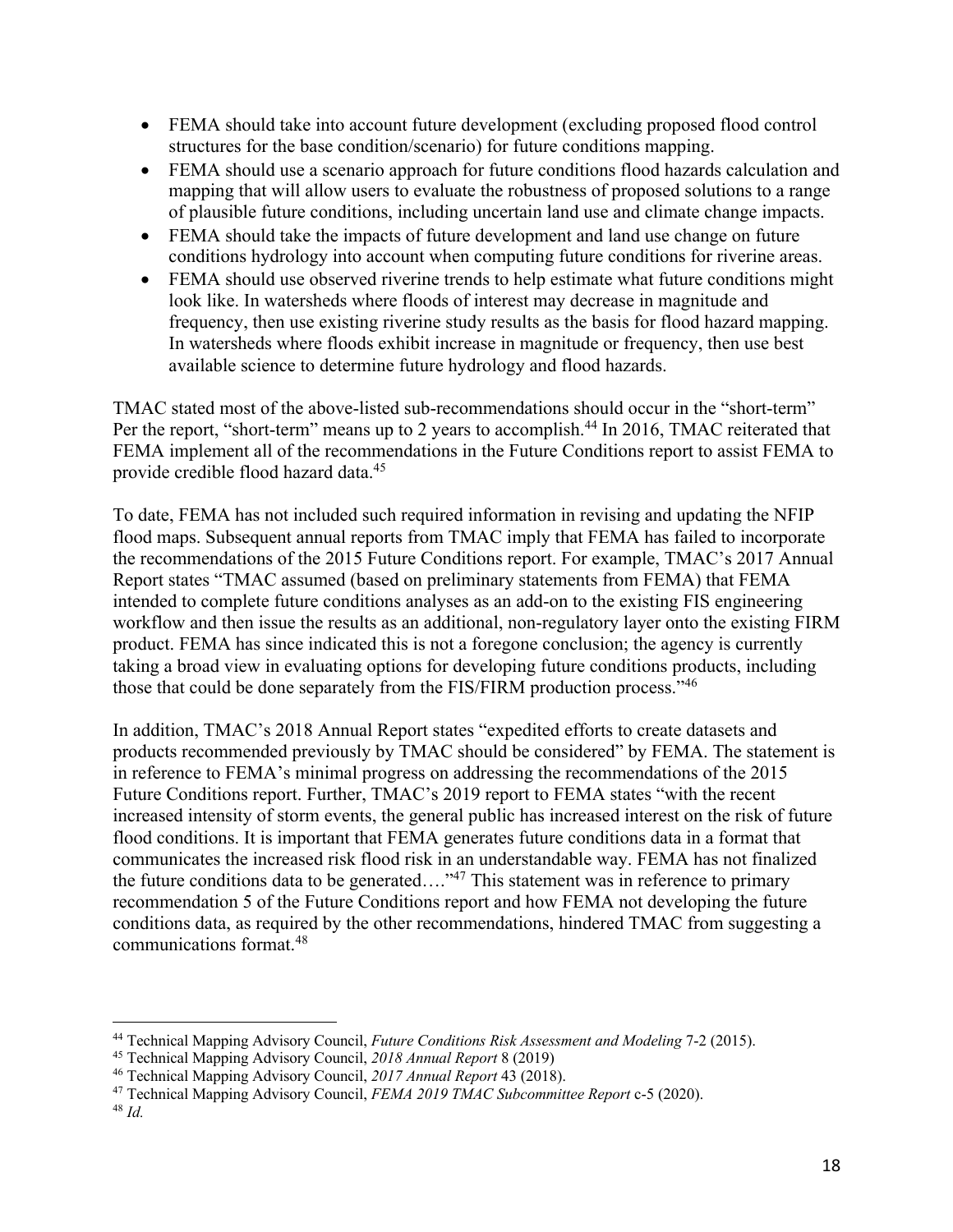- FEMA should take into account future development (excluding proposed flood control structures for the base condition/scenario) for future conditions mapping.
- FEMA should use a scenario approach for future conditions flood hazards calculation and mapping that will allow users to evaluate the robustness of proposed solutions to a range of plausible future conditions, including uncertain land use and climate change impacts.
- FEMA should take the impacts of future development and land use change on future conditions hydrology into account when computing future conditions for riverine areas.
- FEMA should use observed riverine trends to help estimate what future conditions might look like. In watersheds where floods of interest may decrease in magnitude and frequency, then use existing riverine study results as the basis for flood hazard mapping. In watersheds where floods exhibit increase in magnitude or frequency, then use best available science to determine future hydrology and flood hazards.

TMAC stated most of the above-listed sub-recommendations should occur in the "short-term" Per the report, "short-term" means up to 2 years to accomplish.<sup>44</sup> In 2016, TMAC reiterated that FEMA implement all of the recommendations in the Future Conditions report to assist FEMA to provide credible flood hazard data.45

To date, FEMA has not included such required information in revising and updating the NFIP flood maps. Subsequent annual reports from TMAC imply that FEMA has failed to incorporate the recommendations of the 2015 Future Conditions report. For example, TMAC's 2017 Annual Report states "TMAC assumed (based on preliminary statements from FEMA) that FEMA intended to complete future conditions analyses as an add-on to the existing FIS engineering workflow and then issue the results as an additional, non-regulatory layer onto the existing FIRM product. FEMA has since indicated this is not a foregone conclusion; the agency is currently taking a broad view in evaluating options for developing future conditions products, including those that could be done separately from the FIS/FIRM production process."46

In addition, TMAC's 2018 Annual Report states "expedited efforts to create datasets and products recommended previously by TMAC should be considered" by FEMA. The statement is in reference to FEMA's minimal progress on addressing the recommendations of the 2015 Future Conditions report. Further, TMAC's 2019 report to FEMA states "with the recent increased intensity of storm events, the general public has increased interest on the risk of future flood conditions. It is important that FEMA generates future conditions data in a format that communicates the increased risk flood risk in an understandable way. FEMA has not finalized the future conditions data to be generated…."47 This statement was in reference to primary recommendation 5 of the Future Conditions report and how FEMA not developing the future conditions data, as required by the other recommendations, hindered TMAC from suggesting a communications format.48

<sup>44</sup> Technical Mapping Advisory Council, *Future Conditions Risk Assessment and Modeling* 7-2 (2015).

<sup>45</sup> Technical Mapping Advisory Council, *2018 Annual Report* 8 (2019)

<sup>46</sup> Technical Mapping Advisory Council, *2017 Annual Report* 43 (2018).

<sup>47</sup> Technical Mapping Advisory Council, *FEMA 2019 TMAC Subcommittee Report* c-5 (2020).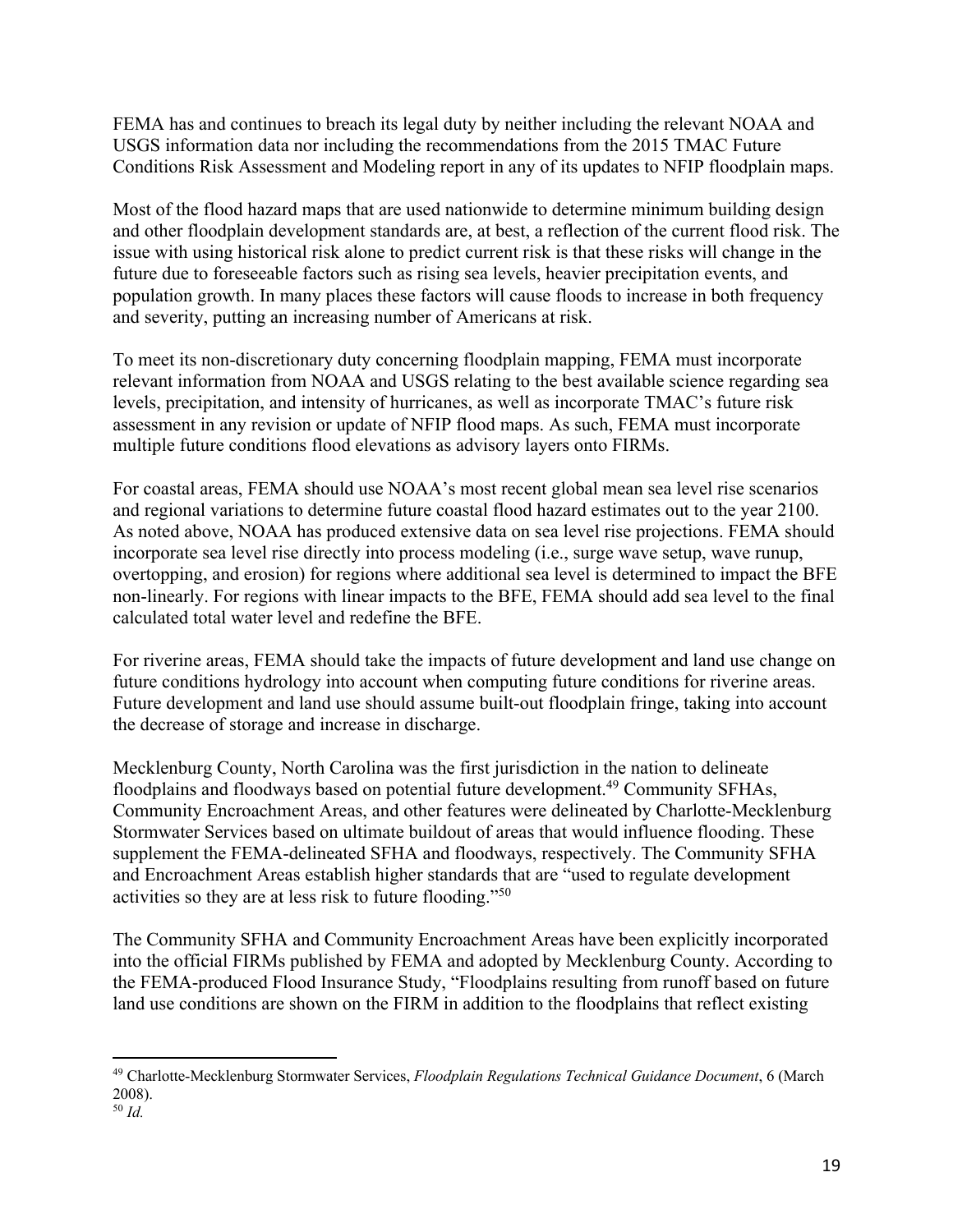FEMA has and continues to breach its legal duty by neither including the relevant NOAA and USGS information data nor including the recommendations from the 2015 TMAC Future Conditions Risk Assessment and Modeling report in any of its updates to NFIP floodplain maps.

Most of the flood hazard maps that are used nationwide to determine minimum building design and other floodplain development standards are, at best, a reflection of the current flood risk. The issue with using historical risk alone to predict current risk is that these risks will change in the future due to foreseeable factors such as rising sea levels, heavier precipitation events, and population growth. In many places these factors will cause floods to increase in both frequency and severity, putting an increasing number of Americans at risk.

To meet its non-discretionary duty concerning floodplain mapping, FEMA must incorporate relevant information from NOAA and USGS relating to the best available science regarding sea levels, precipitation, and intensity of hurricanes, as well as incorporate TMAC's future risk assessment in any revision or update of NFIP flood maps. As such, FEMA must incorporate multiple future conditions flood elevations as advisory layers onto FIRMs.

For coastal areas, FEMA should use NOAA's most recent global mean sea level rise scenarios and regional variations to determine future coastal flood hazard estimates out to the year 2100. As noted above, NOAA has produced extensive data on sea level rise projections. FEMA should incorporate sea level rise directly into process modeling (i.e., surge wave setup, wave runup, overtopping, and erosion) for regions where additional sea level is determined to impact the BFE non-linearly. For regions with linear impacts to the BFE, FEMA should add sea level to the final calculated total water level and redefine the BFE.

For riverine areas, FEMA should take the impacts of future development and land use change on future conditions hydrology into account when computing future conditions for riverine areas. Future development and land use should assume built-out floodplain fringe, taking into account the decrease of storage and increase in discharge.

Mecklenburg County, North Carolina was the first jurisdiction in the nation to delineate floodplains and floodways based on potential future development.<sup>49</sup> Community SFHAs, Community Encroachment Areas, and other features were delineated by Charlotte-Mecklenburg Stormwater Services based on ultimate buildout of areas that would influence flooding. These supplement the FEMA-delineated SFHA and floodways, respectively. The Community SFHA and Encroachment Areas establish higher standards that are "used to regulate development activities so they are at less risk to future flooding."50

The Community SFHA and Community Encroachment Areas have been explicitly incorporated into the official FIRMs published by FEMA and adopted by Mecklenburg County. According to the FEMA-produced Flood Insurance Study, "Floodplains resulting from runoff based on future land use conditions are shown on the FIRM in addition to the floodplains that reflect existing

<sup>49</sup> Charlotte-Mecklenburg Stormwater Services, *Floodplain Regulations Technical Guidance Document*, 6 (March 2008).

<sup>50</sup> *Id.*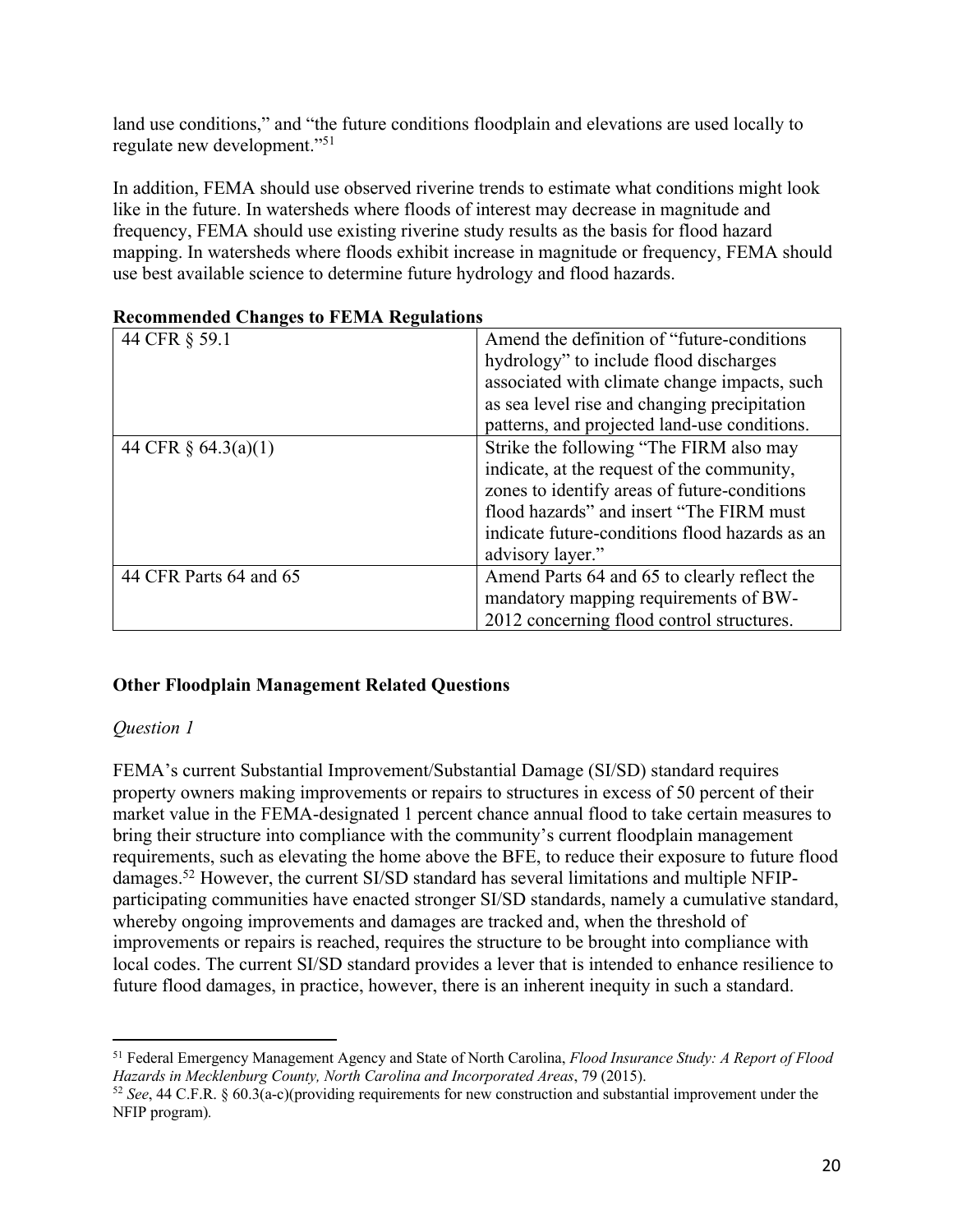land use conditions," and "the future conditions floodplain and elevations are used locally to regulate new development."51

In addition, FEMA should use observed riverine trends to estimate what conditions might look like in the future. In watersheds where floods of interest may decrease in magnitude and frequency, FEMA should use existing riverine study results as the basis for flood hazard mapping. In watersheds where floods exhibit increase in magnitude or frequency, FEMA should use best available science to determine future hydrology and flood hazards.

| 44 CFR § 59.1          | Amend the definition of "future-conditions"    |
|------------------------|------------------------------------------------|
|                        | hydrology" to include flood discharges         |
|                        | associated with climate change impacts, such   |
|                        | as sea level rise and changing precipitation   |
|                        | patterns, and projected land-use conditions.   |
| 44 CFR § 64.3(a)(1)    | Strike the following "The FIRM also may        |
|                        | indicate, at the request of the community,     |
|                        | zones to identify areas of future-conditions   |
|                        | flood hazards" and insert "The FIRM must"      |
|                        | indicate future-conditions flood hazards as an |
|                        | advisory layer."                               |
| 44 CFR Parts 64 and 65 | Amend Parts 64 and 65 to clearly reflect the   |
|                        | mandatory mapping requirements of BW-          |
|                        | 2012 concerning flood control structures.      |

#### **Recommended Changes to FEMA Regulations**

#### **Other Floodplain Management Related Questions**

#### *Question 1*

FEMA's current Substantial Improvement/Substantial Damage (SI/SD) standard requires property owners making improvements or repairs to structures in excess of 50 percent of their market value in the FEMA-designated 1 percent chance annual flood to take certain measures to bring their structure into compliance with the community's current floodplain management requirements, such as elevating the home above the BFE, to reduce their exposure to future flood damages.52 However, the current SI/SD standard has several limitations and multiple NFIPparticipating communities have enacted stronger SI/SD standards, namely a cumulative standard, whereby ongoing improvements and damages are tracked and, when the threshold of improvements or repairs is reached, requires the structure to be brought into compliance with local codes. The current SI/SD standard provides a lever that is intended to enhance resilience to future flood damages, in practice, however, there is an inherent inequity in such a standard.

<sup>51</sup> Federal Emergency Management Agency and State of North Carolina, *Flood Insurance Study: A Report of Flood Hazards in Mecklenburg County, North Carolina and Incorporated Areas*, 79 (2015).

<sup>52</sup> *See*, 44 C.F.R. § 60.3(a-c)(providing requirements for new construction and substantial improvement under the NFIP program)*.*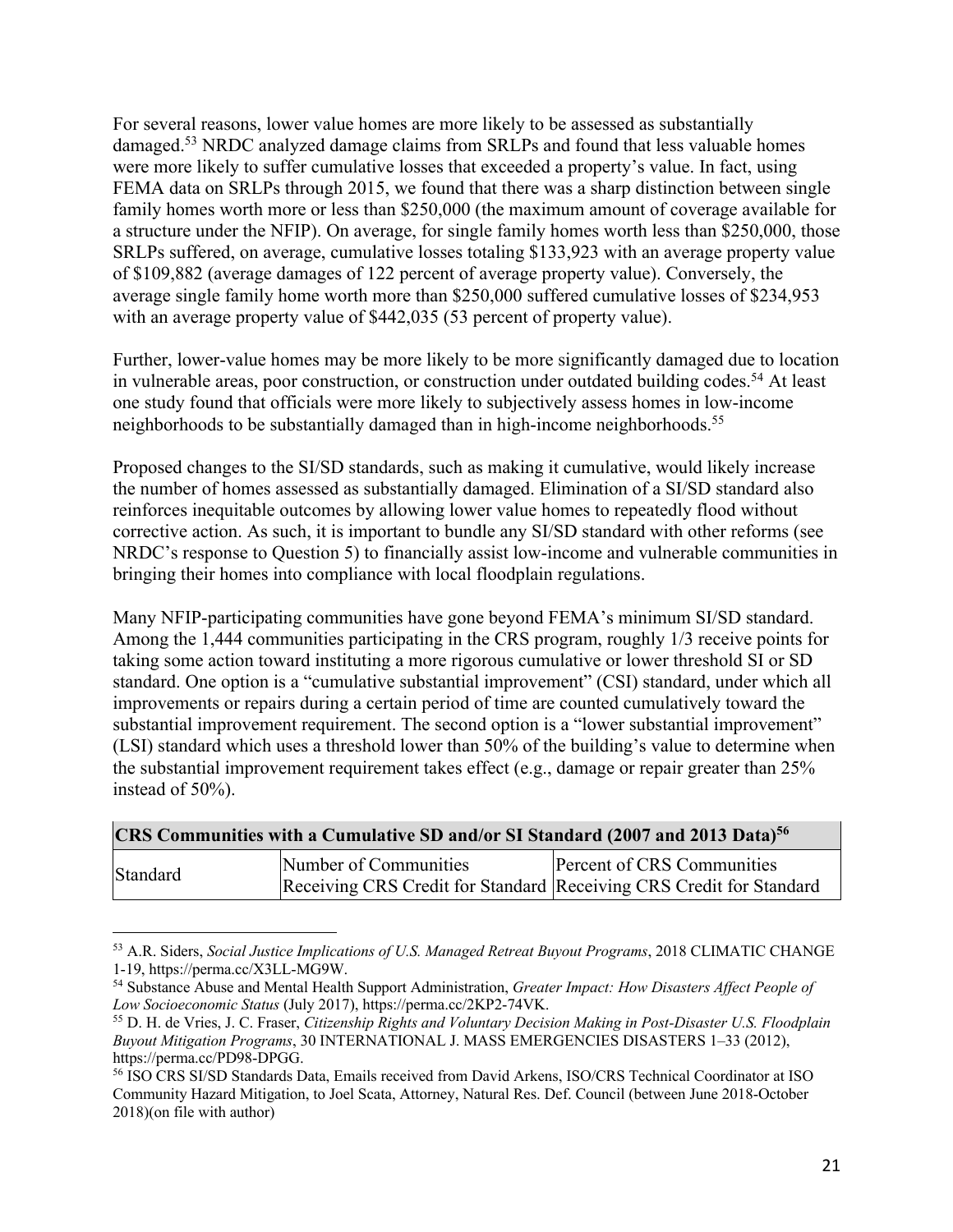For several reasons, lower value homes are more likely to be assessed as substantially damaged.53 NRDC analyzed damage claims from SRLPs and found that less valuable homes were more likely to suffer cumulative losses that exceeded a property's value. In fact, using FEMA data on SRLPs through 2015, we found that there was a sharp distinction between single family homes worth more or less than \$250,000 (the maximum amount of coverage available for a structure under the NFIP). On average, for single family homes worth less than \$250,000, those SRLPs suffered, on average, cumulative losses totaling \$133,923 with an average property value of \$109,882 (average damages of 122 percent of average property value). Conversely, the average single family home worth more than \$250,000 suffered cumulative losses of \$234,953 with an average property value of \$442,035 (53 percent of property value).

Further, lower-value homes may be more likely to be more significantly damaged due to location in vulnerable areas, poor construction, or construction under outdated building codes.<sup>54</sup> At least one study found that officials were more likely to subjectively assess homes in low-income neighborhoods to be substantially damaged than in high-income neighborhoods.<sup>55</sup>

Proposed changes to the SI/SD standards, such as making it cumulative, would likely increase the number of homes assessed as substantially damaged. Elimination of a SI/SD standard also reinforces inequitable outcomes by allowing lower value homes to repeatedly flood without corrective action. As such, it is important to bundle any SI/SD standard with other reforms (see NRDC's response to Question 5) to financially assist low-income and vulnerable communities in bringing their homes into compliance with local floodplain regulations.

Many NFIP-participating communities have gone beyond FEMA's minimum SI/SD standard. Among the 1,444 communities participating in the CRS program, roughly 1/3 receive points for taking some action toward instituting a more rigorous cumulative or lower threshold SI or SD standard. One option is a "cumulative substantial improvement" (CSI) standard, under which all improvements or repairs during a certain period of time are counted cumulatively toward the substantial improvement requirement. The second option is a "lower substantial improvement" (LSI) standard which uses a threshold lower than 50% of the building's value to determine when the substantial improvement requirement takes effect (e.g., damage or repair greater than 25% instead of 50%).

| CRS Communities with a Cumulative SD and/or SI Standard (2007 and 2013 Data) <sup>56</sup> |                       |                                                                                                   |  |  |
|--------------------------------------------------------------------------------------------|-----------------------|---------------------------------------------------------------------------------------------------|--|--|
| Standard                                                                                   | Number of Communities | Percent of CRS Communities<br>Receiving CRS Credit for Standard Receiving CRS Credit for Standard |  |  |

<sup>53</sup> A.R. Siders, *Social Justice Implications of U.S. Managed Retreat Buyout Programs*, 2018 CLIMATIC CHANGE

<sup>&</sup>lt;sup>54</sup> Substance Abuse and Mental Health Support Administration, *Greater Impact: How Disasters Affect People of Low Socioeconomic Status* (July 2017), https://perma.cc/2KP2-74VK.

<sup>&</sup>lt;sup>55</sup> D. H. de Vries, J. C. Fraser, *Citizenship Rights and Voluntary Decision Making in Post-Disaster U.S. Floodplain Buyout Mitigation Programs*, 30 INTERNATIONAL J. MASS EMERGENCIES DISASTERS 1–33 (2012), https://perma.cc/PD98-DPGG.<br><sup>56</sup> ISO CRS SI/SD Standards Data, Emails received from David Arkens, ISO/CRS Technical Coordinator at ISO

Community Hazard Mitigation, to Joel Scata, Attorney, Natural Res. Def. Council (between June 2018-October 2018)(on file with author)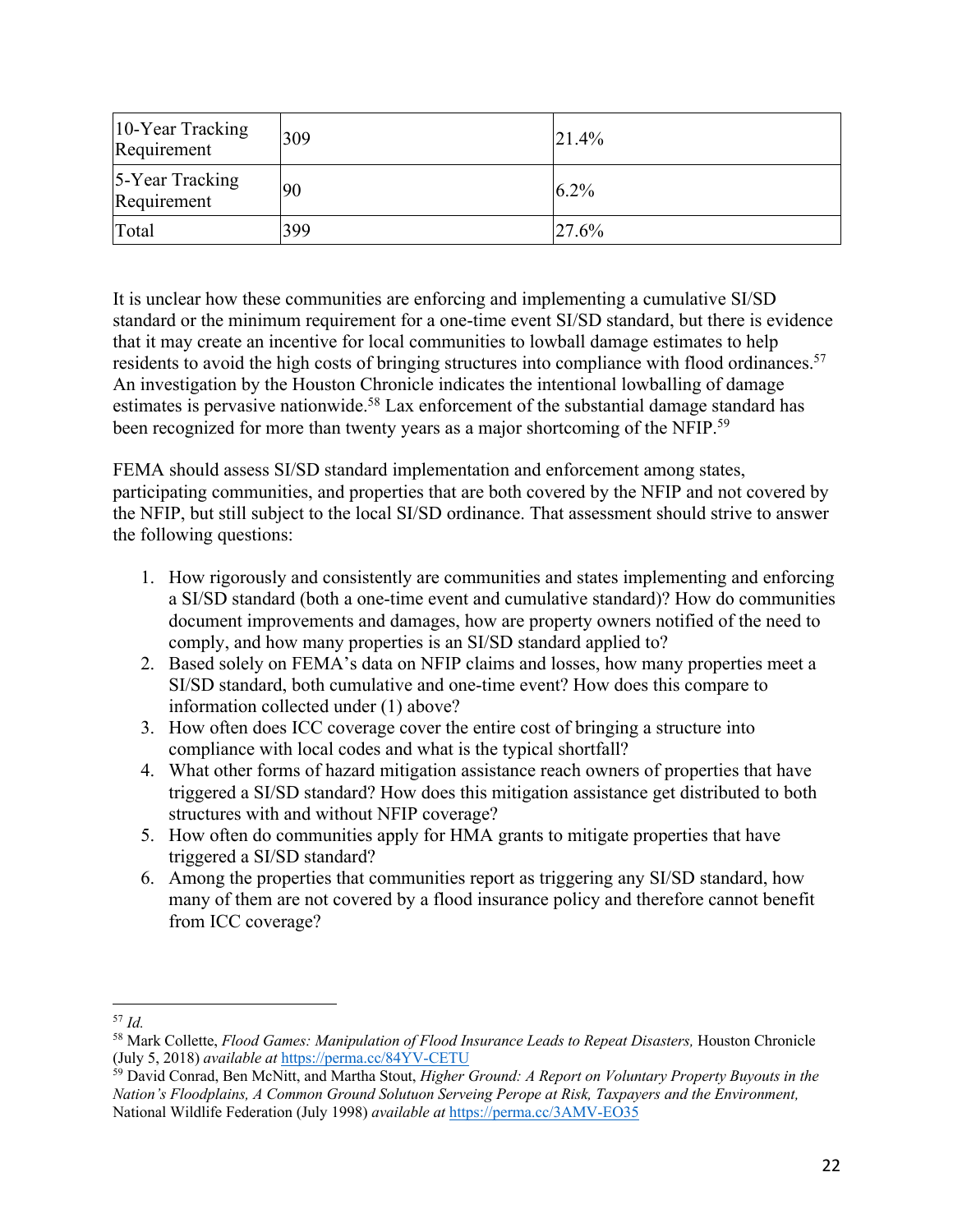| 10-Year Tracking<br>Requirement | 309 | 21.4%   |
|---------------------------------|-----|---------|
| 5-Year Tracking<br>Requirement  | 90  | $6.2\%$ |
| Total                           | 399 | 27.6%   |

It is unclear how these communities are enforcing and implementing a cumulative SI/SD standard or the minimum requirement for a one-time event SI/SD standard, but there is evidence that it may create an incentive for local communities to lowball damage estimates to help residents to avoid the high costs of bringing structures into compliance with flood ordinances.<sup>57</sup> An investigation by the Houston Chronicle indicates the intentional lowballing of damage estimates is pervasive nationwide.<sup>58</sup> Lax enforcement of the substantial damage standard has been recognized for more than twenty years as a major shortcoming of the NFIP.<sup>59</sup>

FEMA should assess SI/SD standard implementation and enforcement among states, participating communities, and properties that are both covered by the NFIP and not covered by the NFIP, but still subject to the local SI/SD ordinance. That assessment should strive to answer the following questions:

- 1. How rigorously and consistently are communities and states implementing and enforcing a SI/SD standard (both a one-time event and cumulative standard)? How do communities document improvements and damages, how are property owners notified of the need to comply, and how many properties is an SI/SD standard applied to?
- 2. Based solely on FEMA's data on NFIP claims and losses, how many properties meet a SI/SD standard, both cumulative and one-time event? How does this compare to information collected under (1) above?
- 3. How often does ICC coverage cover the entire cost of bringing a structure into compliance with local codes and what is the typical shortfall?
- 4. What other forms of hazard mitigation assistance reach owners of properties that have triggered a SI/SD standard? How does this mitigation assistance get distributed to both structures with and without NFIP coverage?
- 5. How often do communities apply for HMA grants to mitigate properties that have triggered a SI/SD standard?
- 6. Among the properties that communities report as triggering any SI/SD standard, how many of them are not covered by a flood insurance policy and therefore cannot benefit from ICC coverage?

<sup>57</sup> *Id.*

<sup>58</sup> Mark Collette, *Flood Games: Manipulation of Flood Insurance Leads to Repeat Disasters,* Houston Chronicle (July 5, 2018) *available at* https://perma.cc/84YV-CETU

<sup>59</sup> David Conrad, Ben McNitt, and Martha Stout, *Higher Ground: A Report on Voluntary Property Buyouts in the Nation's Floodplains, A Common Ground Solutuon Serveing Perope at Risk, Taxpayers and the Environment,*  National Wildlife Federation (July 1998) *available at* https://perma.cc/3AMV-EO35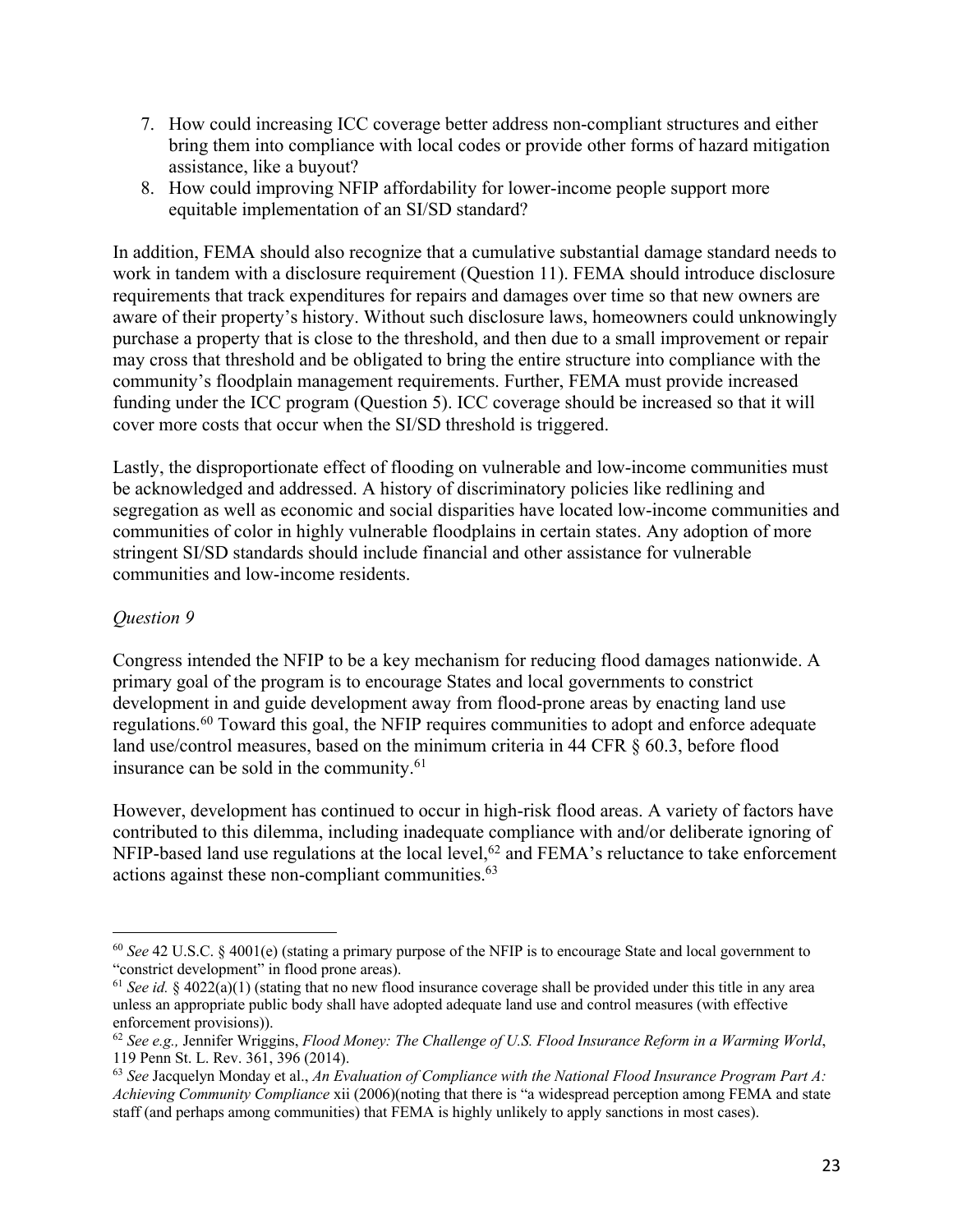- 7. How could increasing ICC coverage better address non-compliant structures and either bring them into compliance with local codes or provide other forms of hazard mitigation assistance, like a buyout?
- 8. How could improving NFIP affordability for lower-income people support more equitable implementation of an SI/SD standard?

In addition, FEMA should also recognize that a cumulative substantial damage standard needs to work in tandem with a disclosure requirement (Question 11). FEMA should introduce disclosure requirements that track expenditures for repairs and damages over time so that new owners are aware of their property's history. Without such disclosure laws, homeowners could unknowingly purchase a property that is close to the threshold, and then due to a small improvement or repair may cross that threshold and be obligated to bring the entire structure into compliance with the community's floodplain management requirements. Further, FEMA must provide increased funding under the ICC program (Question 5). ICC coverage should be increased so that it will cover more costs that occur when the SI/SD threshold is triggered.

Lastly, the disproportionate effect of flooding on vulnerable and low-income communities must be acknowledged and addressed. A history of discriminatory policies like redlining and segregation as well as economic and social disparities have located low-income communities and communities of color in highly vulnerable floodplains in certain states. Any adoption of more stringent SI/SD standards should include financial and other assistance for vulnerable communities and low-income residents.

### *Question 9*

Congress intended the NFIP to be a key mechanism for reducing flood damages nationwide. A primary goal of the program is to encourage States and local governments to constrict development in and guide development away from flood-prone areas by enacting land use regulations.<sup>60</sup> Toward this goal, the NFIP requires communities to adopt and enforce adequate land use/control measures, based on the minimum criteria in 44 CFR § 60.3, before flood insurance can be sold in the community.<sup>61</sup>

However, development has continued to occur in high-risk flood areas. A variety of factors have contributed to this dilemma, including inadequate compliance with and/or deliberate ignoring of NFIP-based land use regulations at the local level, $62$  and FEMA's reluctance to take enforcement actions against these non-compliant communities.63

<sup>60</sup> *See* 42 U.S.C. § 4001(e) (stating a primary purpose of the NFIP is to encourage State and local government to "constrict development" in flood prone areas).

<sup>&</sup>lt;sup>61</sup> *See id.* § 4022(a)(1) (stating that no new flood insurance coverage shall be provided under this title in any area unless an appropriate public body shall have adopted adequate land use and control measures (with effective enforcement provisions)).

<sup>62</sup> *See e.g.,* Jennifer Wriggins, *Flood Money: The Challenge of U.S. Flood Insurance Reform in a Warming World*, 119 Penn St. L. Rev. 361, 396 (2014).

<sup>63</sup> *See* Jacquelyn Monday et al., *An Evaluation of Compliance with the National Flood Insurance Program Part A: Achieving Community Compliance* xii (2006)(noting that there is "a widespread perception among FEMA and state staff (and perhaps among communities) that FEMA is highly unlikely to apply sanctions in most cases).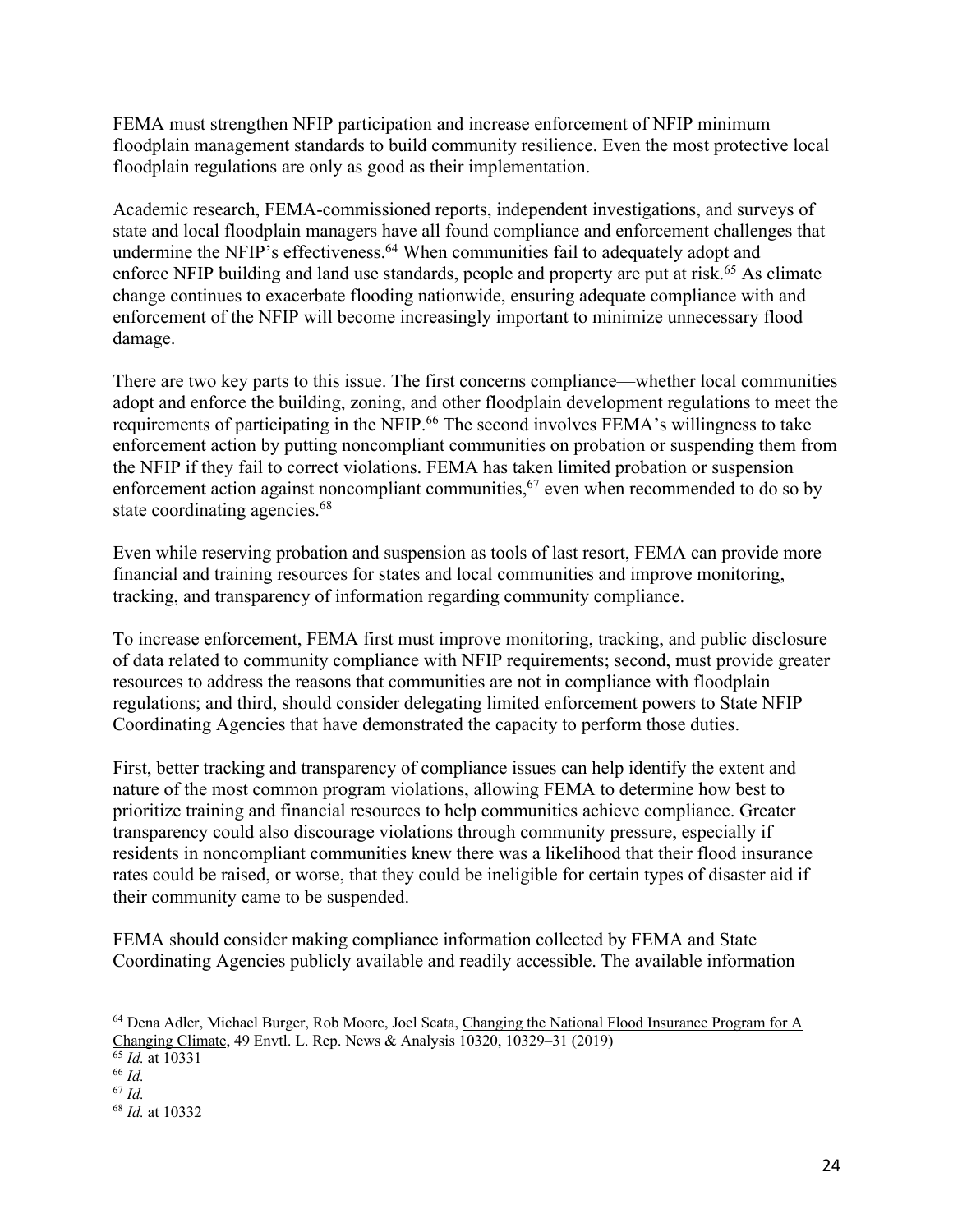FEMA must strengthen NFIP participation and increase enforcement of NFIP minimum floodplain management standards to build community resilience. Even the most protective local floodplain regulations are only as good as their implementation.

Academic research, FEMA-commissioned reports, independent investigations, and surveys of state and local floodplain managers have all found compliance and enforcement challenges that undermine the NFIP's effectiveness.<sup>64</sup> When communities fail to adequately adopt and enforce NFIP building and land use standards, people and property are put at risk.<sup>65</sup> As climate change continues to exacerbate flooding nationwide, ensuring adequate compliance with and enforcement of the NFIP will become increasingly important to minimize unnecessary flood damage.

There are two key parts to this issue. The first concerns compliance—whether local communities adopt and enforce the building, zoning, and other floodplain development regulations to meet the requirements of participating in the NFIP.<sup>66</sup> The second involves FEMA's willingness to take enforcement action by putting noncompliant communities on probation or suspending them from the NFIP if they fail to correct violations. FEMA has taken limited probation or suspension enforcement action against noncompliant communities,  $67$  even when recommended to do so by state coordinating agencies.<sup>68</sup>

Even while reserving probation and suspension as tools of last resort, FEMA can provide more financial and training resources for states and local communities and improve monitoring, tracking, and transparency of information regarding community compliance.

To increase enforcement, FEMA first must improve monitoring, tracking, and public disclosure of data related to community compliance with NFIP requirements; second, must provide greater resources to address the reasons that communities are not in compliance with floodplain regulations; and third, should consider delegating limited enforcement powers to State NFIP Coordinating Agencies that have demonstrated the capacity to perform those duties.

First, better tracking and transparency of compliance issues can help identify the extent and nature of the most common program violations, allowing FEMA to determine how best to prioritize training and financial resources to help communities achieve compliance. Greater transparency could also discourage violations through community pressure, especially if residents in noncompliant communities knew there was a likelihood that their flood insurance rates could be raised, or worse, that they could be ineligible for certain types of disaster aid if their community came to be suspended.

FEMA should consider making compliance information collected by FEMA and State Coordinating Agencies publicly available and readily accessible. The available information

<sup>&</sup>lt;sup>64</sup> Dena Adler, Michael Burger, Rob Moore, Joel Scata, Changing the National Flood Insurance Program for A Changing Climate, 49 Envtl. L. Rep. News & Analysis 10320, 10329–31 (2019)

 $\frac{65}{65}$ *Id.* at 10331

<sup>66</sup> *Id.* <sup>67</sup> *Id.*

<sup>68</sup> *Id.* at 10332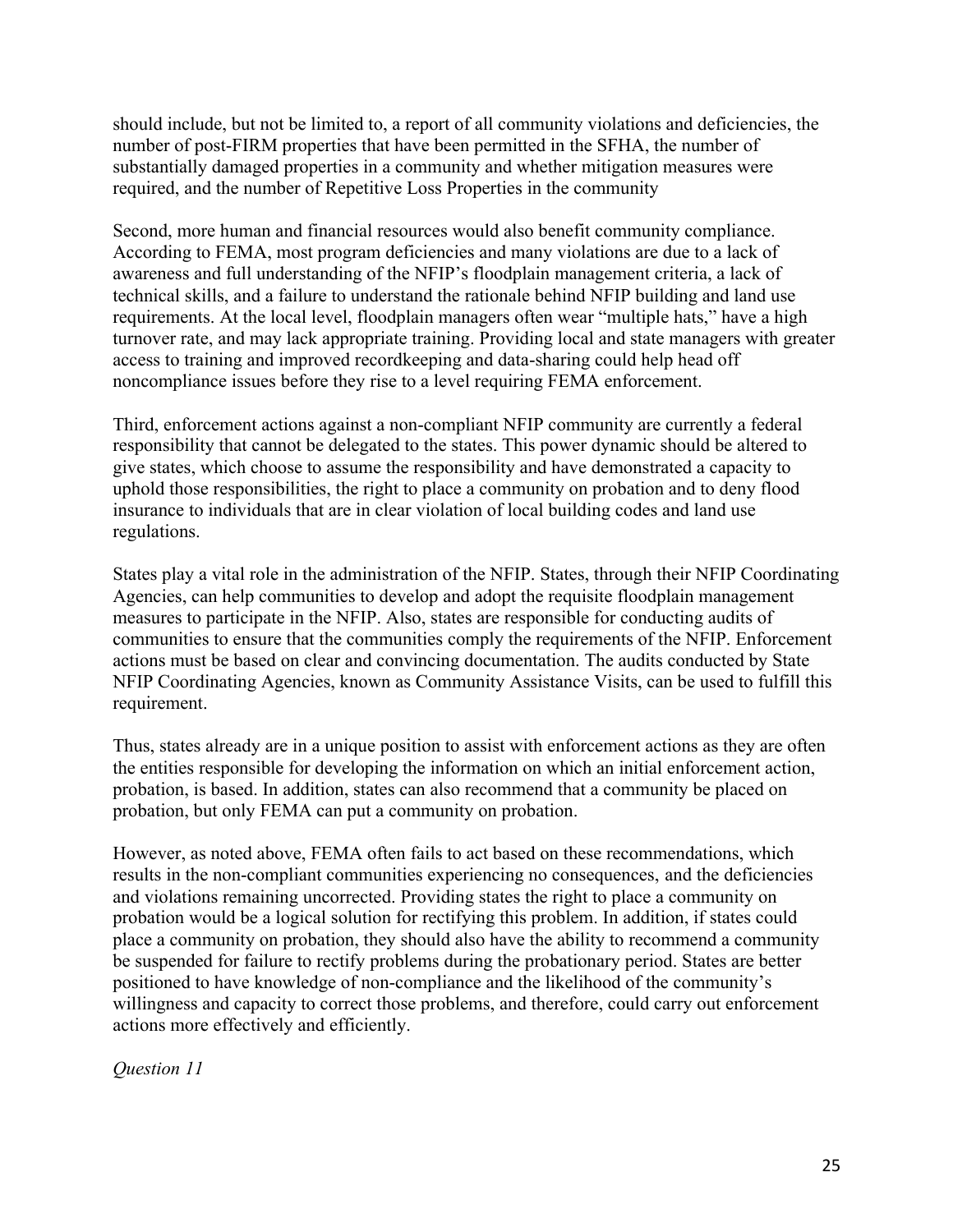should include, but not be limited to, a report of all community violations and deficiencies, the number of post-FIRM properties that have been permitted in the SFHA, the number of substantially damaged properties in a community and whether mitigation measures were required, and the number of Repetitive Loss Properties in the community

Second, more human and financial resources would also benefit community compliance. According to FEMA, most program deficiencies and many violations are due to a lack of awareness and full understanding of the NFIP's floodplain management criteria, a lack of technical skills, and a failure to understand the rationale behind NFIP building and land use requirements. At the local level, floodplain managers often wear "multiple hats," have a high turnover rate, and may lack appropriate training. Providing local and state managers with greater access to training and improved recordkeeping and data-sharing could help head off noncompliance issues before they rise to a level requiring FEMA enforcement.

Third, enforcement actions against a non-compliant NFIP community are currently a federal responsibility that cannot be delegated to the states. This power dynamic should be altered to give states, which choose to assume the responsibility and have demonstrated a capacity to uphold those responsibilities, the right to place a community on probation and to deny flood insurance to individuals that are in clear violation of local building codes and land use regulations.

States play a vital role in the administration of the NFIP. States, through their NFIP Coordinating Agencies, can help communities to develop and adopt the requisite floodplain management measures to participate in the NFIP. Also, states are responsible for conducting audits of communities to ensure that the communities comply the requirements of the NFIP. Enforcement actions must be based on clear and convincing documentation. The audits conducted by State NFIP Coordinating Agencies, known as Community Assistance Visits, can be used to fulfill this requirement.

Thus, states already are in a unique position to assist with enforcement actions as they are often the entities responsible for developing the information on which an initial enforcement action, probation, is based. In addition, states can also recommend that a community be placed on probation, but only FEMA can put a community on probation.

However, as noted above, FEMA often fails to act based on these recommendations, which results in the non-compliant communities experiencing no consequences, and the deficiencies and violations remaining uncorrected. Providing states the right to place a community on probation would be a logical solution for rectifying this problem. In addition, if states could place a community on probation, they should also have the ability to recommend a community be suspended for failure to rectify problems during the probationary period. States are better positioned to have knowledge of non-compliance and the likelihood of the community's willingness and capacity to correct those problems, and therefore, could carry out enforcement actions more effectively and efficiently.

*Question 11*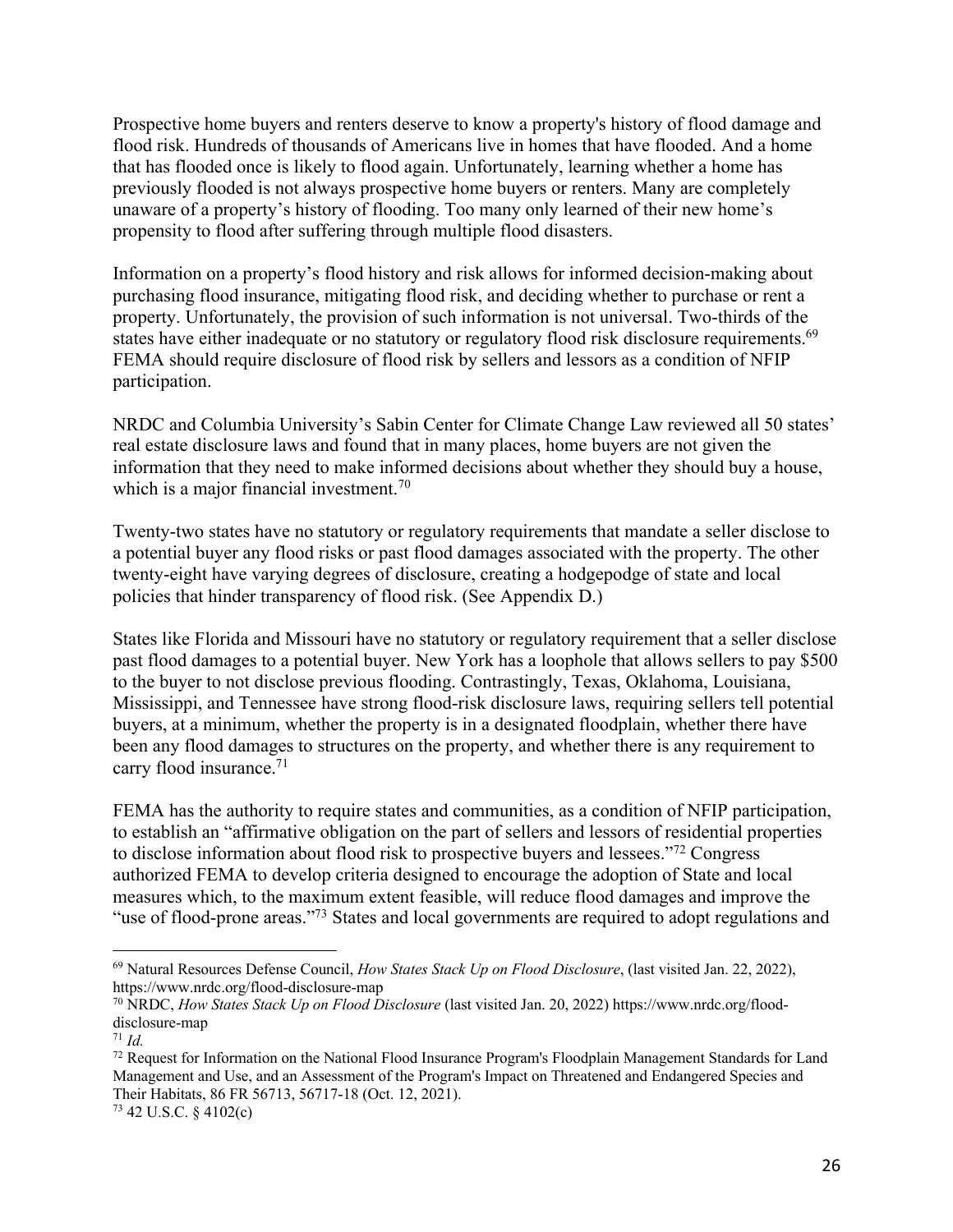Prospective home buyers and renters deserve to know a property's history of flood damage and flood risk. Hundreds of thousands of Americans live in homes that have flooded. And a home that has flooded once is likely to flood again. Unfortunately, learning whether a home has previously flooded is not always prospective home buyers or renters. Many are completely unaware of a property's history of flooding. Too many only learned of their new home's propensity to flood after suffering through multiple flood disasters.

Information on a property's flood history and risk allows for informed decision-making about purchasing flood insurance, mitigating flood risk, and deciding whether to purchase or rent a property. Unfortunately, the provision of such information is not universal. Two-thirds of the states have either inadequate or no statutory or regulatory flood risk disclosure requirements.<sup>69</sup> FEMA should require disclosure of flood risk by sellers and lessors as a condition of NFIP participation.

NRDC and Columbia University's Sabin Center for Climate Change Law reviewed all 50 states' real estate disclosure laws and found that in many places, home buyers are not given the information that they need to make informed decisions about whether they should buy a house, which is a major financial investment.<sup>70</sup>

Twenty-two states have no statutory or regulatory requirements that mandate a seller disclose to a potential buyer any flood risks or past flood damages associated with the property. The other twenty-eight have varying degrees of disclosure, creating a hodgepodge of state and local policies that hinder transparency of flood risk. (See Appendix D.)

States like Florida and Missouri have no statutory or regulatory requirement that a seller disclose past flood damages to a potential buyer. New York has a loophole that allows sellers to pay \$500 to the buyer to not disclose previous flooding. Contrastingly, Texas, Oklahoma, Louisiana, Mississippi, and Tennessee have strong flood-risk disclosure laws, requiring sellers tell potential buyers, at a minimum, whether the property is in a designated floodplain, whether there have been any flood damages to structures on the property, and whether there is any requirement to carry flood insurance.71

FEMA has the authority to require states and communities, as a condition of NFIP participation, to establish an "affirmative obligation on the part of sellers and lessors of residential properties to disclose information about flood risk to prospective buyers and lessees."72 Congress authorized FEMA to develop criteria designed to encourage the adoption of State and local measures which, to the maximum extent feasible, will reduce flood damages and improve the "use of flood-prone areas."73 States and local governments are required to adopt regulations and

<sup>69</sup> Natural Resources Defense Council, *How States Stack Up on Flood Disclosure*, (last visited Jan. 22, 2022), https://www.nrdc.org/flood-disclosure-map

<sup>70</sup> NRDC, *How States Stack Up on Flood Disclosure* (last visited Jan. 20, 2022) https://www.nrdc.org/flooddisclosure-map

 $71$  *Id.* 

<sup>72</sup> Request for Information on the National Flood Insurance Program's Floodplain Management Standards for Land Management and Use, and an Assessment of the Program's Impact on Threatened and Endangered Species and Their Habitats, 86 FR 56713, 56717-18 (Oct. 12, 2021).

<sup>73</sup> 42 U.S.C. § 4102(c)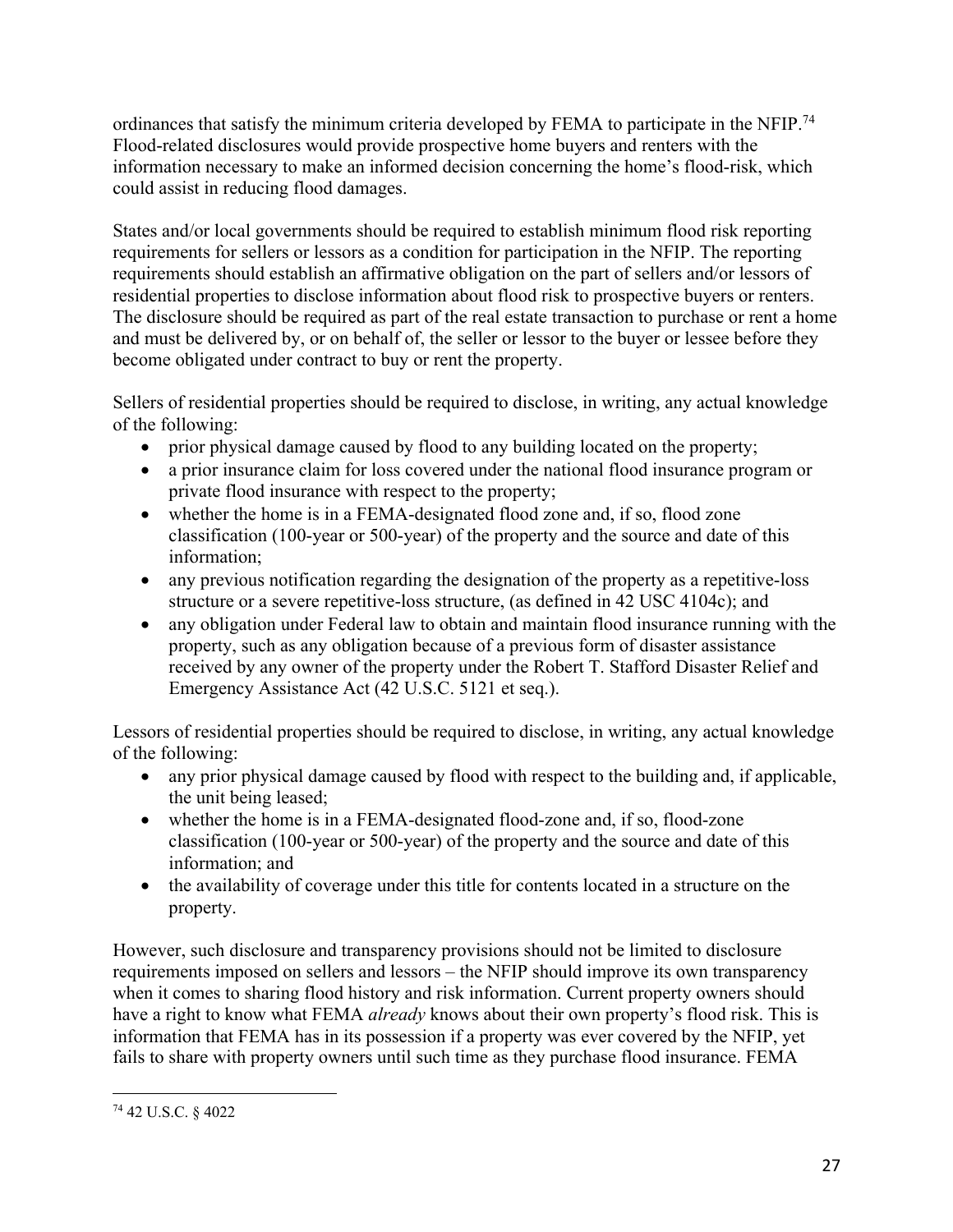ordinances that satisfy the minimum criteria developed by FEMA to participate in the NFIP.<sup>74</sup> Flood-related disclosures would provide prospective home buyers and renters with the information necessary to make an informed decision concerning the home's flood-risk, which could assist in reducing flood damages.

States and/or local governments should be required to establish minimum flood risk reporting requirements for sellers or lessors as a condition for participation in the NFIP. The reporting requirements should establish an affirmative obligation on the part of sellers and/or lessors of residential properties to disclose information about flood risk to prospective buyers or renters. The disclosure should be required as part of the real estate transaction to purchase or rent a home and must be delivered by, or on behalf of, the seller or lessor to the buyer or lessee before they become obligated under contract to buy or rent the property.

Sellers of residential properties should be required to disclose, in writing, any actual knowledge of the following:

- prior physical damage caused by flood to any building located on the property;
- a prior insurance claim for loss covered under the national flood insurance program or private flood insurance with respect to the property;
- whether the home is in a FEMA-designated flood zone and, if so, flood zone classification (100-year or 500-year) of the property and the source and date of this information;
- any previous notification regarding the designation of the property as a repetitive-loss structure or a severe repetitive-loss structure, (as defined in 42 USC 4104c); and
- any obligation under Federal law to obtain and maintain flood insurance running with the property, such as any obligation because of a previous form of disaster assistance received by any owner of the property under the Robert T. Stafford Disaster Relief and Emergency Assistance Act (42 U.S.C. 5121 et seq.).

Lessors of residential properties should be required to disclose, in writing, any actual knowledge of the following:

- any prior physical damage caused by flood with respect to the building and, if applicable, the unit being leased;
- whether the home is in a FEMA-designated flood-zone and, if so, flood-zone classification (100-year or 500-year) of the property and the source and date of this information; and
- the availability of coverage under this title for contents located in a structure on the property.

However, such disclosure and transparency provisions should not be limited to disclosure requirements imposed on sellers and lessors – the NFIP should improve its own transparency when it comes to sharing flood history and risk information. Current property owners should have a right to know what FEMA *already* knows about their own property's flood risk. This is information that FEMA has in its possession if a property was ever covered by the NFIP, yet fails to share with property owners until such time as they purchase flood insurance. FEMA

<sup>74</sup> 42 U.S.C. § 4022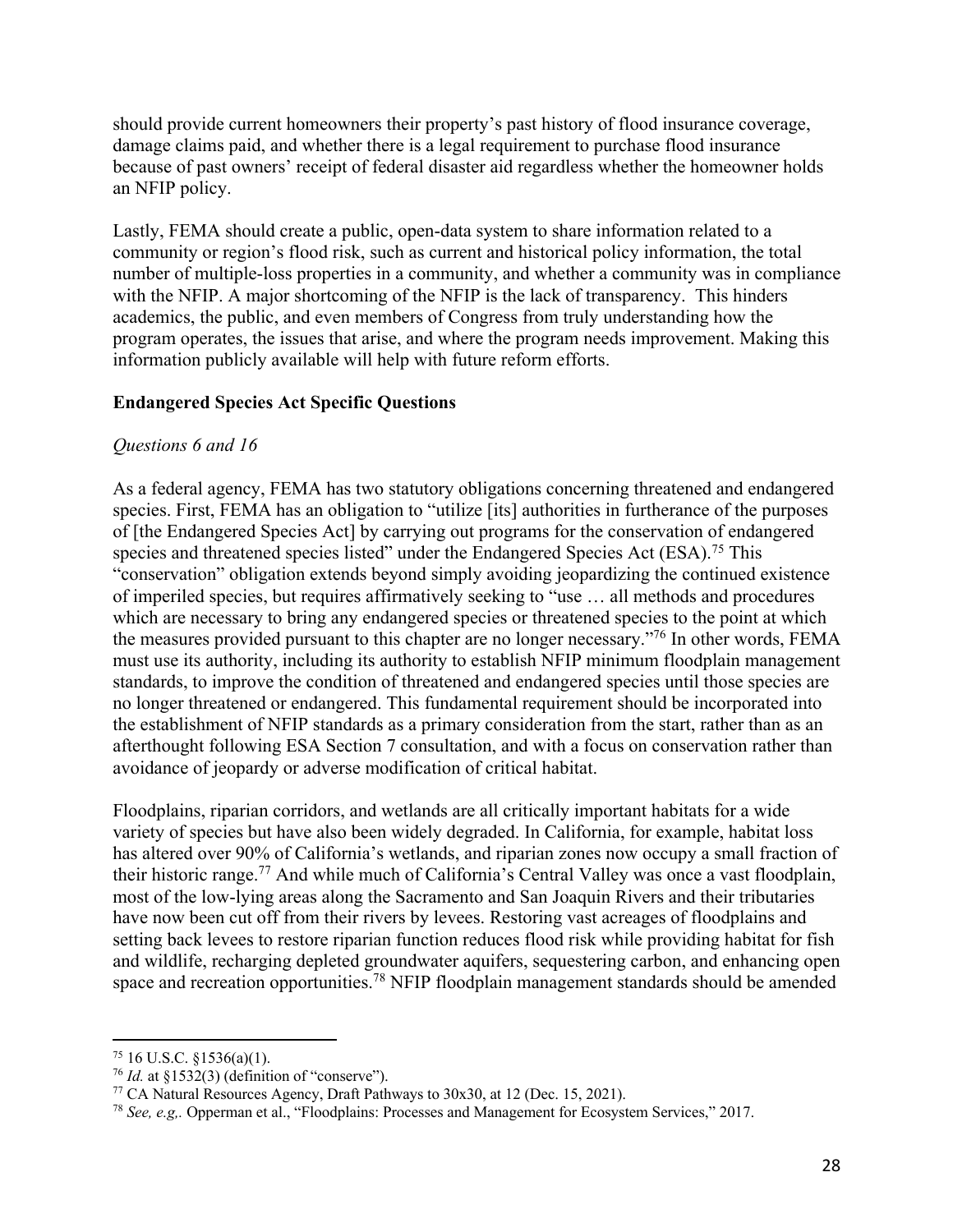should provide current homeowners their property's past history of flood insurance coverage, damage claims paid, and whether there is a legal requirement to purchase flood insurance because of past owners' receipt of federal disaster aid regardless whether the homeowner holds an NFIP policy.

Lastly, FEMA should create a public, open-data system to share information related to a community or region's flood risk, such as current and historical policy information, the total number of multiple-loss properties in a community, and whether a community was in compliance with the NFIP. A major shortcoming of the NFIP is the lack of transparency. This hinders academics, the public, and even members of Congress from truly understanding how the program operates, the issues that arise, and where the program needs improvement. Making this information publicly available will help with future reform efforts.

#### **Endangered Species Act Specific Questions**

#### *Questions 6 and 16*

As a federal agency, FEMA has two statutory obligations concerning threatened and endangered species. First, FEMA has an obligation to "utilize [its] authorities in furtherance of the purposes of [the Endangered Species Act] by carrying out programs for the conservation of endangered species and threatened species listed" under the Endangered Species Act (ESA).<sup>75</sup> This "conservation" obligation extends beyond simply avoiding jeopardizing the continued existence of imperiled species, but requires affirmatively seeking to "use … all methods and procedures which are necessary to bring any endangered species or threatened species to the point at which the measures provided pursuant to this chapter are no longer necessary."76 In other words, FEMA must use its authority, including its authority to establish NFIP minimum floodplain management standards, to improve the condition of threatened and endangered species until those species are no longer threatened or endangered. This fundamental requirement should be incorporated into the establishment of NFIP standards as a primary consideration from the start, rather than as an afterthought following ESA Section 7 consultation, and with a focus on conservation rather than avoidance of jeopardy or adverse modification of critical habitat.

Floodplains, riparian corridors, and wetlands are all critically important habitats for a wide variety of species but have also been widely degraded. In California, for example, habitat loss has altered over 90% of California's wetlands, and riparian zones now occupy a small fraction of their historic range.<sup>77</sup> And while much of California's Central Valley was once a vast floodplain, most of the low-lying areas along the Sacramento and San Joaquin Rivers and their tributaries have now been cut off from their rivers by levees. Restoring vast acreages of floodplains and setting back levees to restore riparian function reduces flood risk while providing habitat for fish and wildlife, recharging depleted groundwater aquifers, sequestering carbon, and enhancing open space and recreation opportunities.<sup>78</sup> NFIP floodplain management standards should be amended

<sup>&</sup>lt;sup>75</sup> 16 U.S.C. §1536(a)(1).<br><sup>76</sup> *Id.* at §1532(3) (definition of "conserve").

<sup>&</sup>lt;sup>77</sup> CA Natural Resources Agency, Draft Pathways to  $30x30$ , at 12 (Dec. 15, 2021).

<sup>78</sup> *See, e.g,.* Opperman et al., "Floodplains: Processes and Management for Ecosystem Services," 2017.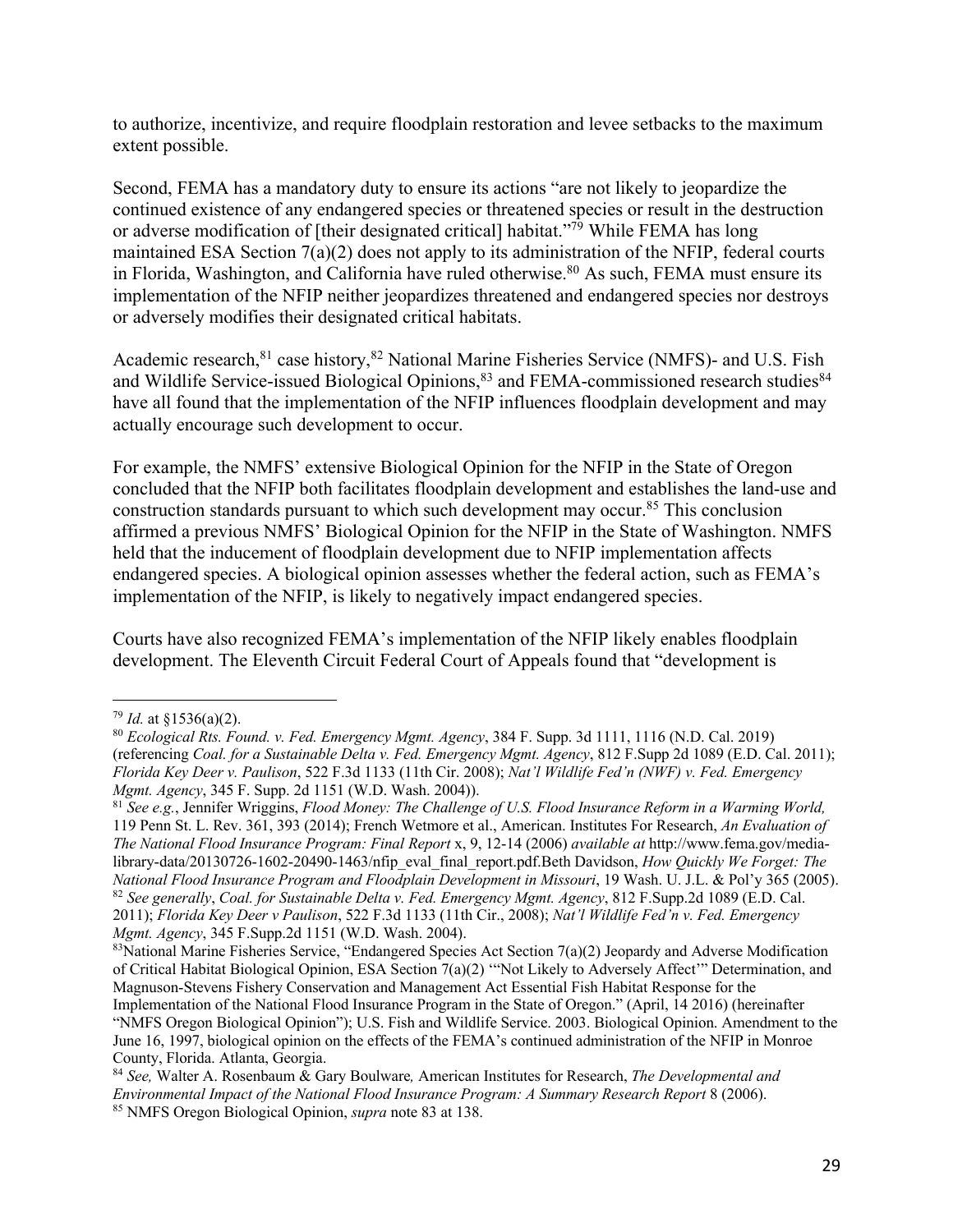to authorize, incentivize, and require floodplain restoration and levee setbacks to the maximum extent possible.

Second, FEMA has a mandatory duty to ensure its actions "are not likely to jeopardize the continued existence of any endangered species or threatened species or result in the destruction or adverse modification of [their designated critical] habitat."79 While FEMA has long maintained ESA Section 7(a)(2) does not apply to its administration of the NFIP, federal courts in Florida, Washington, and California have ruled otherwise. <sup>80</sup> As such, FEMA must ensure its implementation of the NFIP neither jeopardizes threatened and endangered species nor destroys or adversely modifies their designated critical habitats.

Academic research, <sup>81</sup> case history, <sup>82</sup> National Marine Fisheries Service (NMFS)- and U.S. Fish and Wildlife Service-issued Biological Opinions,<sup>83</sup> and FEMA-commissioned research studies<sup>84</sup> have all found that the implementation of the NFIP influences floodplain development and may actually encourage such development to occur.

For example, the NMFS' extensive Biological Opinion for the NFIP in the State of Oregon concluded that the NFIP both facilitates floodplain development and establishes the land-use and construction standards pursuant to which such development may occur.85 This conclusion affirmed a previous NMFS' Biological Opinion for the NFIP in the State of Washington. NMFS held that the inducement of floodplain development due to NFIP implementation affects endangered species. A biological opinion assesses whether the federal action, such as FEMA's implementation of the NFIP, is likely to negatively impact endangered species.

Courts have also recognized FEMA's implementation of the NFIP likely enables floodplain development. The Eleventh Circuit Federal Court of Appeals found that "development is

<sup>79</sup> *Id.* at §1536(a)(2). 80 *Ecological Rts. Found. v. Fed. Emergency Mgmt. Agency*, 384 F. Supp. 3d 1111, 1116 (N.D. Cal. 2019) (referencing *Coal. for a Sustainable Delta v. Fed. Emergency Mgmt. Agency*, 812 F.Supp 2d 1089 (E.D. Cal. 2011); *Florida Key Deer v. Paulison*, 522 F.3d 1133 (11th Cir. 2008); *Nat'l Wildlife Fed'n (NWF) v. Fed. Emergency Mgmt. Agency*, 345 F. Supp. 2d 1151 (W.D. Wash. 2004)).

<sup>81</sup> *See e.g.*, Jennifer Wriggins, *Flood Money: The Challenge of U.S. Flood Insurance Reform in a Warming World,* 119 Penn St. L. Rev. 361, 393 (2014); French Wetmore et al., American. Institutes For Research, *An Evaluation of The National Flood Insurance Program: Final Report* x, 9, 12-14 (2006) *available at* http://www.fema.gov/medialibrary-data/20130726-1602-20490-1463/nfip\_eval\_final\_report.pdf.Beth Davidson, *How Quickly We Forget: The National Flood Insurance Program and Floodplain Development in Missouri*, 19 Wash. U. J.L. & Pol'y 365 (2005). <sup>82</sup> *See generally*, *Coal. for Sustainable Delta v. Fed. Emergency Mgmt. Agency*, 812 F.Supp.2d 1089 (E.D. Cal. 2011); *Florida Key Deer v Paulison*, 522 F.3d 1133 (11th Cir., 2008); *Nat'l Wildlife Fed'n v. Fed. Emergency Mgmt. Agency*, 345 F.Supp.2d 1151 (W.D. Wash. 2004).

<sup>&</sup>lt;sup>83</sup>National Marine Fisheries Service, "Endangered Species Act Section 7(a)(2) Jeopardy and Adverse Modification of Critical Habitat Biological Opinion, ESA Section 7(a)(2) '"Not Likely to Adversely Affect'" Determination, and Magnuson-Stevens Fishery Conservation and Management Act Essential Fish Habitat Response for the Implementation of the National Flood Insurance Program in the State of Oregon." (April, 14 2016) (hereinafter "NMFS Oregon Biological Opinion"); U.S. Fish and Wildlife Service. 2003. Biological Opinion. Amendment to the June 16, 1997, biological opinion on the effects of the FEMA's continued administration of the NFIP in Monroe County, Florida. Atlanta, Georgia.

<sup>84</sup> *See,* Walter A. Rosenbaum & Gary Boulware*,* American Institutes for Research, *The Developmental and Environmental Impact of the National Flood Insurance Program: A Summary Research Report* 8 (2006). <sup>85</sup> NMFS Oregon Biological Opinion, *supra* note 83 at 138.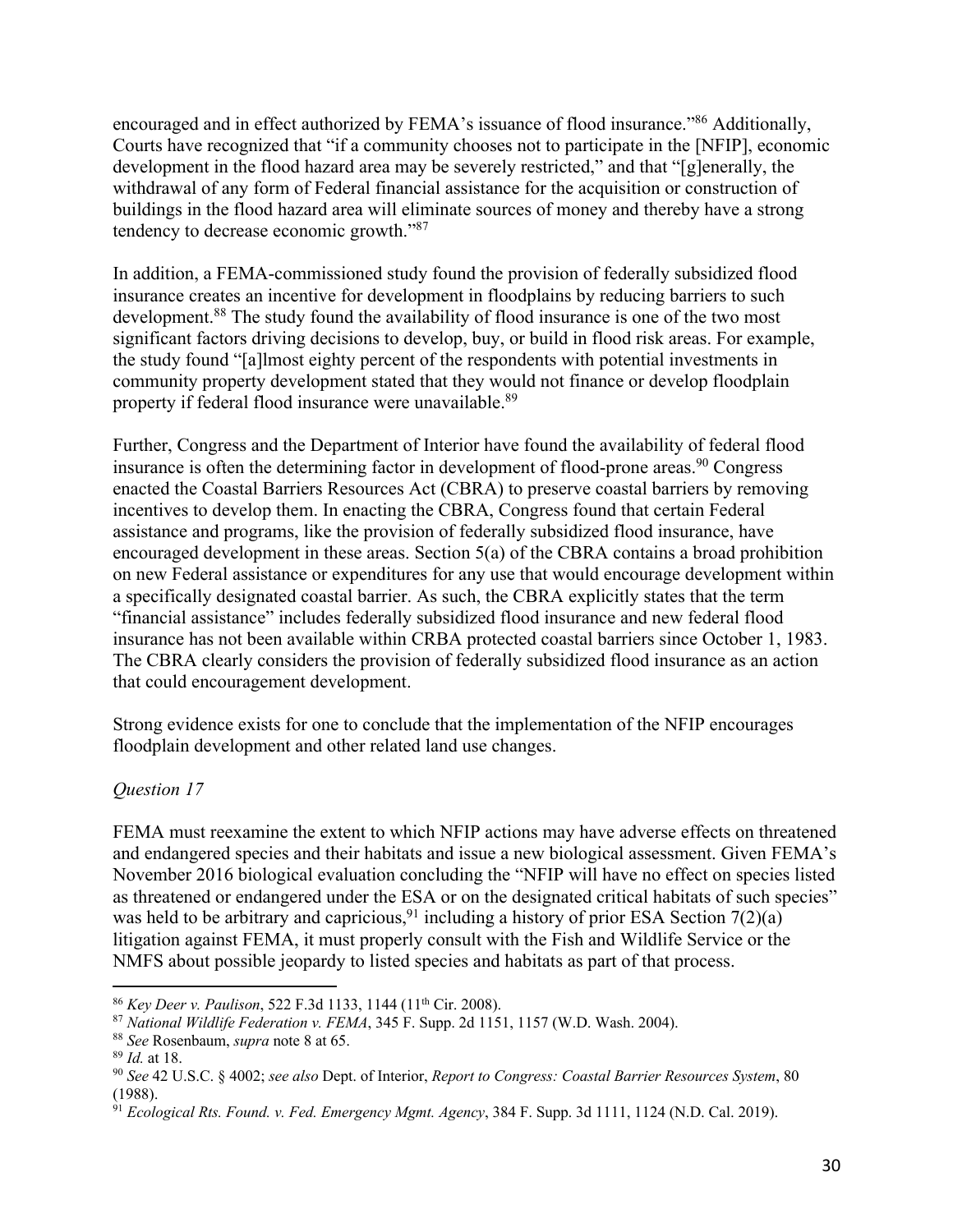encouraged and in effect authorized by FEMA's issuance of flood insurance."<sup>86</sup> Additionally, Courts have recognized that "if a community chooses not to participate in the [NFIP], economic development in the flood hazard area may be severely restricted," and that "[g]enerally, the withdrawal of any form of Federal financial assistance for the acquisition or construction of buildings in the flood hazard area will eliminate sources of money and thereby have a strong tendency to decrease economic growth."87

In addition, a FEMA-commissioned study found the provision of federally subsidized flood insurance creates an incentive for development in floodplains by reducing barriers to such development.<sup>88</sup> The study found the availability of flood insurance is one of the two most significant factors driving decisions to develop, buy, or build in flood risk areas. For example, the study found "[a]lmost eighty percent of the respondents with potential investments in community property development stated that they would not finance or develop floodplain property if federal flood insurance were unavailable.89

Further, Congress and the Department of Interior have found the availability of federal flood insurance is often the determining factor in development of flood-prone areas.<sup>90</sup> Congress enacted the Coastal Barriers Resources Act (CBRA) to preserve coastal barriers by removing incentives to develop them. In enacting the CBRA, Congress found that certain Federal assistance and programs, like the provision of federally subsidized flood insurance, have encouraged development in these areas. Section 5(a) of the CBRA contains a broad prohibition on new Federal assistance or expenditures for any use that would encourage development within a specifically designated coastal barrier. As such, the CBRA explicitly states that the term "financial assistance" includes federally subsidized flood insurance and new federal flood insurance has not been available within CRBA protected coastal barriers since October 1, 1983. The CBRA clearly considers the provision of federally subsidized flood insurance as an action that could encouragement development.

Strong evidence exists for one to conclude that the implementation of the NFIP encourages floodplain development and other related land use changes.

#### *Question 17*

FEMA must reexamine the extent to which NFIP actions may have adverse effects on threatened and endangered species and their habitats and issue a new biological assessment. Given FEMA's November 2016 biological evaluation concluding the "NFIP will have no effect on species listed as threatened or endangered under the ESA or on the designated critical habitats of such species" was held to be arbitrary and capricious,  $91$  including a history of prior ESA Section 7(2)(a) litigation against FEMA, it must properly consult with the Fish and Wildlife Service or the NMFS about possible jeopardy to listed species and habitats as part of that process.

<sup>86</sup> *Key Deer v. Paulison*, 522 F.3d 1133, 1144 (11th Cir. 2008).

<sup>87</sup> *National Wildlife Federation v. FEMA*, 345 F. Supp. 2d 1151, 1157 (W.D. Wash. 2004).

<sup>88</sup> *See* Rosenbaum, *supra* note 8 at 65.

<sup>89</sup> *Id.* at 18.

<sup>90</sup> *See* 42 U.S.C. § 4002; *see also* Dept. of Interior, *Report to Congress: Coastal Barrier Resources System*, 80 (1988).

<sup>91</sup> *Ecological Rts. Found. v. Fed. Emergency Mgmt. Agency*, 384 F. Supp. 3d 1111, 1124 (N.D. Cal. 2019).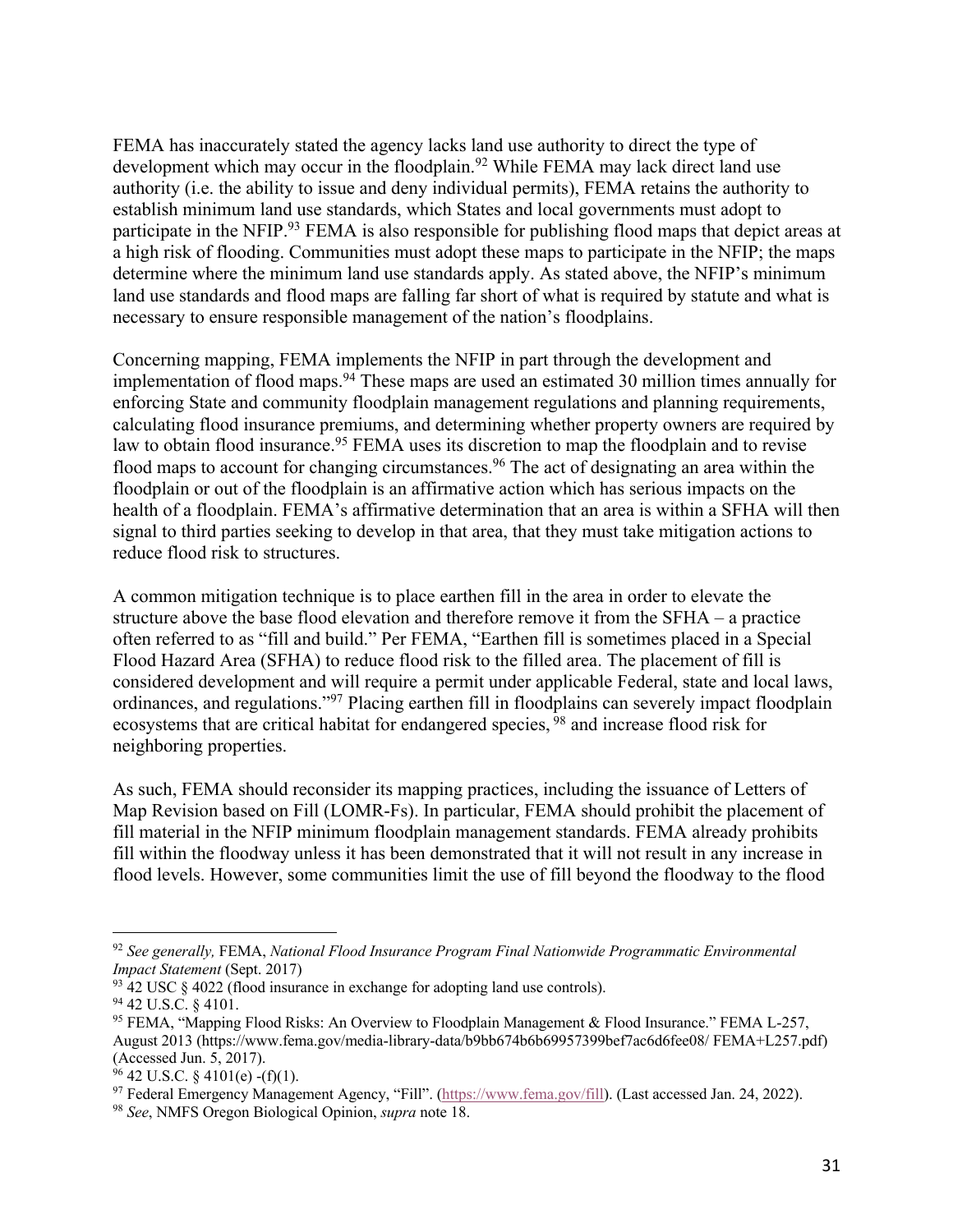FEMA has inaccurately stated the agency lacks land use authority to direct the type of development which may occur in the floodplain. <sup>92</sup> While FEMA may lack direct land use authority (i.e. the ability to issue and deny individual permits), FEMA retains the authority to establish minimum land use standards, which States and local governments must adopt to participate in the NFIP.<sup>93</sup> FEMA is also responsible for publishing flood maps that depict areas at a high risk of flooding. Communities must adopt these maps to participate in the NFIP; the maps determine where the minimum land use standards apply. As stated above, the NFIP's minimum land use standards and flood maps are falling far short of what is required by statute and what is necessary to ensure responsible management of the nation's floodplains.

Concerning mapping, FEMA implements the NFIP in part through the development and implementation of flood maps.<sup>94</sup> These maps are used an estimated 30 million times annually for enforcing State and community floodplain management regulations and planning requirements, calculating flood insurance premiums, and determining whether property owners are required by law to obtain flood insurance.<sup>95</sup> FEMA uses its discretion to map the floodplain and to revise flood maps to account for changing circumstances.<sup>96</sup> The act of designating an area within the floodplain or out of the floodplain is an affirmative action which has serious impacts on the health of a floodplain. FEMA's affirmative determination that an area is within a SFHA will then signal to third parties seeking to develop in that area, that they must take mitigation actions to reduce flood risk to structures.

A common mitigation technique is to place earthen fill in the area in order to elevate the structure above the base flood elevation and therefore remove it from the SFHA – a practice often referred to as "fill and build." Per FEMA, "Earthen fill is sometimes placed in a Special Flood Hazard Area (SFHA) to reduce flood risk to the filled area. The placement of fill is considered development and will require a permit under applicable Federal, state and local laws, ordinances, and regulations."97 Placing earthen fill in floodplains can severely impact floodplain ecosystems that are critical habitat for endangered species, <sup>98</sup> and increase flood risk for neighboring properties.

As such, FEMA should reconsider its mapping practices, including the issuance of Letters of Map Revision based on Fill (LOMR-Fs). In particular, FEMA should prohibit the placement of fill material in the NFIP minimum floodplain management standards. FEMA already prohibits fill within the floodway unless it has been demonstrated that it will not result in any increase in flood levels. However, some communities limit the use of fill beyond the floodway to the flood

<sup>92</sup> *See generally,* FEMA, *National Flood Insurance Program Final Nationwide Programmatic Environmental Impact Statement* (Sept. 2017)

<sup>93</sup> 42 USC § 4022 (flood insurance in exchange for adopting land use controls).

<sup>94</sup> 42 U.S.C. § 4101.

<sup>95</sup> FEMA, "Mapping Flood Risks: An Overview to Floodplain Management & Flood Insurance." FEMA L-257, August 2013 (https://www.fema.gov/media-library-data/b9bb674b6b69957399bef7ac6d6fee08/ FEMA+L257.pdf) (Accessed Jun. 5, 2017).<br><sup>96</sup> 42 U.S.C. § 4101(e) -(f)(1).

<sup>&</sup>lt;sup>97</sup> Federal Emergency Management Agency, "Fill". (https://www.fema.gov/fill). (Last accessed Jan. 24, 2022).

<sup>98</sup> *See*, NMFS Oregon Biological Opinion, *supra* note 18.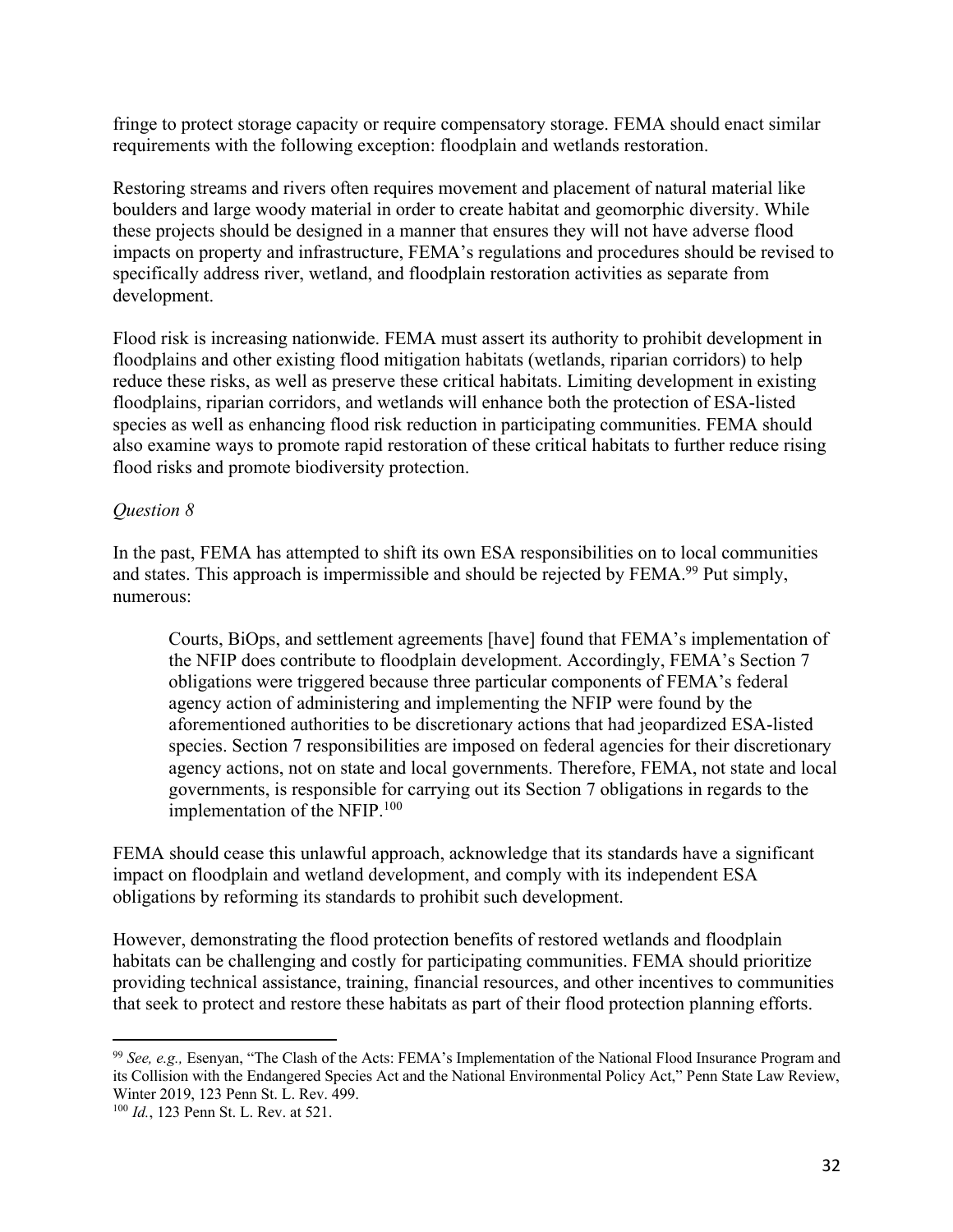fringe to protect storage capacity or require compensatory storage. FEMA should enact similar requirements with the following exception: floodplain and wetlands restoration.

Restoring streams and rivers often requires movement and placement of natural material like boulders and large woody material in order to create habitat and geomorphic diversity. While these projects should be designed in a manner that ensures they will not have adverse flood impacts on property and infrastructure, FEMA's regulations and procedures should be revised to specifically address river, wetland, and floodplain restoration activities as separate from development.

Flood risk is increasing nationwide. FEMA must assert its authority to prohibit development in floodplains and other existing flood mitigation habitats (wetlands, riparian corridors) to help reduce these risks, as well as preserve these critical habitats. Limiting development in existing floodplains, riparian corridors, and wetlands will enhance both the protection of ESA-listed species as well as enhancing flood risk reduction in participating communities. FEMA should also examine ways to promote rapid restoration of these critical habitats to further reduce rising flood risks and promote biodiversity protection.

#### *Question 8*

In the past, FEMA has attempted to shift its own ESA responsibilities on to local communities and states. This approach is impermissible and should be rejected by FEMA.<sup>99</sup> Put simply, numerous:

Courts, BiOps, and settlement agreements [have] found that FEMA's implementation of the NFIP does contribute to floodplain development. Accordingly, FEMA's Section 7 obligations were triggered because three particular components of FEMA's federal agency action of administering and implementing the NFIP were found by the aforementioned authorities to be discretionary actions that had jeopardized ESA-listed species. Section 7 responsibilities are imposed on federal agencies for their discretionary agency actions, not on state and local governments. Therefore, FEMA, not state and local governments, is responsible for carrying out its Section 7 obligations in regards to the implementation of the NFIP.<sup>100</sup>

FEMA should cease this unlawful approach, acknowledge that its standards have a significant impact on floodplain and wetland development, and comply with its independent ESA obligations by reforming its standards to prohibit such development.

However, demonstrating the flood protection benefits of restored wetlands and floodplain habitats can be challenging and costly for participating communities. FEMA should prioritize providing technical assistance, training, financial resources, and other incentives to communities that seek to protect and restore these habitats as part of their flood protection planning efforts.

<sup>99</sup> *See, e.g.,* Esenyan, "The Clash of the Acts: FEMA's Implementation of the National Flood Insurance Program and its Collision with the Endangered Species Act and the National Environmental Policy Act," Penn State Law Review, Winter 2019, 123 Penn St. L. Rev. 499.

<sup>100</sup> *Id.*, 123 Penn St. L. Rev. at 521.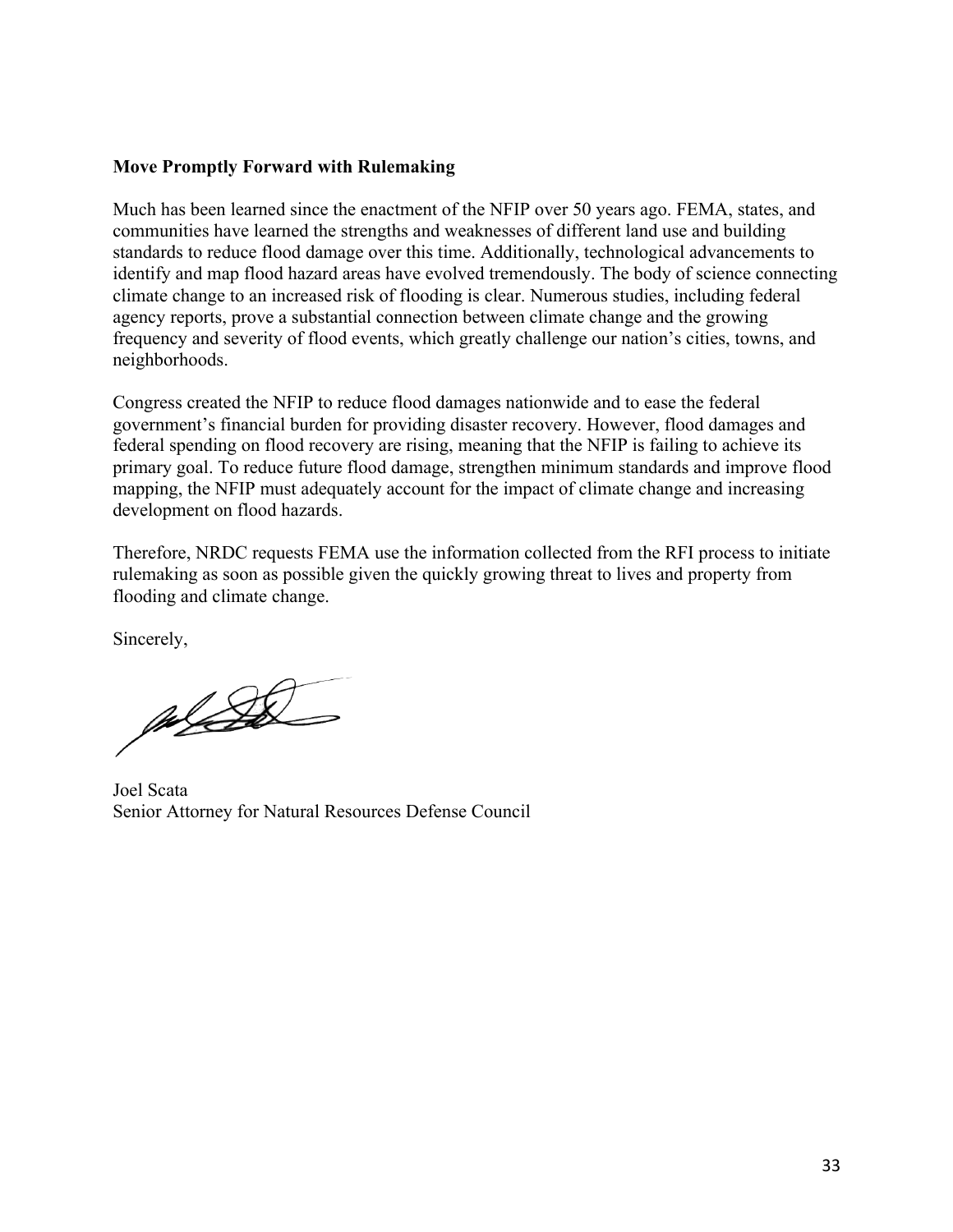#### **Move Promptly Forward with Rulemaking**

Much has been learned since the enactment of the NFIP over 50 years ago. FEMA, states, and communities have learned the strengths and weaknesses of different land use and building standards to reduce flood damage over this time. Additionally, technological advancements to identify and map flood hazard areas have evolved tremendously. The body of science connecting climate change to an increased risk of flooding is clear. Numerous studies, including federal agency reports, prove a substantial connection between climate change and the growing frequency and severity of flood events, which greatly challenge our nation's cities, towns, and neighborhoods.

Congress created the NFIP to reduce flood damages nationwide and to ease the federal government's financial burden for providing disaster recovery. However, flood damages and federal spending on flood recovery are rising, meaning that the NFIP is failing to achieve its primary goal. To reduce future flood damage, strengthen minimum standards and improve flood mapping, the NFIP must adequately account for the impact of climate change and increasing development on flood hazards.

Therefore, NRDC requests FEMA use the information collected from the RFI process to initiate rulemaking as soon as possible given the quickly growing threat to lives and property from flooding and climate change.

Sincerely,

 $\frac{1}{2}$ 

Joel Scata Senior Attorney for Natural Resources Defense Council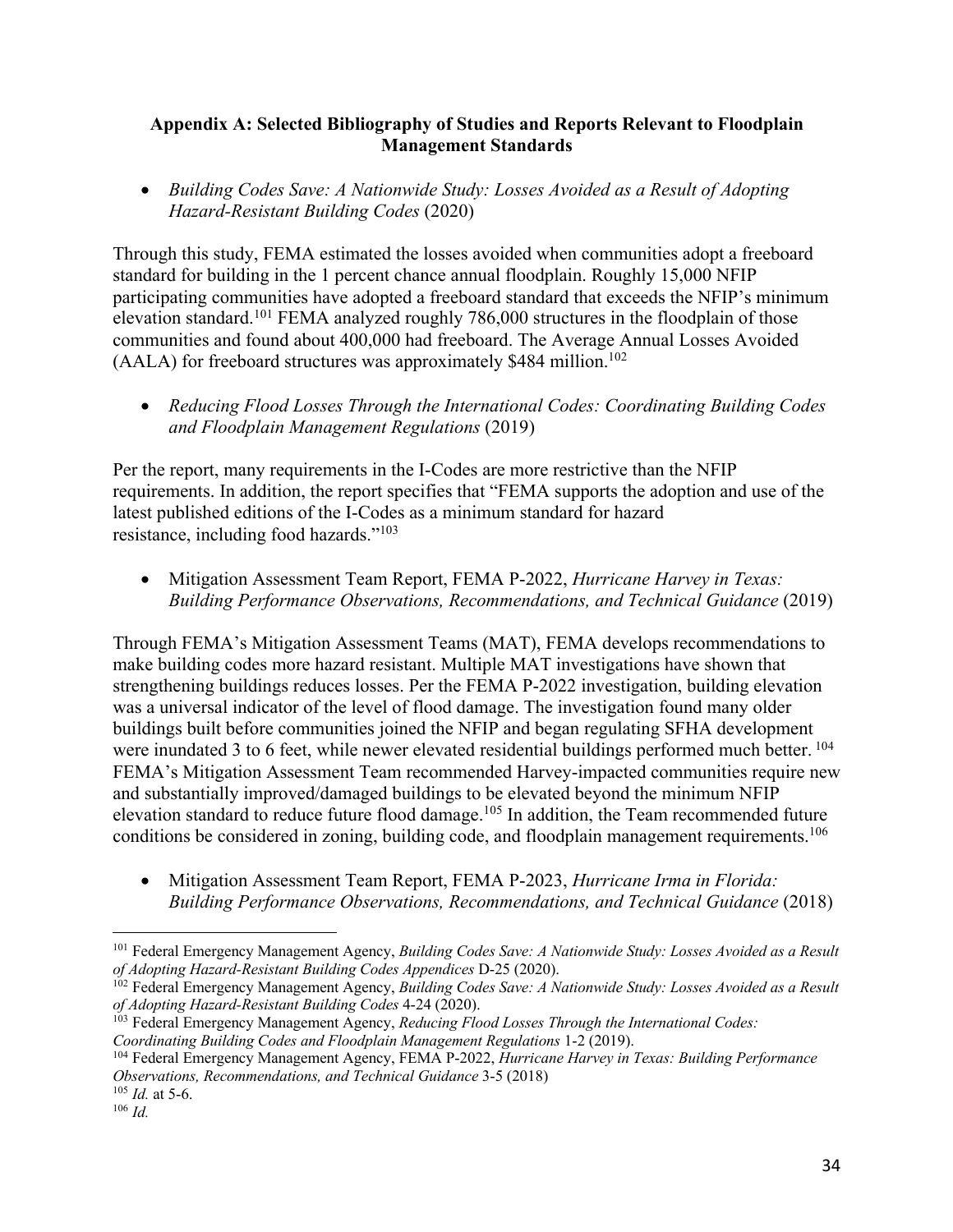#### **Appendix A: Selected Bibliography of Studies and Reports Relevant to Floodplain Management Standards**

• *Building Codes Save: A Nationwide Study: Losses Avoided as a Result of Adopting Hazard-Resistant Building Codes* (2020)

Through this study, FEMA estimated the losses avoided when communities adopt a freeboard standard for building in the 1 percent chance annual floodplain. Roughly 15,000 NFIP participating communities have adopted a freeboard standard that exceeds the NFIP's minimum elevation standard.101 FEMA analyzed roughly 786,000 structures in the floodplain of those communities and found about 400,000 had freeboard. The Average Annual Losses Avoided  $(AALA)$  for freeboard structures was approximately \$484 million.<sup>102</sup>

• *Reducing Flood Losses Through the International Codes: Coordinating Building Codes and Floodplain Management Regulations* (2019)

Per the report, many requirements in the I-Codes are more restrictive than the NFIP requirements. In addition, the report specifies that "FEMA supports the adoption and use of the latest published editions of the I-Codes as a minimum standard for hazard resistance, including food hazards."103

• Mitigation Assessment Team Report, FEMA P-2022, *Hurricane Harvey in Texas: Building Performance Observations, Recommendations, and Technical Guidance* (2019)

Through FEMA's Mitigation Assessment Teams (MAT), FEMA develops recommendations to make building codes more hazard resistant. Multiple MAT investigations have shown that strengthening buildings reduces losses. Per the FEMA P-2022 investigation, building elevation was a universal indicator of the level of flood damage. The investigation found many older buildings built before communities joined the NFIP and began regulating SFHA development were inundated 3 to 6 feet, while newer elevated residential buildings performed much better. <sup>104</sup> FEMA's Mitigation Assessment Team recommended Harvey-impacted communities require new and substantially improved/damaged buildings to be elevated beyond the minimum NFIP elevation standard to reduce future flood damage.105 In addition, the Team recommended future conditions be considered in zoning, building code, and floodplain management requirements.<sup>106</sup>

• Mitigation Assessment Team Report, FEMA P-2023, *Hurricane Irma in Florida: Building Performance Observations, Recommendations, and Technical Guidance* (2018)

<sup>101</sup> Federal Emergency Management Agency, *Building Codes Save: A Nationwide Study: Losses Avoided as a Result of Adopting Hazard-Resistant Building Codes Appendices* D-25 (2020).

<sup>102</sup> Federal Emergency Management Agency, *Building Codes Save: A Nationwide Study: Losses Avoided as a Result of Adopting Hazard-Resistant Building Codes* 4-24 (2020).

<sup>103</sup> Federal Emergency Management Agency, *Reducing Flood Losses Through the International Codes: Coordinating Building Codes and Floodplain Management Regulations* 1-2 (2019).

<sup>104</sup> Federal Emergency Management Agency, FEMA P-2022, *Hurricane Harvey in Texas: Building Performance Observations, Recommendations, and Technical Guidance* 3-5 (2018)

 $105$  *Id.* at 5-6.

<sup>106</sup> *Id.*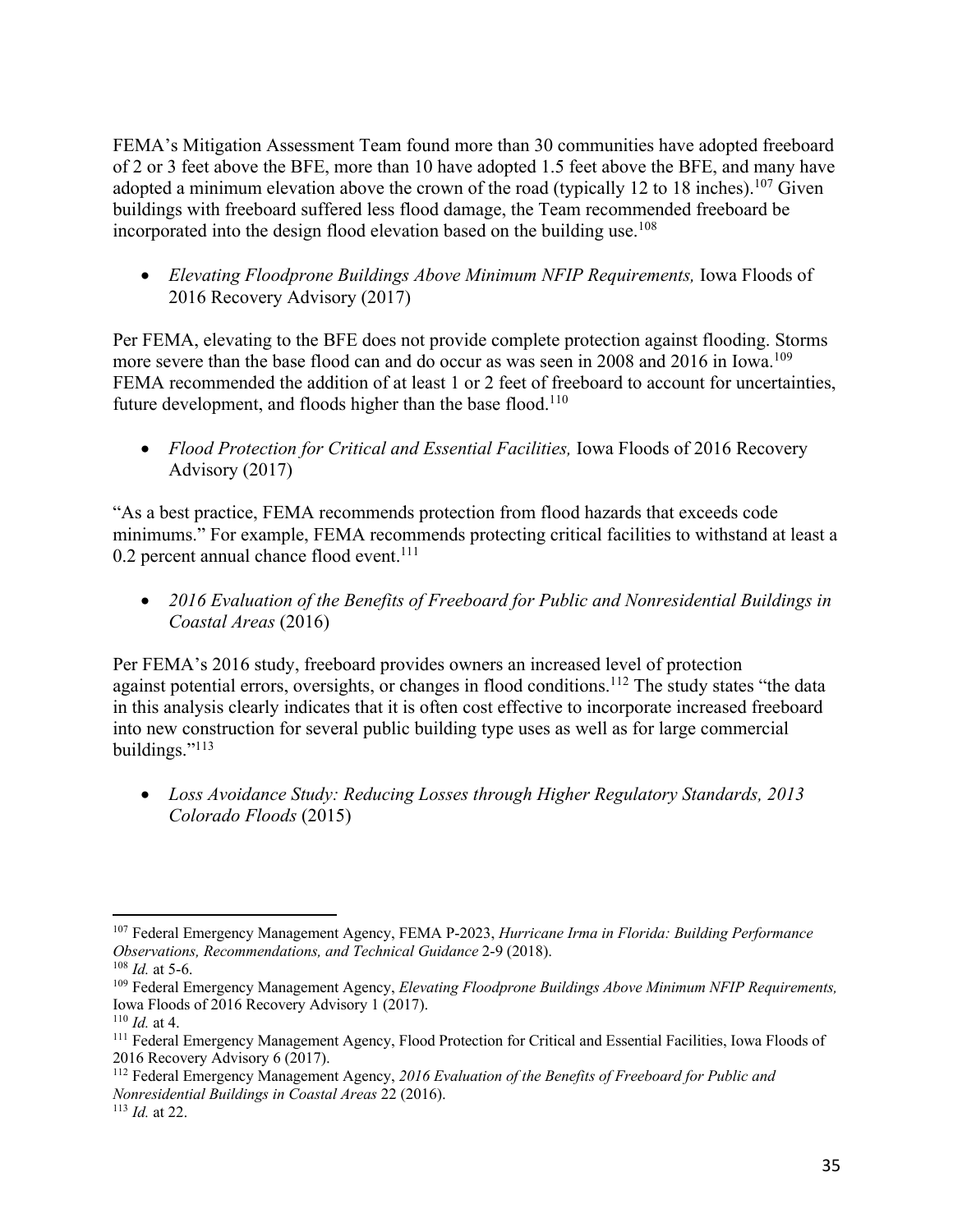FEMA's Mitigation Assessment Team found more than 30 communities have adopted freeboard of 2 or 3 feet above the BFE, more than 10 have adopted 1.5 feet above the BFE, and many have adopted a minimum elevation above the crown of the road (typically 12 to 18 inches).<sup>107</sup> Given buildings with freeboard suffered less flood damage, the Team recommended freeboard be incorporated into the design flood elevation based on the building use.<sup>108</sup>

• *Elevating Floodprone Buildings Above Minimum NFIP Requirements,* Iowa Floods of 2016 Recovery Advisory (2017)

Per FEMA, elevating to the BFE does not provide complete protection against flooding. Storms more severe than the base flood can and do occur as was seen in 2008 and 2016 in Iowa.<sup>109</sup> FEMA recommended the addition of at least 1 or 2 feet of freeboard to account for uncertainties, future development, and floods higher than the base flood.<sup>110</sup>

• *Flood Protection for Critical and Essential Facilities, Iowa Floods of 2016 Recovery* Advisory (2017)

"As a best practice, FEMA recommends protection from flood hazards that exceeds code minimums." For example, FEMA recommends protecting critical facilities to withstand at least a 0.2 percent annual chance flood event.<sup>111</sup>

• *2016 Evaluation of the Benefits of Freeboard for Public and Nonresidential Buildings in Coastal Areas* (2016)

Per FEMA's 2016 study, freeboard provides owners an increased level of protection against potential errors, oversights, or changes in flood conditions.<sup>112</sup> The study states "the data in this analysis clearly indicates that it is often cost effective to incorporate increased freeboard into new construction for several public building type uses as well as for large commercial buildings."113

• *Loss Avoidance Study: Reducing Losses through Higher Regulatory Standards, 2013 Colorado Floods* (2015)

<sup>107</sup> Federal Emergency Management Agency, FEMA P-2023, *Hurricane Irma in Florida: Building Performance Observations, Recommendations, and Technical Guidance* 2-9 (2018). 108 *Id.* at 5-6.

<sup>109</sup> Federal Emergency Management Agency, *Elevating Floodprone Buildings Above Minimum NFIP Requirements,*  Iowa Floods of 2016 Recovery Advisory 1 (2017).

<sup>110</sup> *Id.* at 4.

<sup>111</sup> Federal Emergency Management Agency, Flood Protection for Critical and Essential Facilities, Iowa Floods of 2016 Recovery Advisory 6 (2017).

<sup>112</sup> Federal Emergency Management Agency, *2016 Evaluation of the Benefits of Freeboard for Public and Nonresidential Buildings in Coastal Areas* 22 (2016).

<sup>113</sup> *Id.* at 22.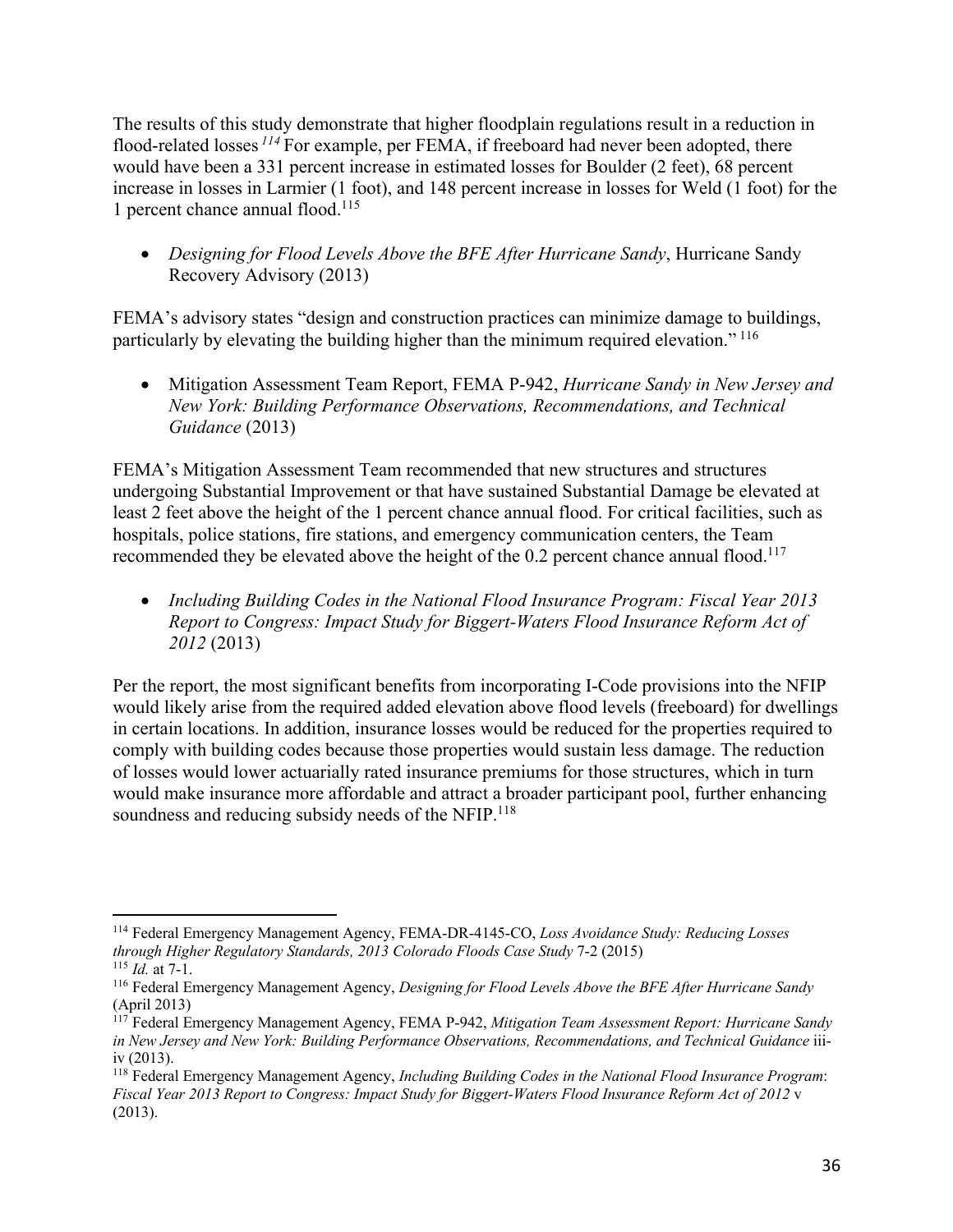The results of this study demonstrate that higher floodplain regulations result in a reduction in flood-related losses *<sup>114</sup>* For example, per FEMA, if freeboard had never been adopted, there would have been a 331 percent increase in estimated losses for Boulder (2 feet), 68 percent increase in losses in Larmier (1 foot), and 148 percent increase in losses for Weld (1 foot) for the 1 percent chance annual flood. 115

• *Designing for Flood Levels Above the BFE After Hurricane Sandy*, Hurricane Sandy Recovery Advisory (2013)

FEMA's advisory states "design and construction practices can minimize damage to buildings, particularly by elevating the building higher than the minimum required elevation." <sup>116</sup>

• Mitigation Assessment Team Report, FEMA P-942, *Hurricane Sandy in New Jersey and New York: Building Performance Observations, Recommendations, and Technical Guidance* (2013)

FEMA's Mitigation Assessment Team recommended that new structures and structures undergoing Substantial Improvement or that have sustained Substantial Damage be elevated at least 2 feet above the height of the 1 percent chance annual flood. For critical facilities, such as hospitals, police stations, fire stations, and emergency communication centers, the Team recommended they be elevated above the height of the 0.2 percent chance annual flood.<sup>117</sup>

• *Including Building Codes in the National Flood Insurance Program: Fiscal Year 2013 Report to Congress: Impact Study for Biggert-Waters Flood Insurance Reform Act of 2012* (2013)

Per the report, the most significant benefits from incorporating I-Code provisions into the NFIP would likely arise from the required added elevation above flood levels (freeboard) for dwellings in certain locations. In addition, insurance losses would be reduced for the properties required to comply with building codes because those properties would sustain less damage. The reduction of losses would lower actuarially rated insurance premiums for those structures, which in turn would make insurance more affordable and attract a broader participant pool, further enhancing soundness and reducing subsidy needs of the NFIP.<sup>118</sup>

<sup>114</sup> Federal Emergency Management Agency, FEMA-DR-4145-CO, *Loss Avoidance Study: Reducing Losses through Higher Regulatory Standards, 2013 Colorado Floods Case Study* 7-2 (2015) <sup>115</sup> *Id.* at 7-1.

<sup>116</sup> Federal Emergency Management Agency, *Designing for Flood Levels Above the BFE After Hurricane Sandy*  (April 2013)

<sup>&</sup>lt;sup>117</sup> Federal Emergency Management Agency, FEMA P-942, *Mitigation Team Assessment Report: Hurricane Sandy in New Jersey and New York: Building Performance Observations, Recommendations, and Technical Guidance* iiiiv (2013).

<sup>118</sup> Federal Emergency Management Agency, *Including Building Codes in the National Flood Insurance Program*: *Fiscal Year 2013 Report to Congress: Impact Study for Biggert-Waters Flood Insurance Reform Act of 2012* v (2013).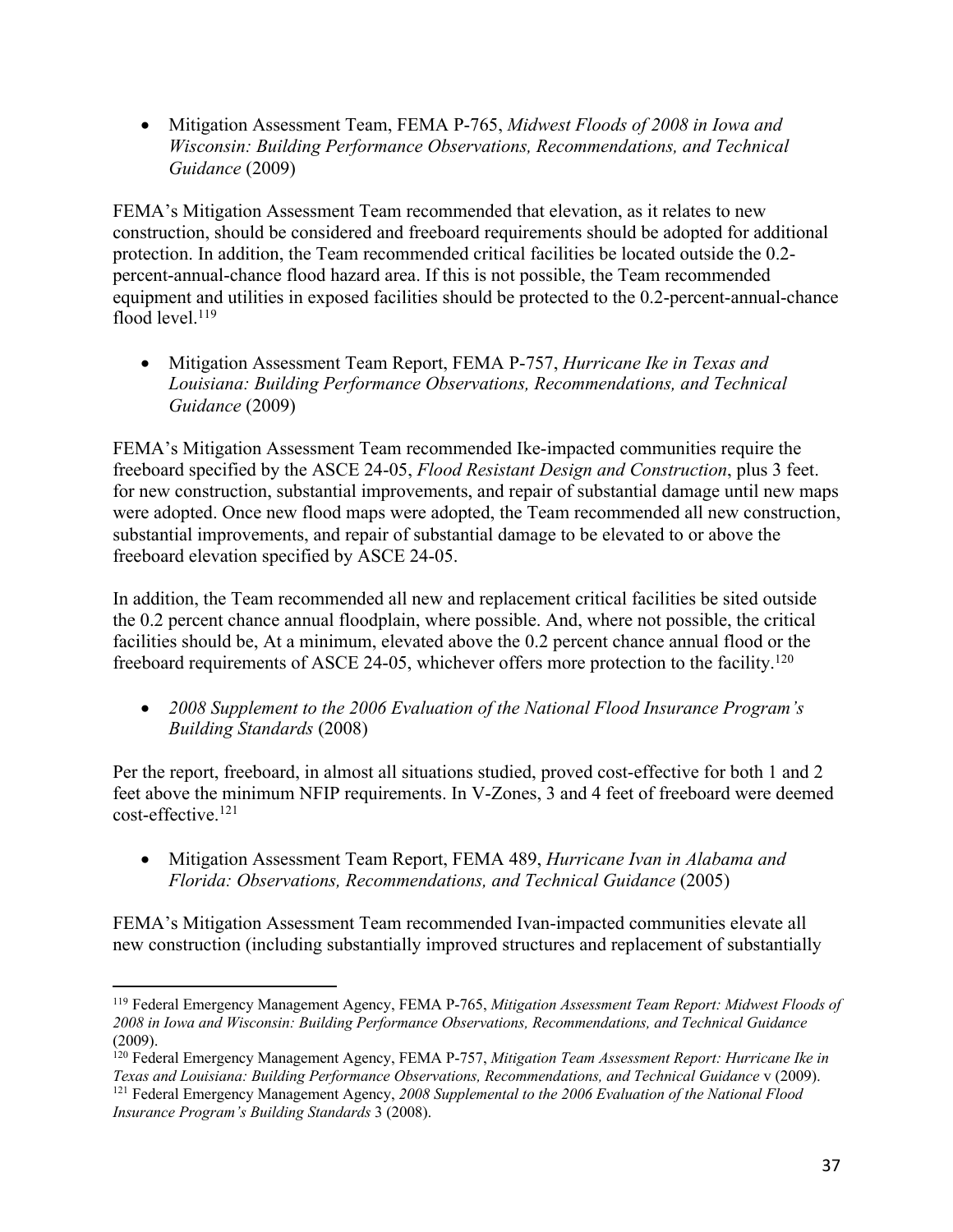• Mitigation Assessment Team, FEMA P-765, *Midwest Floods of 2008 in Iowa and Wisconsin: Building Performance Observations, Recommendations, and Technical Guidance* (2009)

FEMA's Mitigation Assessment Team recommended that elevation, as it relates to new construction, should be considered and freeboard requirements should be adopted for additional protection. In addition, the Team recommended critical facilities be located outside the 0.2 percent-annual-chance flood hazard area. If this is not possible, the Team recommended equipment and utilities in exposed facilities should be protected to the 0.2-percent-annual-chance flood level. $119$ 

• Mitigation Assessment Team Report, FEMA P-757, *Hurricane Ike in Texas and Louisiana: Building Performance Observations, Recommendations, and Technical Guidance* (2009)

FEMA's Mitigation Assessment Team recommended Ike-impacted communities require the freeboard specified by the ASCE 24-05, *Flood Resistant Design and Construction*, plus 3 feet. for new construction, substantial improvements, and repair of substantial damage until new maps were adopted. Once new flood maps were adopted, the Team recommended all new construction, substantial improvements, and repair of substantial damage to be elevated to or above the freeboard elevation specified by ASCE 24-05.

In addition, the Team recommended all new and replacement critical facilities be sited outside the 0.2 percent chance annual floodplain, where possible. And, where not possible, the critical facilities should be, At a minimum, elevated above the 0.2 percent chance annual flood or the freeboard requirements of ASCE 24-05, whichever offers more protection to the facility.<sup>120</sup>

• *2008 Supplement to the 2006 Evaluation of the National Flood Insurance Program's Building Standards* (2008)

Per the report, freeboard, in almost all situations studied, proved cost-effective for both 1 and 2 feet above the minimum NFIP requirements. In V-Zones, 3 and 4 feet of freeboard were deemed cost-effective.121

• Mitigation Assessment Team Report, FEMA 489, *Hurricane Ivan in Alabama and Florida: Observations, Recommendations, and Technical Guidance* (2005)

FEMA's Mitigation Assessment Team recommended Ivan-impacted communities elevate all new construction (including substantially improved structures and replacement of substantially

<sup>119</sup> Federal Emergency Management Agency, FEMA P-765, *Mitigation Assessment Team Report: Midwest Floods of 2008 in Iowa and Wisconsin: Building Performance Observations, Recommendations, and Technical Guidance* (2009).

<sup>120</sup> Federal Emergency Management Agency, FEMA P-757, *Mitigation Team Assessment Report: Hurricane Ike in Texas and Louisiana: Building Performance Observations, Recommendations, and Technical Guidance* v (2009). <sup>121</sup> Federal Emergency Management Agency, *2008 Supplemental to the 2006 Evaluation of the National Flood Insurance Program's Building Standards* 3 (2008).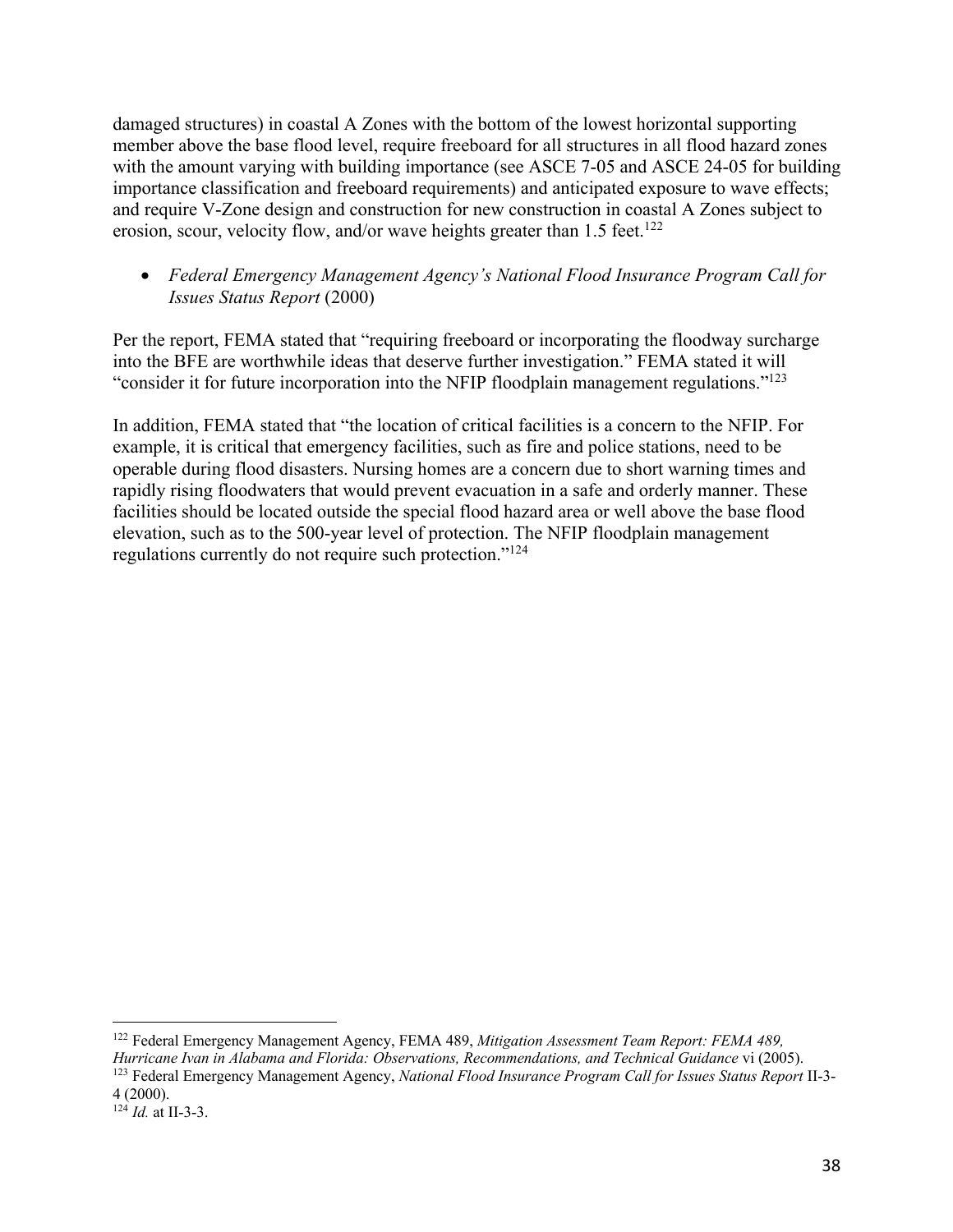damaged structures) in coastal A Zones with the bottom of the lowest horizontal supporting member above the base flood level, require freeboard for all structures in all flood hazard zones with the amount varying with building importance (see ASCE 7-05 and ASCE 24-05 for building importance classification and freeboard requirements) and anticipated exposure to wave effects; and require V-Zone design and construction for new construction in coastal A Zones subject to erosion, scour, velocity flow, and/or wave heights greater than  $1.5$  feet.<sup>122</sup>

# • *Federal Emergency Management Agency's National Flood Insurance Program Call for Issues Status Report* (2000)

Per the report, FEMA stated that "requiring freeboard or incorporating the floodway surcharge into the BFE are worthwhile ideas that deserve further investigation." FEMA stated it will "consider it for future incorporation into the NFIP floodplain management regulations."123

In addition, FEMA stated that "the location of critical facilities is a concern to the NFIP. For example, it is critical that emergency facilities, such as fire and police stations, need to be operable during flood disasters. Nursing homes are a concern due to short warning times and rapidly rising floodwaters that would prevent evacuation in a safe and orderly manner. These facilities should be located outside the special flood hazard area or well above the base flood elevation, such as to the 500-year level of protection. The NFIP floodplain management regulations currently do not require such protection."124

<sup>122</sup> Federal Emergency Management Agency, FEMA 489, *Mitigation Assessment Team Report: FEMA 489, Hurricane Ivan in Alabama and Florida: Observations, Recommendations, and Technical Guidance* vi (2005). <sup>123</sup> Federal Emergency Management Agency, *National Flood Insurance Program Call for Issues Status Report* II-3-

<sup>4</sup> (2000).

<sup>124</sup> *Id.* at II-3-3.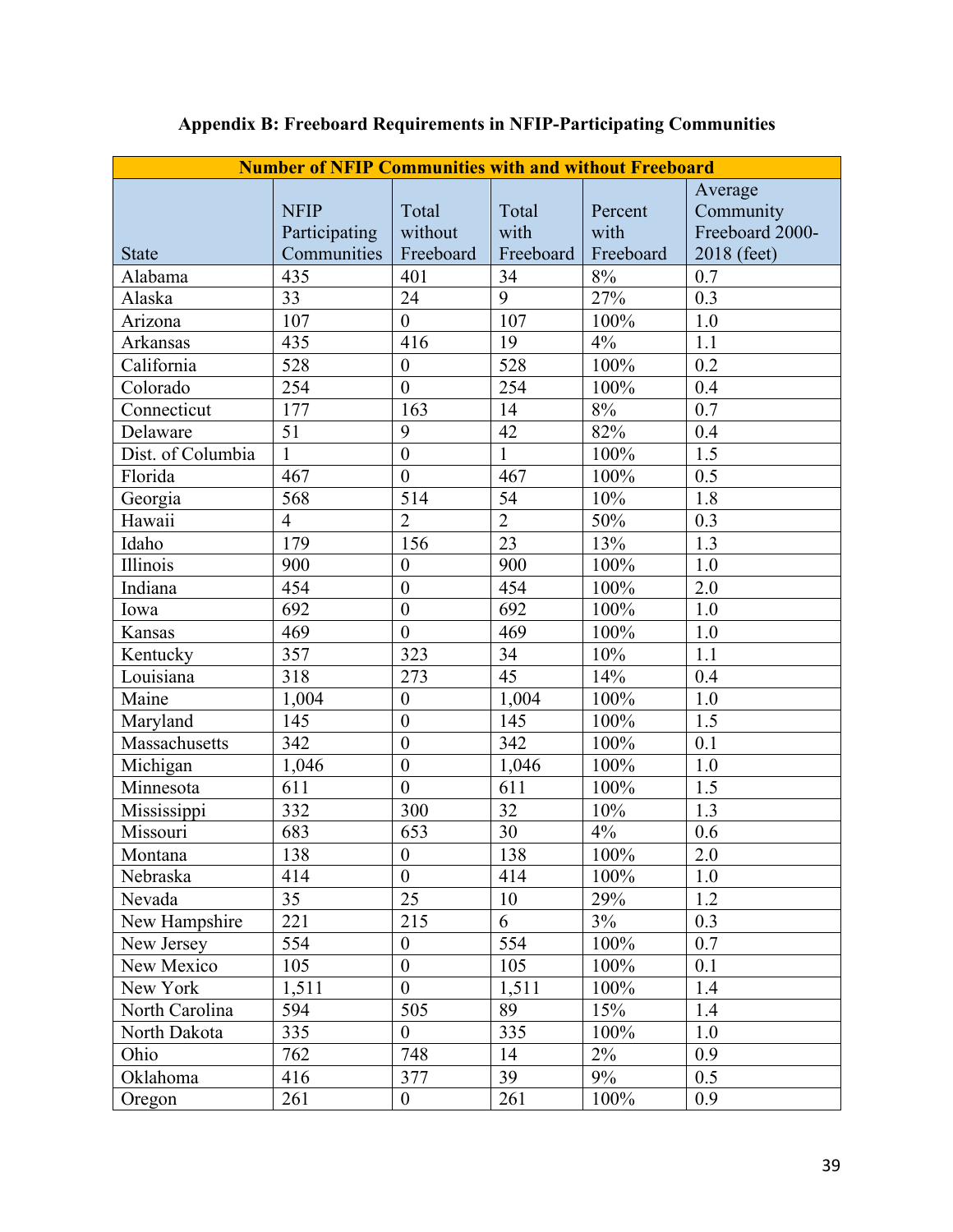| <b>Number of NFIP Communities with and without Freeboard</b> |                |                  |                |           |                  |
|--------------------------------------------------------------|----------------|------------------|----------------|-----------|------------------|
|                                                              |                |                  |                |           | Average          |
|                                                              | <b>NFIP</b>    | Total            | Total          | Percent   | Community        |
|                                                              | Participating  | without          | with           | with      | Freeboard 2000-  |
| <b>State</b>                                                 | Communities    | Freeboard        | Freeboard      | Freeboard | 2018 (feet)      |
| Alabama                                                      | 435            | 401              | 34             | $8\%$     | 0.7              |
| Alaska                                                       | 33             | 24               | 9              | 27%       | 0.3              |
| Arizona                                                      | 107            | $\mathbf{0}$     | 107            | 100%      | $1.0$            |
| <b>Arkansas</b>                                              | 435            | 416              | 19             | 4%        | 1.1              |
| California                                                   | 528            | $\overline{0}$   | 528            | 100%      | 0.2              |
| Colorado                                                     | 254            | $\mathbf{0}$     | 254            | 100%      | 0.4              |
| Connecticut                                                  | 177            | 163              | 14             | 8%        | 0.7              |
| Delaware                                                     | 51             | 9                | 42             | 82%       | 0.4              |
| Dist. of Columbia                                            | 1              | $\overline{0}$   | $\mathbf{1}$   | 100%      | 1.5              |
| Florida                                                      | 467            | $\overline{0}$   | 467            | 100%      | 0.5              |
| Georgia                                                      | 568            | 514              | 54             | 10%       | 1.8              |
| Hawaii                                                       | $\overline{4}$ | $\overline{2}$   | $\overline{2}$ | 50%       | 0.3              |
| Idaho                                                        | 179            | 156              | 23             | 13%       | 1.3              |
| Illinois                                                     | 900            | $\boldsymbol{0}$ | 900            | 100%      | 1.0              |
| Indiana                                                      | 454            | $\mathbf{0}$     | 454            | 100%      | 2.0              |
| Iowa                                                         | 692            | $\overline{0}$   | 692            | 100%      | 1.0              |
| Kansas                                                       | 469            | $\boldsymbol{0}$ | 469            | 100%      | 1.0              |
| Kentucky                                                     | 357            | 323              | 34             | 10%       | 1.1              |
| Louisiana                                                    | 318            | 273              | 45             | 14%       | 0.4              |
| Maine                                                        | 1,004          | $\boldsymbol{0}$ | 1,004          | 100%      | 1.0              |
| Maryland                                                     | 145            | $\mathbf{0}$     | 145            | 100%      | 1.5              |
| Massachusetts                                                | 342            | $\mathbf{0}$     | 342            | 100%      | 0.1              |
| Michigan                                                     | 1,046          | $\boldsymbol{0}$ | 1,046          | 100%      | 1.0              |
| Minnesota                                                    | 611            | $\overline{0}$   | 611            | 100%      | 1.5              |
| Mississippi                                                  | 332            | 300              | 32             | 10%       | 1.3              |
| Missouri                                                     | 683            | 653              | 30             | 4%        | 0.6              |
| Montana                                                      | 138            | $\overline{0}$   | 138            | 100%      | $\overline{2.0}$ |
| Nebraska                                                     | 414            | $\overline{0}$   | 414            | 100%      | 1.0              |
| Nevada                                                       | 35             | 25               | 10             | 29%       | 1.2              |
| New Hampshire                                                | 221            | 215              | 6              | 3%        | 0.3              |
| New Jersey                                                   | 554            | $\boldsymbol{0}$ | 554            | 100%      | 0.7              |
| New Mexico                                                   | 105            | $\boldsymbol{0}$ | 105            | 100%      | 0.1              |
| New York                                                     | 1,511          | $\mathbf{0}$     | 1,511          | 100%      | 1.4              |
| North Carolina                                               | 594            | 505              | 89             | 15%       | 1.4              |
| North Dakota                                                 | 335            | $\overline{0}$   | 335            | 100%      | 1.0              |
| Ohio                                                         | 762            | 748              | 14             | 2%        | 0.9              |
| Oklahoma                                                     | 416            | 377              | 39             | 9%        | 0.5              |
| Oregon                                                       | 261            | $\boldsymbol{0}$ | 261            | 100%      | 0.9              |

# **Appendix B: Freeboard Requirements in NFIP-Participating Communities**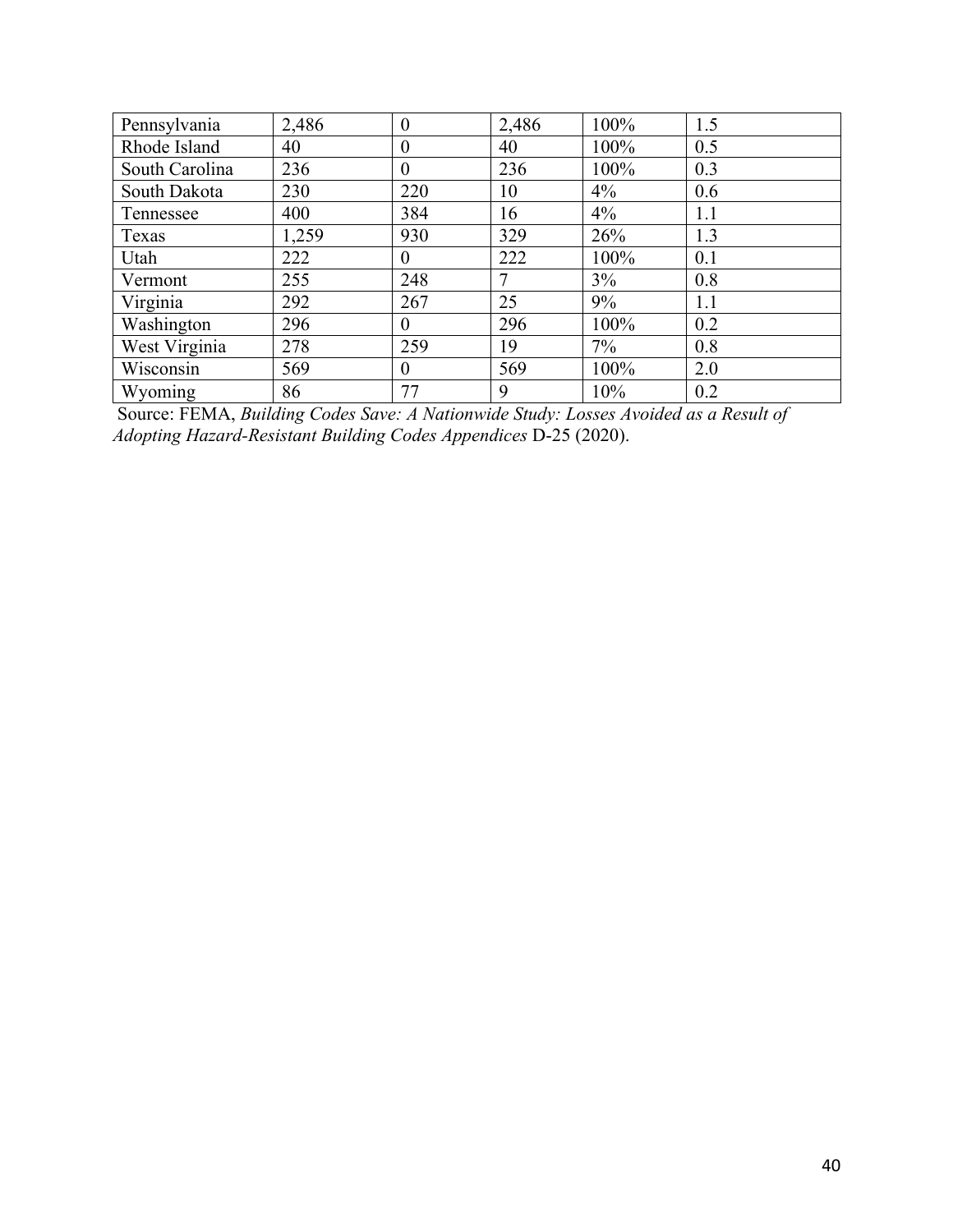| Pennsylvania   | 2,486 | $\overline{0}$   | 2,486 | 100%  | 1.5 |
|----------------|-------|------------------|-------|-------|-----|
| Rhode Island   | 40    | $\boldsymbol{0}$ | 40    | 100%  | 0.5 |
| South Carolina | 236   | $\boldsymbol{0}$ | 236   | 100%  | 0.3 |
| South Dakota   | 230   | 220              | 10    | 4%    | 0.6 |
| Tennessee      | 400   | 384              | 16    | $4\%$ | 1.1 |
| Texas          | 1,259 | 930              | 329   | 26%   | 1.3 |
| Utah           | 222   | $\boldsymbol{0}$ | 222   | 100%  | 0.1 |
| Vermont        | 255   | 248              | 7     | $3\%$ | 0.8 |
| Virginia       | 292   | 267              | 25    | 9%    | 1.1 |
| Washington     | 296   | $\theta$         | 296   | 100%  | 0.2 |
| West Virginia  | 278   | 259              | 19    | 7%    | 0.8 |
| Wisconsin      | 569   | $\theta$         | 569   | 100%  | 2.0 |
| Wyoming        | 86    | 77               | 9     | 10%   | 0.2 |

Source: FEMA, *Building Codes Save: A Nationwide Study: Losses Avoided as a Result of Adopting Hazard-Resistant Building Codes Appendices* D-25 (2020).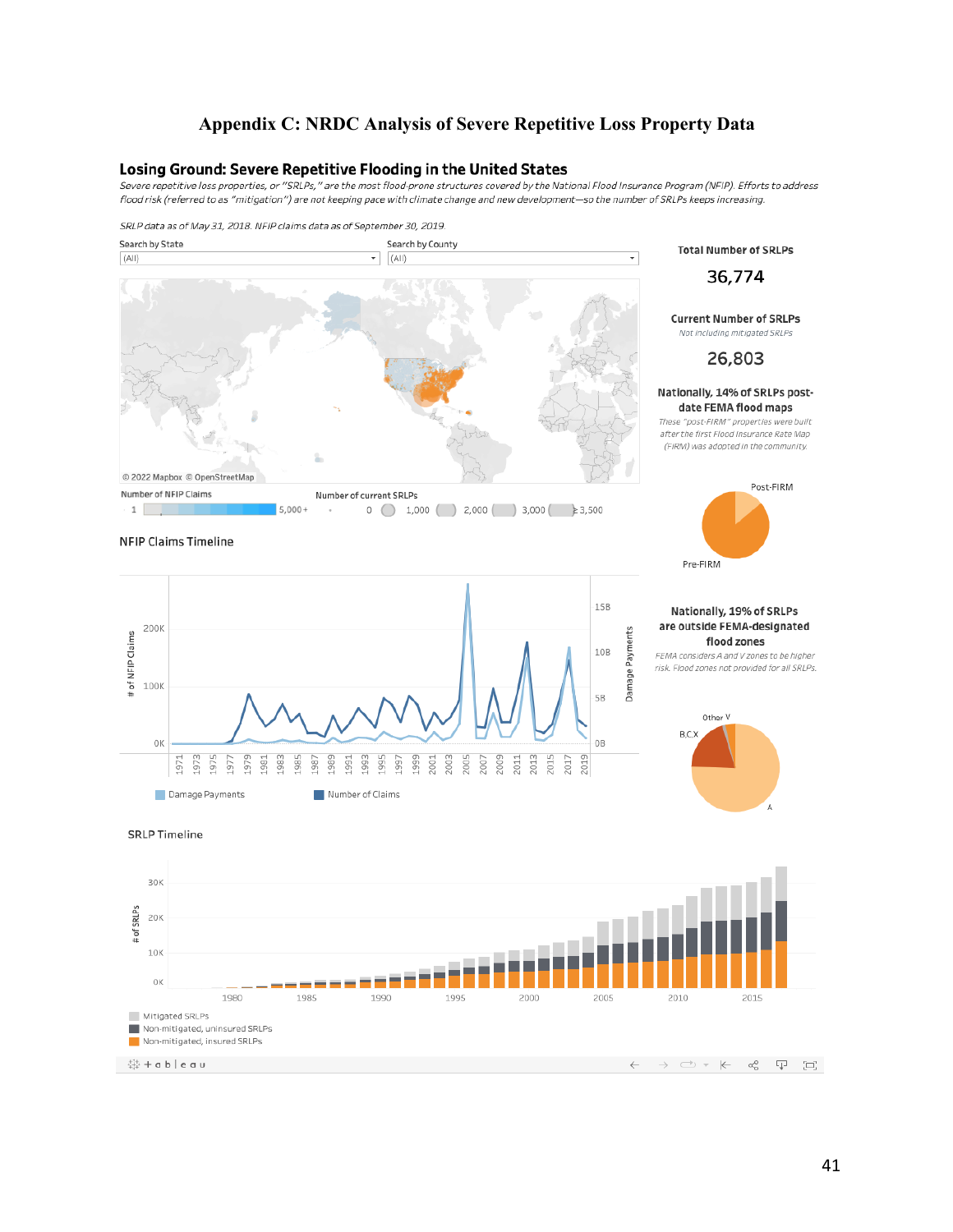#### **Appendix C: NRDC Analysis of Severe Repetitive Loss Property Data**

#### Losing Ground: Severe Repetitive Flooding in the United States

Severe repetitive loss properties, or "SRLPs," are the most flood-prone structures covered by the National Flood Insurance Program (NFIP). Efforts to address flood risk (referred to as "mitigation") are not keeping pace with climate change and new development—so the number of SRLPs keeps increasing.

#### SRLP data as of May 31, 2018. NFIP claims data as of September 30, 2019.



**SRLP Timeline** 

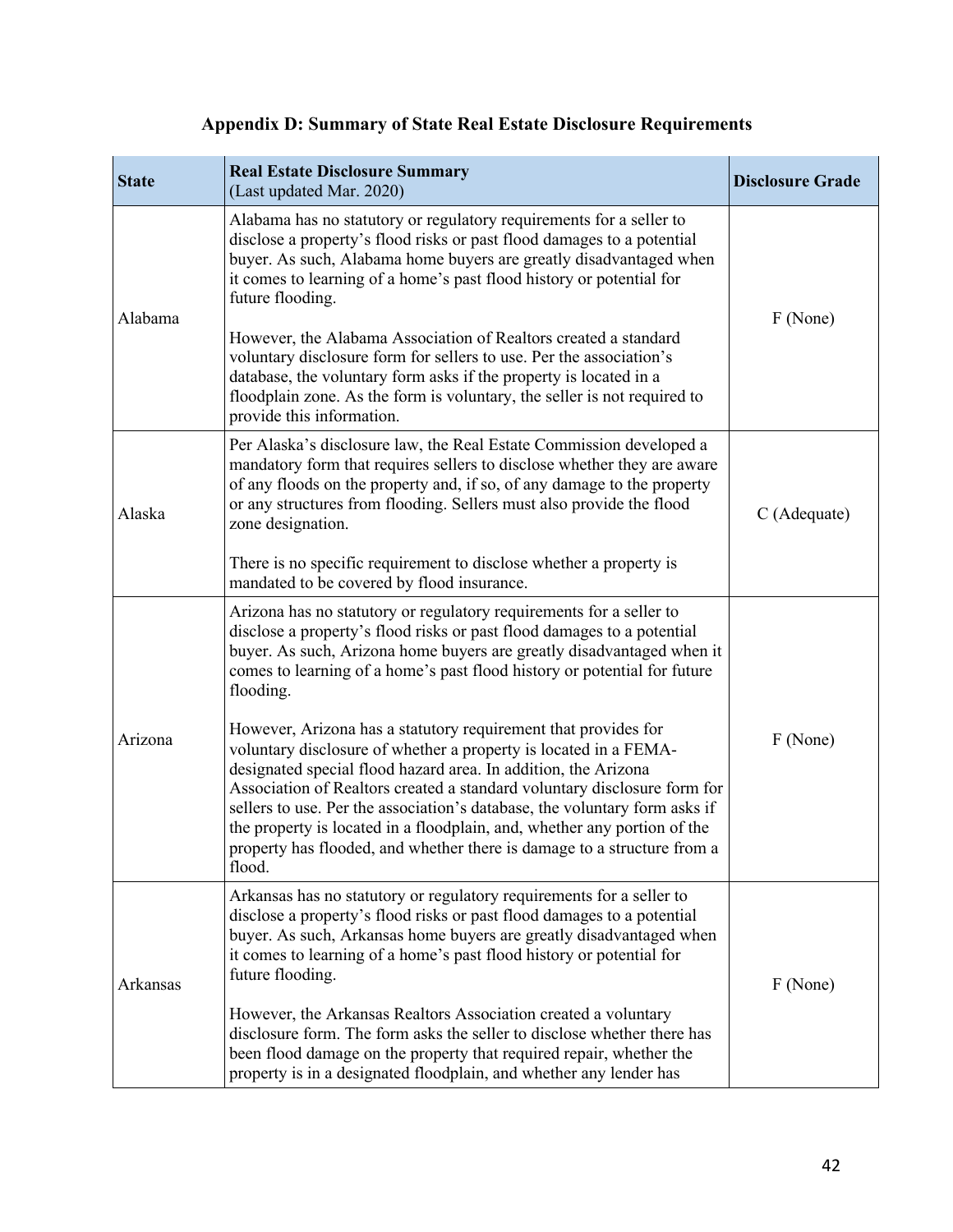| <b>State</b> | <b>Real Estate Disclosure Summary</b><br>(Last updated Mar. 2020)                                                                                                                                                                                                                                                                                                                                                                                                                                                               | <b>Disclosure Grade</b> |
|--------------|---------------------------------------------------------------------------------------------------------------------------------------------------------------------------------------------------------------------------------------------------------------------------------------------------------------------------------------------------------------------------------------------------------------------------------------------------------------------------------------------------------------------------------|-------------------------|
| Alabama      | Alabama has no statutory or regulatory requirements for a seller to<br>disclose a property's flood risks or past flood damages to a potential<br>buyer. As such, Alabama home buyers are greatly disadvantaged when<br>it comes to learning of a home's past flood history or potential for<br>future flooding.                                                                                                                                                                                                                 | F (None)                |
|              | However, the Alabama Association of Realtors created a standard<br>voluntary disclosure form for sellers to use. Per the association's<br>database, the voluntary form asks if the property is located in a<br>floodplain zone. As the form is voluntary, the seller is not required to<br>provide this information.                                                                                                                                                                                                            |                         |
| Alaska       | Per Alaska's disclosure law, the Real Estate Commission developed a<br>mandatory form that requires sellers to disclose whether they are aware<br>of any floods on the property and, if so, of any damage to the property<br>or any structures from flooding. Sellers must also provide the flood<br>zone designation.                                                                                                                                                                                                          | C (Adequate)            |
|              | There is no specific requirement to disclose whether a property is<br>mandated to be covered by flood insurance.                                                                                                                                                                                                                                                                                                                                                                                                                |                         |
| Arizona      | Arizona has no statutory or regulatory requirements for a seller to<br>disclose a property's flood risks or past flood damages to a potential<br>buyer. As such, Arizona home buyers are greatly disadvantaged when it<br>comes to learning of a home's past flood history or potential for future<br>flooding.                                                                                                                                                                                                                 |                         |
|              | However, Arizona has a statutory requirement that provides for<br>voluntary disclosure of whether a property is located in a FEMA-<br>designated special flood hazard area. In addition, the Arizona<br>Association of Realtors created a standard voluntary disclosure form for<br>sellers to use. Per the association's database, the voluntary form asks if<br>the property is located in a floodplain, and, whether any portion of the<br>property has flooded, and whether there is damage to a structure from a<br>flood. | F (None)                |
| Arkansas     | Arkansas has no statutory or regulatory requirements for a seller to<br>disclose a property's flood risks or past flood damages to a potential<br>buyer. As such, Arkansas home buyers are greatly disadvantaged when<br>it comes to learning of a home's past flood history or potential for<br>future flooding.                                                                                                                                                                                                               | F (None)                |
|              | However, the Arkansas Realtors Association created a voluntary<br>disclosure form. The form asks the seller to disclose whether there has<br>been flood damage on the property that required repair, whether the<br>property is in a designated floodplain, and whether any lender has                                                                                                                                                                                                                                          |                         |

# **Appendix D: Summary of State Real Estate Disclosure Requirements**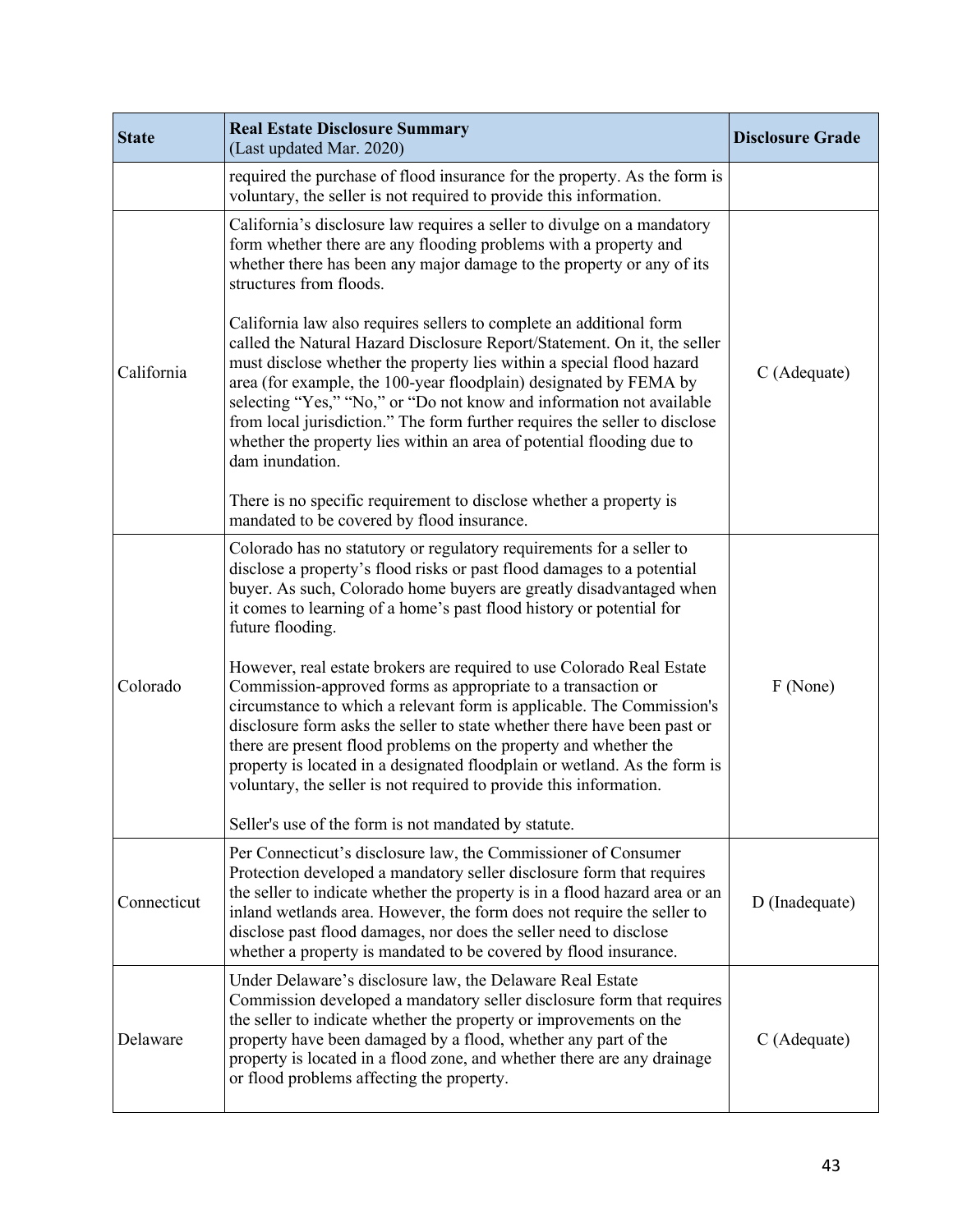| <b>State</b> | <b>Real Estate Disclosure Summary</b><br>(Last updated Mar. 2020)                                                                                                                                                                                                                                                                                                                                                                                                                                                                               | <b>Disclosure Grade</b> |
|--------------|-------------------------------------------------------------------------------------------------------------------------------------------------------------------------------------------------------------------------------------------------------------------------------------------------------------------------------------------------------------------------------------------------------------------------------------------------------------------------------------------------------------------------------------------------|-------------------------|
|              | required the purchase of flood insurance for the property. As the form is<br>voluntary, the seller is not required to provide this information.                                                                                                                                                                                                                                                                                                                                                                                                 |                         |
| California   | California's disclosure law requires a seller to divulge on a mandatory<br>form whether there are any flooding problems with a property and<br>whether there has been any major damage to the property or any of its<br>structures from floods.                                                                                                                                                                                                                                                                                                 |                         |
|              | California law also requires sellers to complete an additional form<br>called the Natural Hazard Disclosure Report/Statement. On it, the seller<br>must disclose whether the property lies within a special flood hazard<br>area (for example, the 100-year floodplain) designated by FEMA by<br>selecting "Yes," "No," or "Do not know and information not available<br>from local jurisdiction." The form further requires the seller to disclose<br>whether the property lies within an area of potential flooding due to<br>dam inundation. | C (Adequate)            |
|              | There is no specific requirement to disclose whether a property is<br>mandated to be covered by flood insurance.                                                                                                                                                                                                                                                                                                                                                                                                                                |                         |
| Colorado     | Colorado has no statutory or regulatory requirements for a seller to<br>disclose a property's flood risks or past flood damages to a potential<br>buyer. As such, Colorado home buyers are greatly disadvantaged when<br>it comes to learning of a home's past flood history or potential for<br>future flooding.                                                                                                                                                                                                                               |                         |
|              | However, real estate brokers are required to use Colorado Real Estate<br>Commission-approved forms as appropriate to a transaction or<br>circumstance to which a relevant form is applicable. The Commission's<br>disclosure form asks the seller to state whether there have been past or<br>there are present flood problems on the property and whether the<br>property is located in a designated floodplain or wetland. As the form is<br>voluntary, the seller is not required to provide this information.                               | F (None)                |
|              | Seller's use of the form is not mandated by statute.                                                                                                                                                                                                                                                                                                                                                                                                                                                                                            |                         |
| Connecticut  | Per Connecticut's disclosure law, the Commissioner of Consumer<br>Protection developed a mandatory seller disclosure form that requires<br>the seller to indicate whether the property is in a flood hazard area or an<br>inland wetlands area. However, the form does not require the seller to<br>disclose past flood damages, nor does the seller need to disclose<br>whether a property is mandated to be covered by flood insurance.                                                                                                       | D (Inadequate)          |
| Delaware     | Under Delaware's disclosure law, the Delaware Real Estate<br>Commission developed a mandatory seller disclosure form that requires<br>the seller to indicate whether the property or improvements on the<br>property have been damaged by a flood, whether any part of the<br>property is located in a flood zone, and whether there are any drainage<br>or flood problems affecting the property.                                                                                                                                              | C (Adequate)            |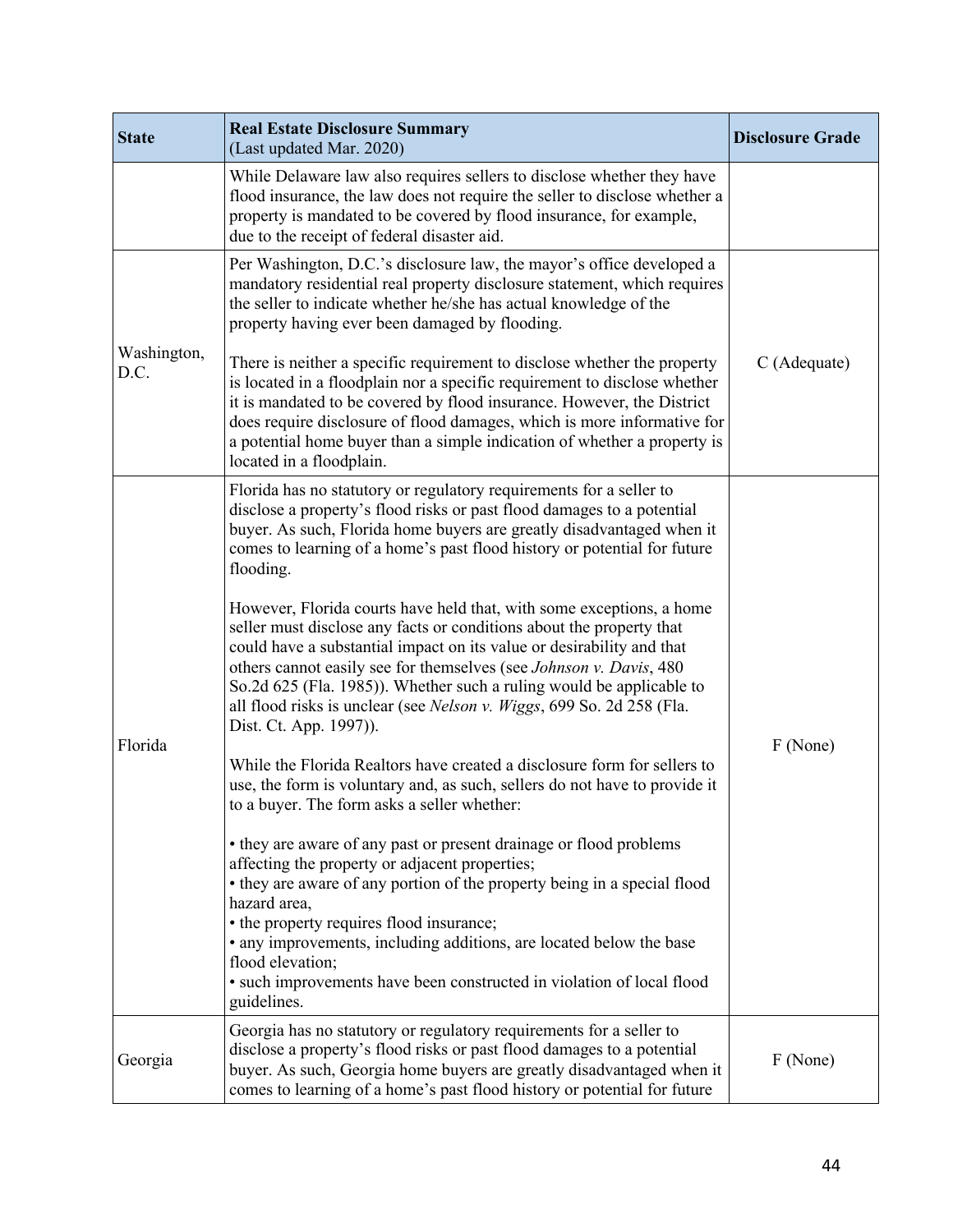| <b>State</b>        | <b>Real Estate Disclosure Summary</b><br>(Last updated Mar. 2020)                                                                                                                                                                                                                                                                                                                                                                                                       | <b>Disclosure Grade</b> |
|---------------------|-------------------------------------------------------------------------------------------------------------------------------------------------------------------------------------------------------------------------------------------------------------------------------------------------------------------------------------------------------------------------------------------------------------------------------------------------------------------------|-------------------------|
|                     | While Delaware law also requires sellers to disclose whether they have<br>flood insurance, the law does not require the seller to disclose whether a<br>property is mandated to be covered by flood insurance, for example,<br>due to the receipt of federal disaster aid.                                                                                                                                                                                              |                         |
|                     | Per Washington, D.C.'s disclosure law, the mayor's office developed a<br>mandatory residential real property disclosure statement, which requires<br>the seller to indicate whether he/she has actual knowledge of the<br>property having ever been damaged by flooding.                                                                                                                                                                                                |                         |
| Washington,<br>D.C. | There is neither a specific requirement to disclose whether the property<br>is located in a floodplain nor a specific requirement to disclose whether<br>it is mandated to be covered by flood insurance. However, the District<br>does require disclosure of flood damages, which is more informative for<br>a potential home buyer than a simple indication of whether a property is<br>located in a floodplain.                                                      | C (Adequate)            |
|                     | Florida has no statutory or regulatory requirements for a seller to<br>disclose a property's flood risks or past flood damages to a potential<br>buyer. As such, Florida home buyers are greatly disadvantaged when it<br>comes to learning of a home's past flood history or potential for future<br>flooding.                                                                                                                                                         |                         |
|                     | However, Florida courts have held that, with some exceptions, a home<br>seller must disclose any facts or conditions about the property that<br>could have a substantial impact on its value or desirability and that<br>others cannot easily see for themselves (see Johnson v. Davis, 480)<br>So.2d 625 (Fla. 1985)). Whether such a ruling would be applicable to<br>all flood risks is unclear (see Nelson v. Wiggs, 699 So. 2d 258 (Fla.<br>Dist. Ct. App. 1997)). | F (None)                |
| Florida             | While the Florida Realtors have created a disclosure form for sellers to<br>use, the form is voluntary and, as such, sellers do not have to provide it<br>to a buyer. The form asks a seller whether:                                                                                                                                                                                                                                                                   |                         |
|                     | • they are aware of any past or present drainage or flood problems<br>affecting the property or adjacent properties;<br>• they are aware of any portion of the property being in a special flood<br>hazard area,<br>• the property requires flood insurance;<br>• any improvements, including additions, are located below the base<br>flood elevation;<br>• such improvements have been constructed in violation of local flood<br>guidelines.                         |                         |
| Georgia             | Georgia has no statutory or regulatory requirements for a seller to<br>disclose a property's flood risks or past flood damages to a potential<br>buyer. As such, Georgia home buyers are greatly disadvantaged when it<br>comes to learning of a home's past flood history or potential for future                                                                                                                                                                      | F (None)                |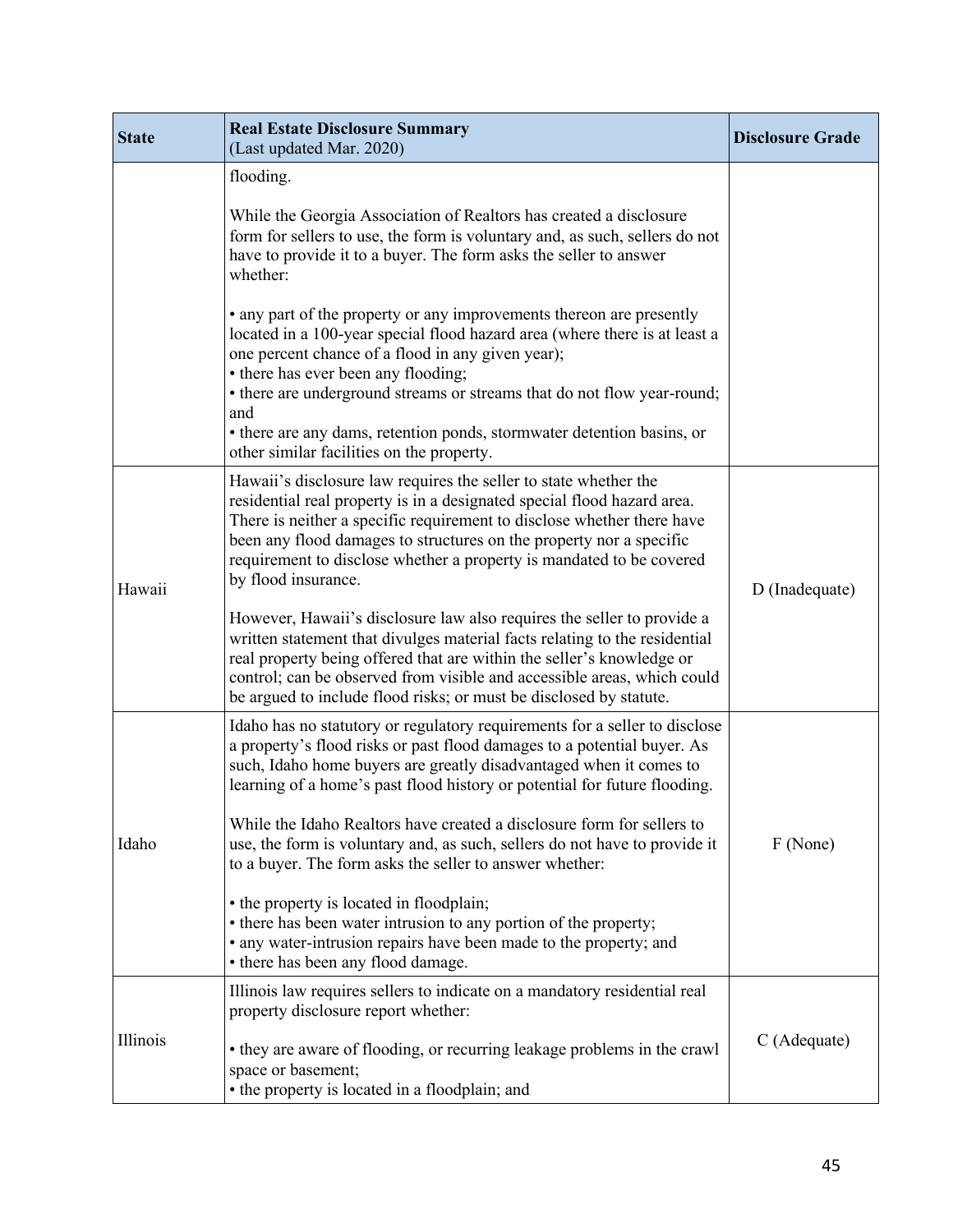| <b>State</b> | <b>Real Estate Disclosure Summary</b><br>(Last updated Mar. 2020)                                                                                                                                                                                                                                                                                                                           | <b>Disclosure Grade</b> |
|--------------|---------------------------------------------------------------------------------------------------------------------------------------------------------------------------------------------------------------------------------------------------------------------------------------------------------------------------------------------------------------------------------------------|-------------------------|
|              | flooding.<br>While the Georgia Association of Realtors has created a disclosure<br>form for sellers to use, the form is voluntary and, as such, sellers do not<br>have to provide it to a buyer. The form asks the seller to answer<br>whether:<br>• any part of the property or any improvements thereon are presently                                                                     |                         |
|              | located in a 100-year special flood hazard area (where there is at least a<br>one percent chance of a flood in any given year);<br>• there has ever been any flooding;<br>• there are underground streams or streams that do not flow year-round;<br>and<br>• there are any dams, retention ponds, stormwater detention basins, or<br>other similar facilities on the property.             |                         |
| Hawaii       | Hawaii's disclosure law requires the seller to state whether the<br>residential real property is in a designated special flood hazard area.<br>There is neither a specific requirement to disclose whether there have<br>been any flood damages to structures on the property nor a specific<br>requirement to disclose whether a property is mandated to be covered<br>by flood insurance. | D (Inadequate)          |
|              | However, Hawaii's disclosure law also requires the seller to provide a<br>written statement that divulges material facts relating to the residential<br>real property being offered that are within the seller's knowledge or<br>control; can be observed from visible and accessible areas, which could<br>be argued to include flood risks; or must be disclosed by statute.              |                         |
|              | Idaho has no statutory or regulatory requirements for a seller to disclose<br>a property's flood risks or past flood damages to a potential buyer. As<br>such, Idaho home buyers are greatly disadvantaged when it comes to<br>learning of a home's past flood history or potential for future flooding.                                                                                    |                         |
| Idaho        | While the Idaho Realtors have created a disclosure form for sellers to<br>use, the form is voluntary and, as such, sellers do not have to provide it<br>to a buyer. The form asks the seller to answer whether:                                                                                                                                                                             | F (None)                |
|              | • the property is located in floodplain;<br>• there has been water intrusion to any portion of the property;<br>• any water-intrusion repairs have been made to the property; and<br>• there has been any flood damage.                                                                                                                                                                     |                         |
| Illinois     | Illinois law requires sellers to indicate on a mandatory residential real<br>property disclosure report whether:                                                                                                                                                                                                                                                                            | C (Adequate)            |
|              | • they are aware of flooding, or recurring leakage problems in the crawl<br>space or basement;<br>• the property is located in a floodplain; and                                                                                                                                                                                                                                            |                         |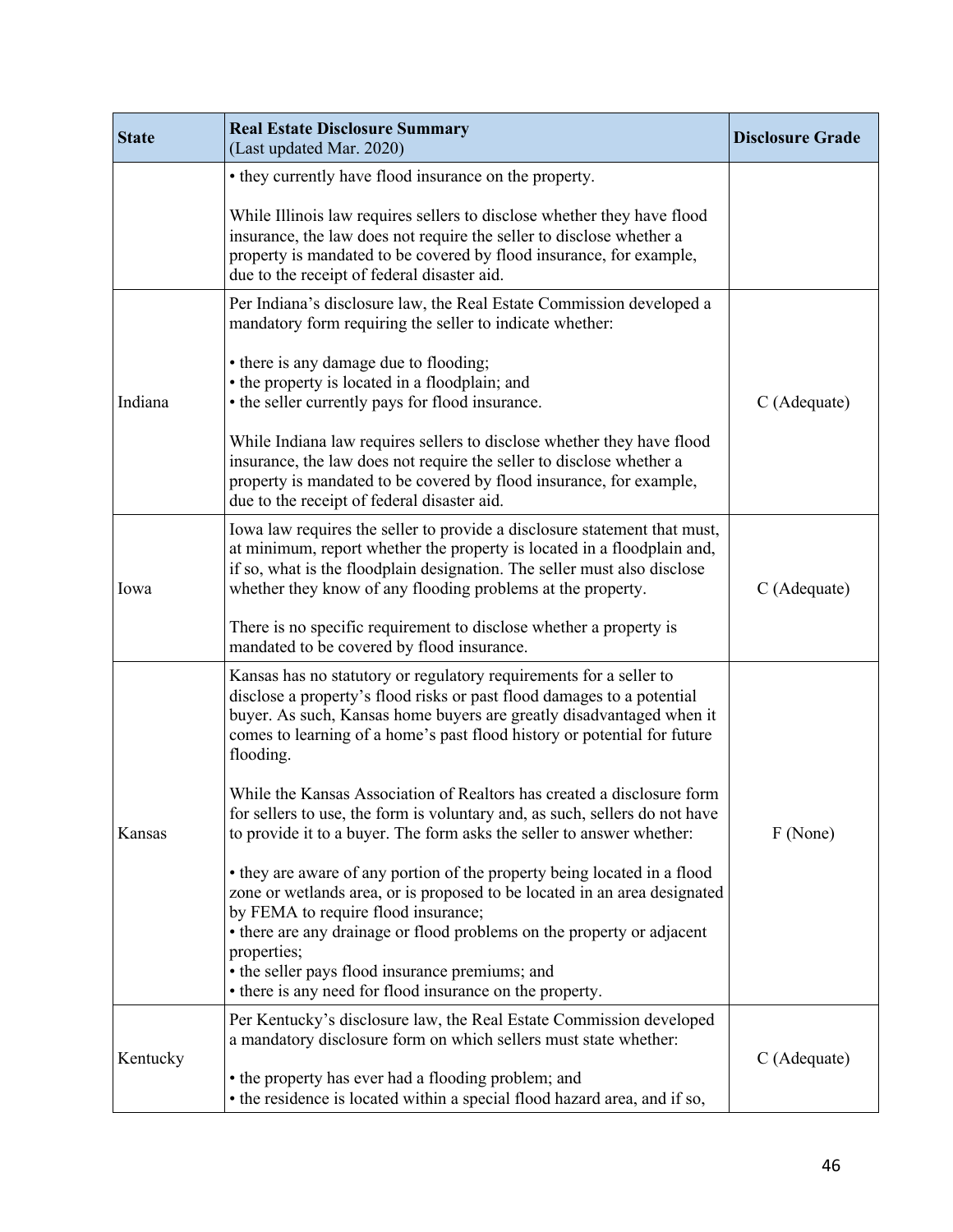| <b>State</b> | <b>Real Estate Disclosure Summary</b><br>(Last updated Mar. 2020)                                                                                                                                                                                                                                                                                                                                    | <b>Disclosure Grade</b> |
|--------------|------------------------------------------------------------------------------------------------------------------------------------------------------------------------------------------------------------------------------------------------------------------------------------------------------------------------------------------------------------------------------------------------------|-------------------------|
|              | • they currently have flood insurance on the property.                                                                                                                                                                                                                                                                                                                                               |                         |
|              | While Illinois law requires sellers to disclose whether they have flood<br>insurance, the law does not require the seller to disclose whether a<br>property is mandated to be covered by flood insurance, for example,<br>due to the receipt of federal disaster aid.                                                                                                                                |                         |
|              | Per Indiana's disclosure law, the Real Estate Commission developed a<br>mandatory form requiring the seller to indicate whether:                                                                                                                                                                                                                                                                     |                         |
| Indiana      | • there is any damage due to flooding;<br>• the property is located in a floodplain; and<br>• the seller currently pays for flood insurance.                                                                                                                                                                                                                                                         | C (Adequate)            |
|              | While Indiana law requires sellers to disclose whether they have flood<br>insurance, the law does not require the seller to disclose whether a<br>property is mandated to be covered by flood insurance, for example,<br>due to the receipt of federal disaster aid.                                                                                                                                 |                         |
| Iowa         | Iowa law requires the seller to provide a disclosure statement that must,<br>at minimum, report whether the property is located in a floodplain and,<br>if so, what is the floodplain designation. The seller must also disclose<br>whether they know of any flooding problems at the property.                                                                                                      | C (Adequate)            |
|              | There is no specific requirement to disclose whether a property is<br>mandated to be covered by flood insurance.                                                                                                                                                                                                                                                                                     |                         |
|              | Kansas has no statutory or regulatory requirements for a seller to<br>disclose a property's flood risks or past flood damages to a potential<br>buyer. As such, Kansas home buyers are greatly disadvantaged when it<br>comes to learning of a home's past flood history or potential for future<br>flooding.                                                                                        |                         |
| Kansas       | While the Kansas Association of Realtors has created a disclosure form<br>for sellers to use, the form is voluntary and, as such, sellers do not have<br>to provide it to a buyer. The form asks the seller to answer whether:                                                                                                                                                                       | F (None)                |
|              | • they are aware of any portion of the property being located in a flood<br>zone or wetlands area, or is proposed to be located in an area designated<br>by FEMA to require flood insurance;<br>• there are any drainage or flood problems on the property or adjacent<br>properties;<br>• the seller pays flood insurance premiums; and<br>• there is any need for flood insurance on the property. |                         |
|              | Per Kentucky's disclosure law, the Real Estate Commission developed<br>a mandatory disclosure form on which sellers must state whether:                                                                                                                                                                                                                                                              |                         |
| Kentucky     | • the property has ever had a flooding problem; and<br>• the residence is located within a special flood hazard area, and if so,                                                                                                                                                                                                                                                                     | C (Adequate)            |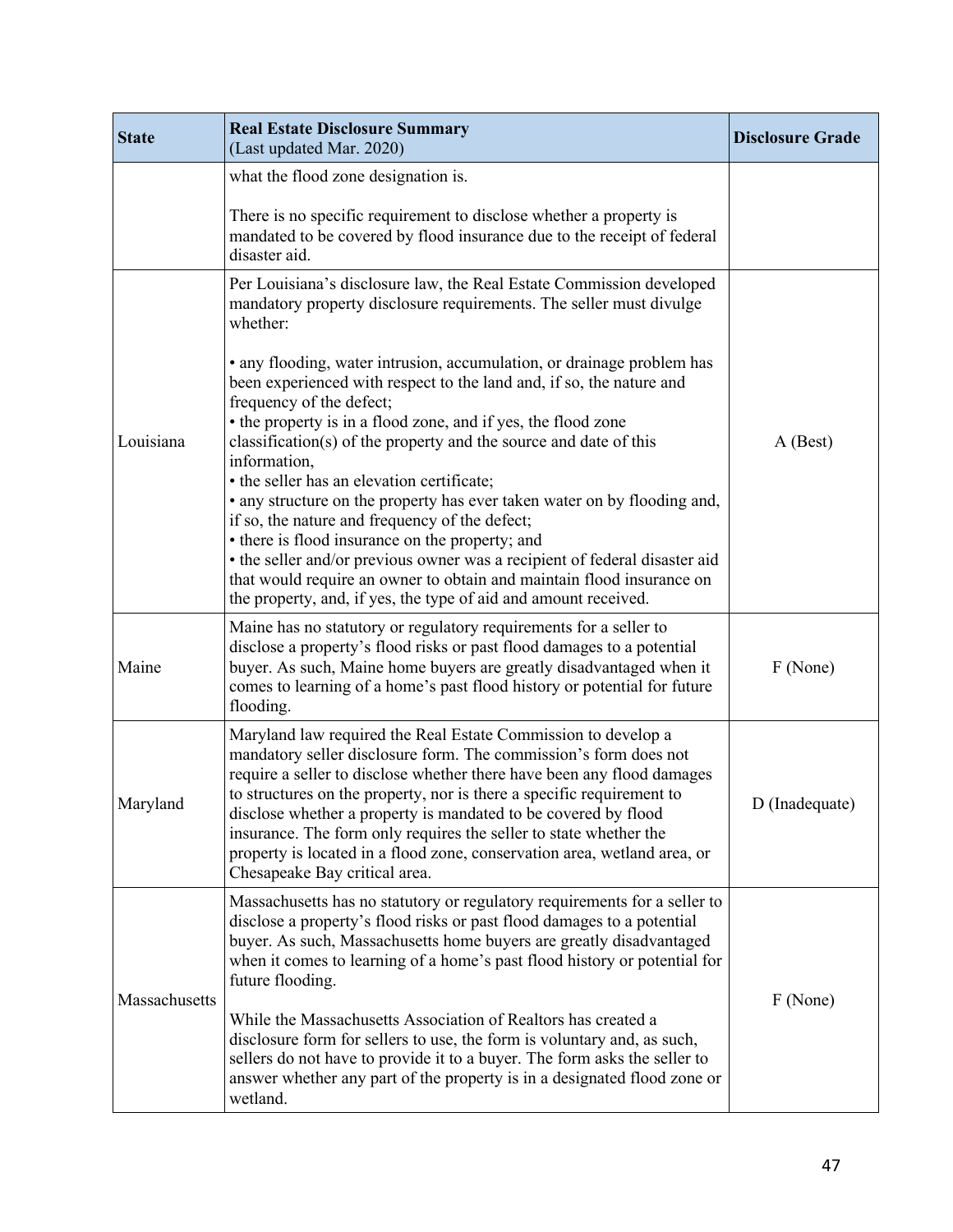| <b>State</b>  | <b>Real Estate Disclosure Summary</b><br>(Last updated Mar. 2020)                                                                                                                                                                                                                                                                                                                                                                                                                                                                                                                                                                                                                                                                                                                                                                                                                                                                                    | <b>Disclosure Grade</b> |
|---------------|------------------------------------------------------------------------------------------------------------------------------------------------------------------------------------------------------------------------------------------------------------------------------------------------------------------------------------------------------------------------------------------------------------------------------------------------------------------------------------------------------------------------------------------------------------------------------------------------------------------------------------------------------------------------------------------------------------------------------------------------------------------------------------------------------------------------------------------------------------------------------------------------------------------------------------------------------|-------------------------|
|               | what the flood zone designation is.<br>There is no specific requirement to disclose whether a property is<br>mandated to be covered by flood insurance due to the receipt of federal<br>disaster aid.                                                                                                                                                                                                                                                                                                                                                                                                                                                                                                                                                                                                                                                                                                                                                |                         |
| Louisiana     | Per Louisiana's disclosure law, the Real Estate Commission developed<br>mandatory property disclosure requirements. The seller must divulge<br>whether:<br>• any flooding, water intrusion, accumulation, or drainage problem has<br>been experienced with respect to the land and, if so, the nature and<br>frequency of the defect;<br>• the property is in a flood zone, and if yes, the flood zone<br>classification(s) of the property and the source and date of this<br>information,<br>• the seller has an elevation certificate;<br>• any structure on the property has ever taken water on by flooding and,<br>if so, the nature and frequency of the defect;<br>• there is flood insurance on the property; and<br>• the seller and/or previous owner was a recipient of federal disaster aid<br>that would require an owner to obtain and maintain flood insurance on<br>the property, and, if yes, the type of aid and amount received. | $A$ (Best)              |
| Maine         | Maine has no statutory or regulatory requirements for a seller to<br>disclose a property's flood risks or past flood damages to a potential<br>buyer. As such, Maine home buyers are greatly disadvantaged when it<br>comes to learning of a home's past flood history or potential for future<br>flooding.                                                                                                                                                                                                                                                                                                                                                                                                                                                                                                                                                                                                                                          | F (None)                |
| Maryland      | Maryland law required the Real Estate Commission to develop a<br>mandatory seller disclosure form. The commission's form does not<br>require a seller to disclose whether there have been any flood damages<br>to structures on the property, nor is there a specific requirement to<br>disclose whether a property is mandated to be covered by flood<br>insurance. The form only requires the seller to state whether the<br>property is located in a flood zone, conservation area, wetland area, or<br>Chesapeake Bay critical area.                                                                                                                                                                                                                                                                                                                                                                                                             | D (Inadequate)          |
| Massachusetts | Massachusetts has no statutory or regulatory requirements for a seller to<br>disclose a property's flood risks or past flood damages to a potential<br>buyer. As such, Massachusetts home buyers are greatly disadvantaged<br>when it comes to learning of a home's past flood history or potential for<br>future flooding.<br>While the Massachusetts Association of Realtors has created a<br>disclosure form for sellers to use, the form is voluntary and, as such,<br>sellers do not have to provide it to a buyer. The form asks the seller to<br>answer whether any part of the property is in a designated flood zone or<br>wetland.                                                                                                                                                                                                                                                                                                         | F (None)                |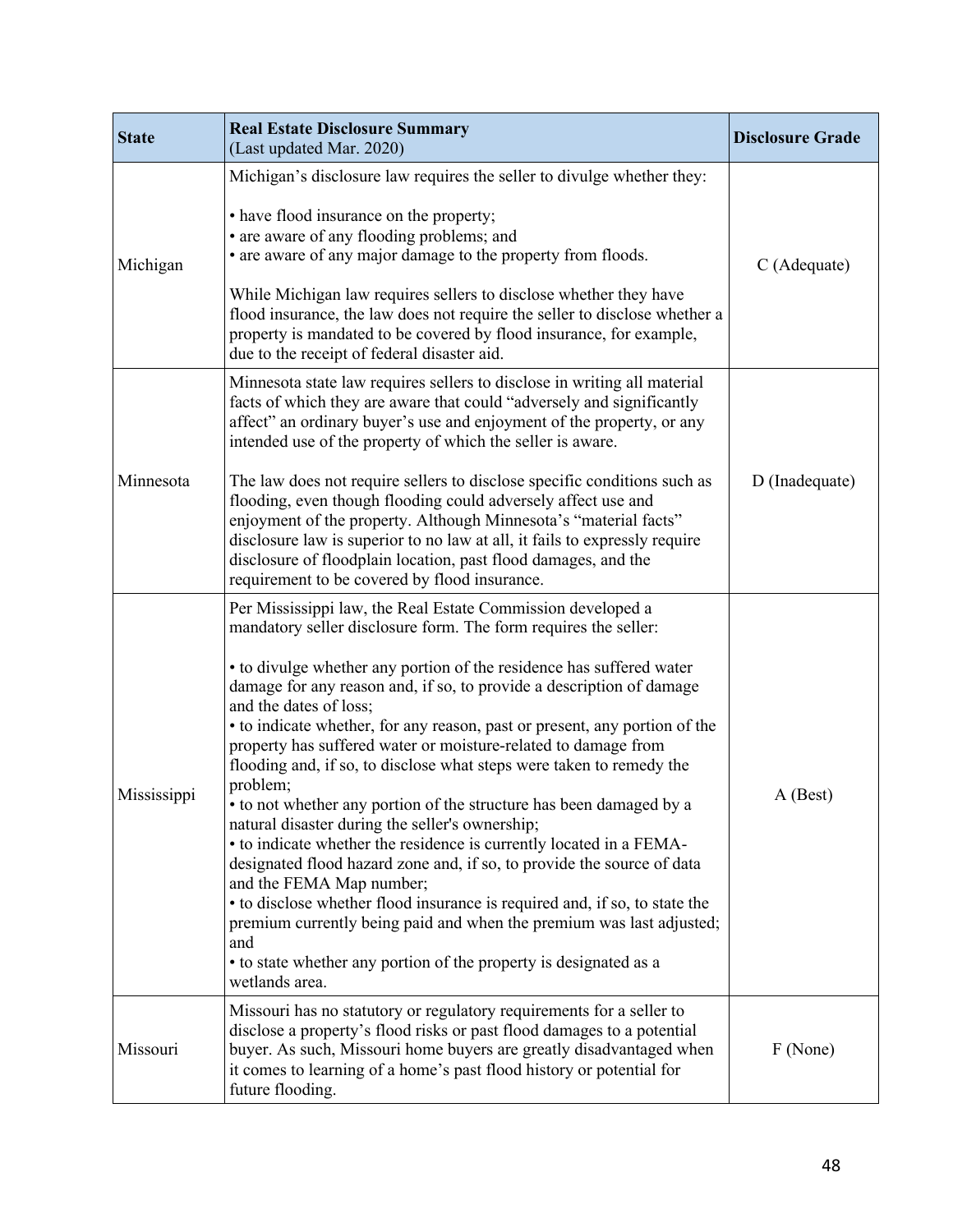| <b>State</b> | <b>Real Estate Disclosure Summary</b><br>(Last updated Mar. 2020)                                                                                                                                                                                                                                                                                                                                                                                                                                                                                                                                                                                                                                                                                                                                                                                                                                                                                                                                                                                                                                       | <b>Disclosure Grade</b> |
|--------------|---------------------------------------------------------------------------------------------------------------------------------------------------------------------------------------------------------------------------------------------------------------------------------------------------------------------------------------------------------------------------------------------------------------------------------------------------------------------------------------------------------------------------------------------------------------------------------------------------------------------------------------------------------------------------------------------------------------------------------------------------------------------------------------------------------------------------------------------------------------------------------------------------------------------------------------------------------------------------------------------------------------------------------------------------------------------------------------------------------|-------------------------|
| Michigan     | Michigan's disclosure law requires the seller to divulge whether they:<br>• have flood insurance on the property;<br>• are aware of any flooding problems; and<br>• are aware of any major damage to the property from floods.<br>While Michigan law requires sellers to disclose whether they have<br>flood insurance, the law does not require the seller to disclose whether a<br>property is mandated to be covered by flood insurance, for example,<br>due to the receipt of federal disaster aid.                                                                                                                                                                                                                                                                                                                                                                                                                                                                                                                                                                                                 | C (Adequate)            |
| Minnesota    | Minnesota state law requires sellers to disclose in writing all material<br>facts of which they are aware that could "adversely and significantly<br>affect" an ordinary buyer's use and enjoyment of the property, or any<br>intended use of the property of which the seller is aware.<br>The law does not require sellers to disclose specific conditions such as<br>flooding, even though flooding could adversely affect use and<br>enjoyment of the property. Although Minnesota's "material facts"<br>disclosure law is superior to no law at all, it fails to expressly require<br>disclosure of floodplain location, past flood damages, and the<br>requirement to be covered by flood insurance.                                                                                                                                                                                                                                                                                                                                                                                              | D (Inadequate)          |
| Mississippi  | Per Mississippi law, the Real Estate Commission developed a<br>mandatory seller disclosure form. The form requires the seller:<br>• to divulge whether any portion of the residence has suffered water<br>damage for any reason and, if so, to provide a description of damage<br>and the dates of loss;<br>• to indicate whether, for any reason, past or present, any portion of the<br>property has suffered water or moisture-related to damage from<br>flooding and, if so, to disclose what steps were taken to remedy the<br>problem;<br>• to not whether any portion of the structure has been damaged by a<br>natural disaster during the seller's ownership;<br>• to indicate whether the residence is currently located in a FEMA-<br>designated flood hazard zone and, if so, to provide the source of data<br>and the FEMA Map number;<br>• to disclose whether flood insurance is required and, if so, to state the<br>premium currently being paid and when the premium was last adjusted;<br>and<br>• to state whether any portion of the property is designated as a<br>wetlands area. | A (Best)                |
| Missouri     | Missouri has no statutory or regulatory requirements for a seller to<br>disclose a property's flood risks or past flood damages to a potential<br>buyer. As such, Missouri home buyers are greatly disadvantaged when<br>it comes to learning of a home's past flood history or potential for<br>future flooding.                                                                                                                                                                                                                                                                                                                                                                                                                                                                                                                                                                                                                                                                                                                                                                                       | F (None)                |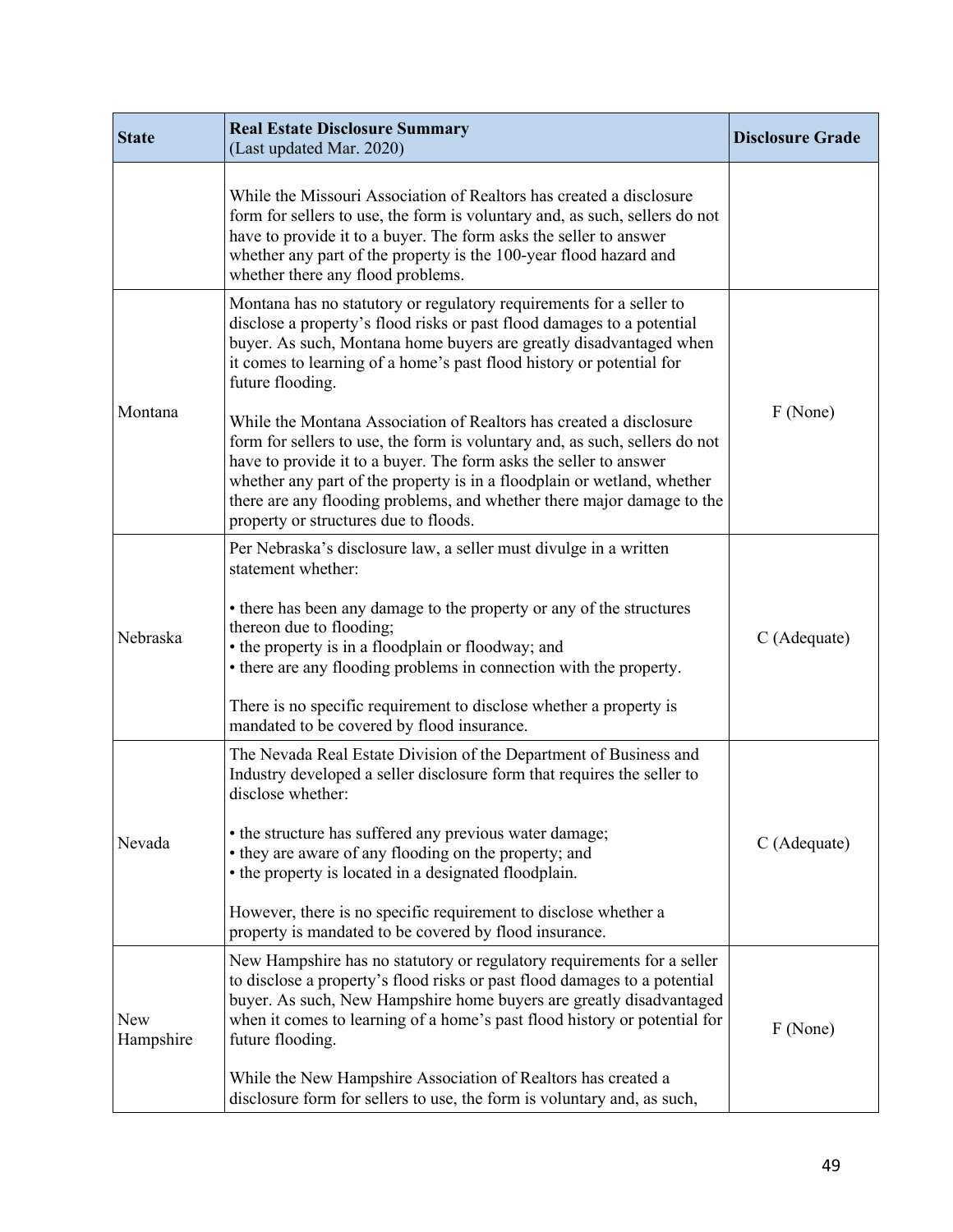| <b>State</b>     | <b>Real Estate Disclosure Summary</b><br>(Last updated Mar. 2020)                                                                                                                                                                                                                                                                                                                                                    | <b>Disclosure Grade</b> |
|------------------|----------------------------------------------------------------------------------------------------------------------------------------------------------------------------------------------------------------------------------------------------------------------------------------------------------------------------------------------------------------------------------------------------------------------|-------------------------|
|                  | While the Missouri Association of Realtors has created a disclosure<br>form for sellers to use, the form is voluntary and, as such, sellers do not<br>have to provide it to a buyer. The form asks the seller to answer<br>whether any part of the property is the 100-year flood hazard and<br>whether there any flood problems.                                                                                    |                         |
| Montana          | Montana has no statutory or regulatory requirements for a seller to<br>disclose a property's flood risks or past flood damages to a potential<br>buyer. As such, Montana home buyers are greatly disadvantaged when<br>it comes to learning of a home's past flood history or potential for<br>future flooding.                                                                                                      |                         |
|                  | While the Montana Association of Realtors has created a disclosure<br>form for sellers to use, the form is voluntary and, as such, sellers do not<br>have to provide it to a buyer. The form asks the seller to answer<br>whether any part of the property is in a floodplain or wetland, whether<br>there are any flooding problems, and whether there major damage to the<br>property or structures due to floods. | F (None)                |
| Nebraska         | Per Nebraska's disclosure law, a seller must divulge in a written<br>statement whether:                                                                                                                                                                                                                                                                                                                              |                         |
|                  | • there has been any damage to the property or any of the structures<br>thereon due to flooding;<br>• the property is in a floodplain or floodway; and<br>• there are any flooding problems in connection with the property.                                                                                                                                                                                         | C (Adequate)            |
|                  | There is no specific requirement to disclose whether a property is<br>mandated to be covered by flood insurance.                                                                                                                                                                                                                                                                                                     |                         |
| Nevada           | The Nevada Real Estate Division of the Department of Business and<br>Industry developed a seller disclosure form that requires the seller to<br>disclose whether:                                                                                                                                                                                                                                                    |                         |
|                  | • the structure has suffered any previous water damage;<br>• they are aware of any flooding on the property; and<br>• the property is located in a designated floodplain.                                                                                                                                                                                                                                            | C (Adequate)            |
|                  | However, there is no specific requirement to disclose whether a<br>property is mandated to be covered by flood insurance.                                                                                                                                                                                                                                                                                            |                         |
| New<br>Hampshire | New Hampshire has no statutory or regulatory requirements for a seller<br>to disclose a property's flood risks or past flood damages to a potential<br>buyer. As such, New Hampshire home buyers are greatly disadvantaged<br>when it comes to learning of a home's past flood history or potential for<br>future flooding.                                                                                          | F (None)                |
|                  | While the New Hampshire Association of Realtors has created a<br>disclosure form for sellers to use, the form is voluntary and, as such,                                                                                                                                                                                                                                                                             |                         |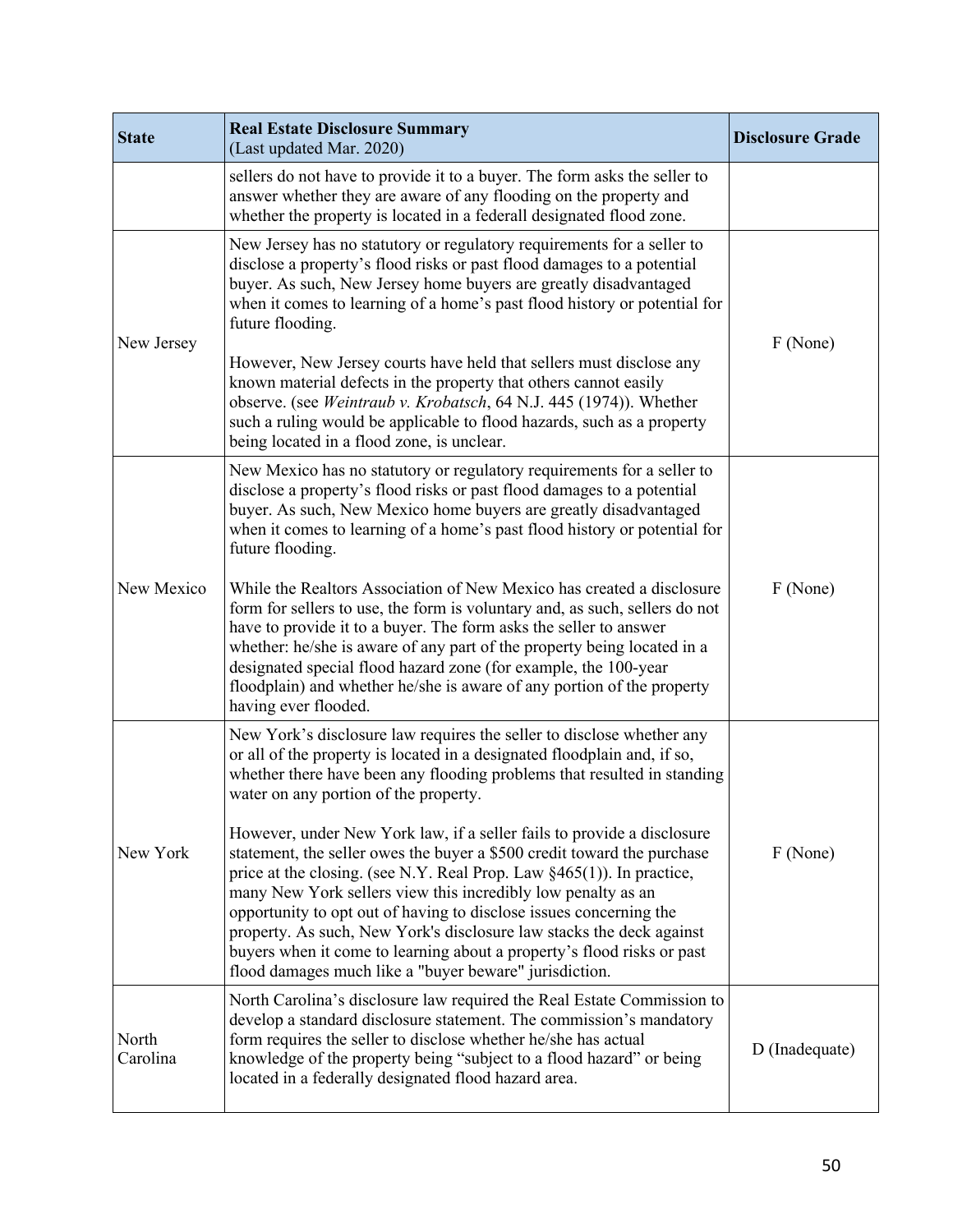| <b>State</b>      | <b>Real Estate Disclosure Summary</b><br>(Last updated Mar. 2020)                                                                                                                                                                                                                                                                                                                                                                                                                                                                                                                                                                                                                                                                                                                                                                                     | <b>Disclosure Grade</b> |
|-------------------|-------------------------------------------------------------------------------------------------------------------------------------------------------------------------------------------------------------------------------------------------------------------------------------------------------------------------------------------------------------------------------------------------------------------------------------------------------------------------------------------------------------------------------------------------------------------------------------------------------------------------------------------------------------------------------------------------------------------------------------------------------------------------------------------------------------------------------------------------------|-------------------------|
|                   | sellers do not have to provide it to a buyer. The form asks the seller to<br>answer whether they are aware of any flooding on the property and<br>whether the property is located in a federall designated flood zone.                                                                                                                                                                                                                                                                                                                                                                                                                                                                                                                                                                                                                                |                         |
| New Jersey        | New Jersey has no statutory or regulatory requirements for a seller to<br>disclose a property's flood risks or past flood damages to a potential<br>buyer. As such, New Jersey home buyers are greatly disadvantaged<br>when it comes to learning of a home's past flood history or potential for<br>future flooding.<br>However, New Jersey courts have held that sellers must disclose any<br>known material defects in the property that others cannot easily<br>observe. (see Weintraub v. Krobatsch, 64 N.J. 445 (1974)). Whether<br>such a ruling would be applicable to flood hazards, such as a property<br>being located in a flood zone, is unclear.                                                                                                                                                                                        | F (None)                |
| New Mexico        | New Mexico has no statutory or regulatory requirements for a seller to<br>disclose a property's flood risks or past flood damages to a potential<br>buyer. As such, New Mexico home buyers are greatly disadvantaged<br>when it comes to learning of a home's past flood history or potential for<br>future flooding.<br>While the Realtors Association of New Mexico has created a disclosure<br>form for sellers to use, the form is voluntary and, as such, sellers do not<br>have to provide it to a buyer. The form asks the seller to answer<br>whether: he/she is aware of any part of the property being located in a<br>designated special flood hazard zone (for example, the 100-year<br>floodplain) and whether he/she is aware of any portion of the property<br>having ever flooded.                                                    | F (None)                |
| New York          | New York's disclosure law requires the seller to disclose whether any<br>or all of the property is located in a designated floodplain and, if so,<br>whether there have been any flooding problems that resulted in standing<br>water on any portion of the property.<br>However, under New York law, if a seller fails to provide a disclosure<br>statement, the seller owes the buyer a \$500 credit toward the purchase<br>price at the closing. (see N.Y. Real Prop. Law §465(1)). In practice,<br>many New York sellers view this incredibly low penalty as an<br>opportunity to opt out of having to disclose issues concerning the<br>property. As such, New York's disclosure law stacks the deck against<br>buyers when it come to learning about a property's flood risks or past<br>flood damages much like a "buyer beware" jurisdiction. | F (None)                |
| North<br>Carolina | North Carolina's disclosure law required the Real Estate Commission to<br>develop a standard disclosure statement. The commission's mandatory<br>form requires the seller to disclose whether he/she has actual<br>knowledge of the property being "subject to a flood hazard" or being<br>located in a federally designated flood hazard area.                                                                                                                                                                                                                                                                                                                                                                                                                                                                                                       | D (Inadequate)          |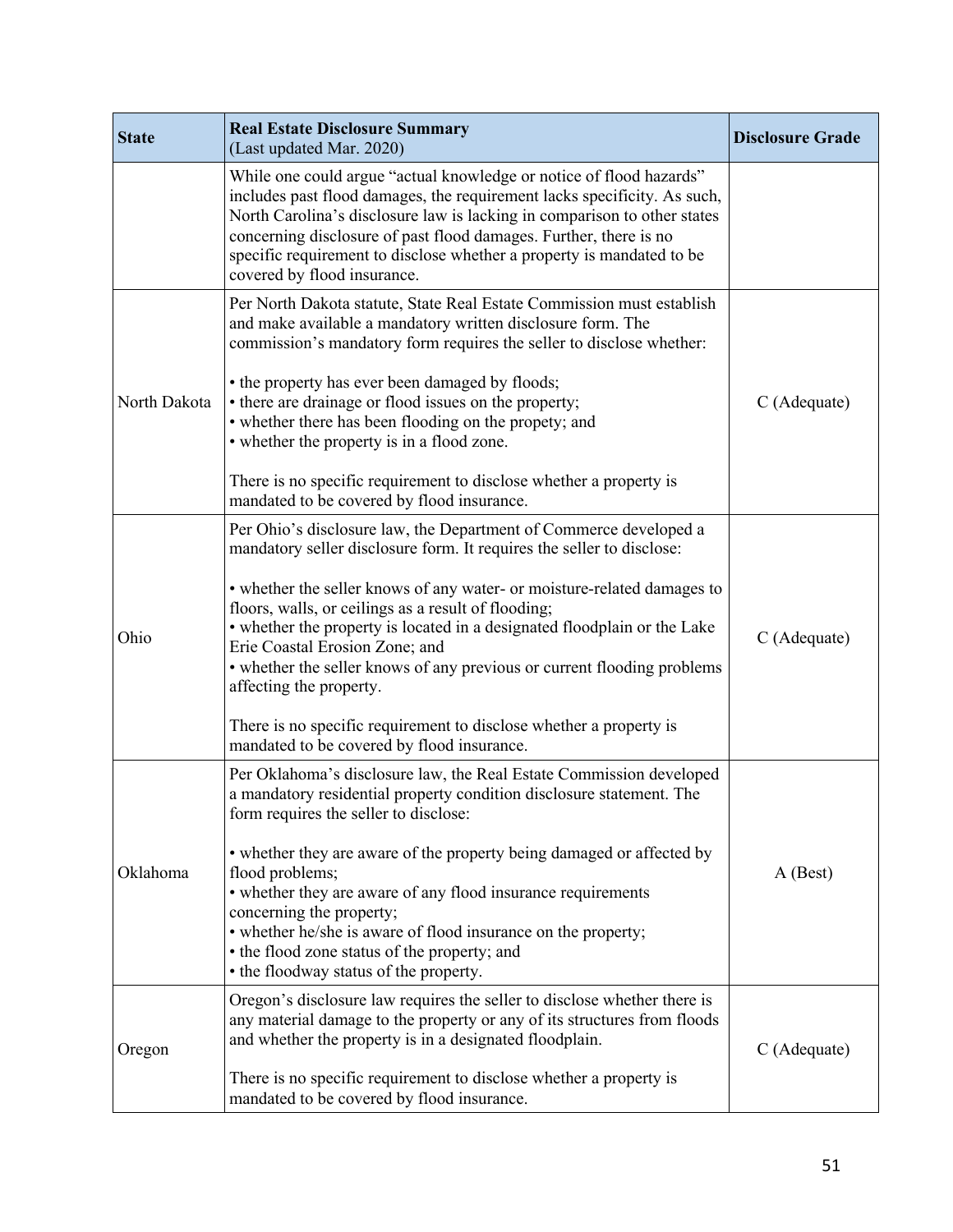| <b>State</b> | <b>Real Estate Disclosure Summary</b><br>(Last updated Mar. 2020)                                                                                                                                                                                                                                                                                                                                                                                                                                     | <b>Disclosure Grade</b> |
|--------------|-------------------------------------------------------------------------------------------------------------------------------------------------------------------------------------------------------------------------------------------------------------------------------------------------------------------------------------------------------------------------------------------------------------------------------------------------------------------------------------------------------|-------------------------|
|              | While one could argue "actual knowledge or notice of flood hazards"<br>includes past flood damages, the requirement lacks specificity. As such,<br>North Carolina's disclosure law is lacking in comparison to other states<br>concerning disclosure of past flood damages. Further, there is no<br>specific requirement to disclose whether a property is mandated to be<br>covered by flood insurance.                                                                                              |                         |
| North Dakota | Per North Dakota statute, State Real Estate Commission must establish<br>and make available a mandatory written disclosure form. The<br>commission's mandatory form requires the seller to disclose whether:<br>• the property has ever been damaged by floods;<br>• there are drainage or flood issues on the property;<br>• whether there has been flooding on the propety; and<br>• whether the property is in a flood zone.<br>There is no specific requirement to disclose whether a property is | C (Adequate)            |
|              | mandated to be covered by flood insurance.<br>Per Ohio's disclosure law, the Department of Commerce developed a<br>mandatory seller disclosure form. It requires the seller to disclose:                                                                                                                                                                                                                                                                                                              |                         |
| Ohio         | • whether the seller knows of any water- or moisture-related damages to<br>floors, walls, or ceilings as a result of flooding;<br>• whether the property is located in a designated floodplain or the Lake<br>Erie Coastal Erosion Zone; and<br>• whether the seller knows of any previous or current flooding problems<br>affecting the property.                                                                                                                                                    | C (Adequate)            |
|              | There is no specific requirement to disclose whether a property is<br>mandated to be covered by flood insurance.                                                                                                                                                                                                                                                                                                                                                                                      |                         |
| Oklahoma     | Per Oklahoma's disclosure law, the Real Estate Commission developed<br>a mandatory residential property condition disclosure statement. The<br>form requires the seller to disclose:<br>• whether they are aware of the property being damaged or affected by                                                                                                                                                                                                                                         |                         |
|              | flood problems;<br>• whether they are aware of any flood insurance requirements<br>concerning the property;<br>• whether he/she is aware of flood insurance on the property;<br>• the flood zone status of the property; and<br>• the floodway status of the property.                                                                                                                                                                                                                                | $A$ (Best)              |
| Oregon       | Oregon's disclosure law requires the seller to disclose whether there is<br>any material damage to the property or any of its structures from floods<br>and whether the property is in a designated floodplain.                                                                                                                                                                                                                                                                                       | C (Adequate)            |
|              | There is no specific requirement to disclose whether a property is<br>mandated to be covered by flood insurance.                                                                                                                                                                                                                                                                                                                                                                                      |                         |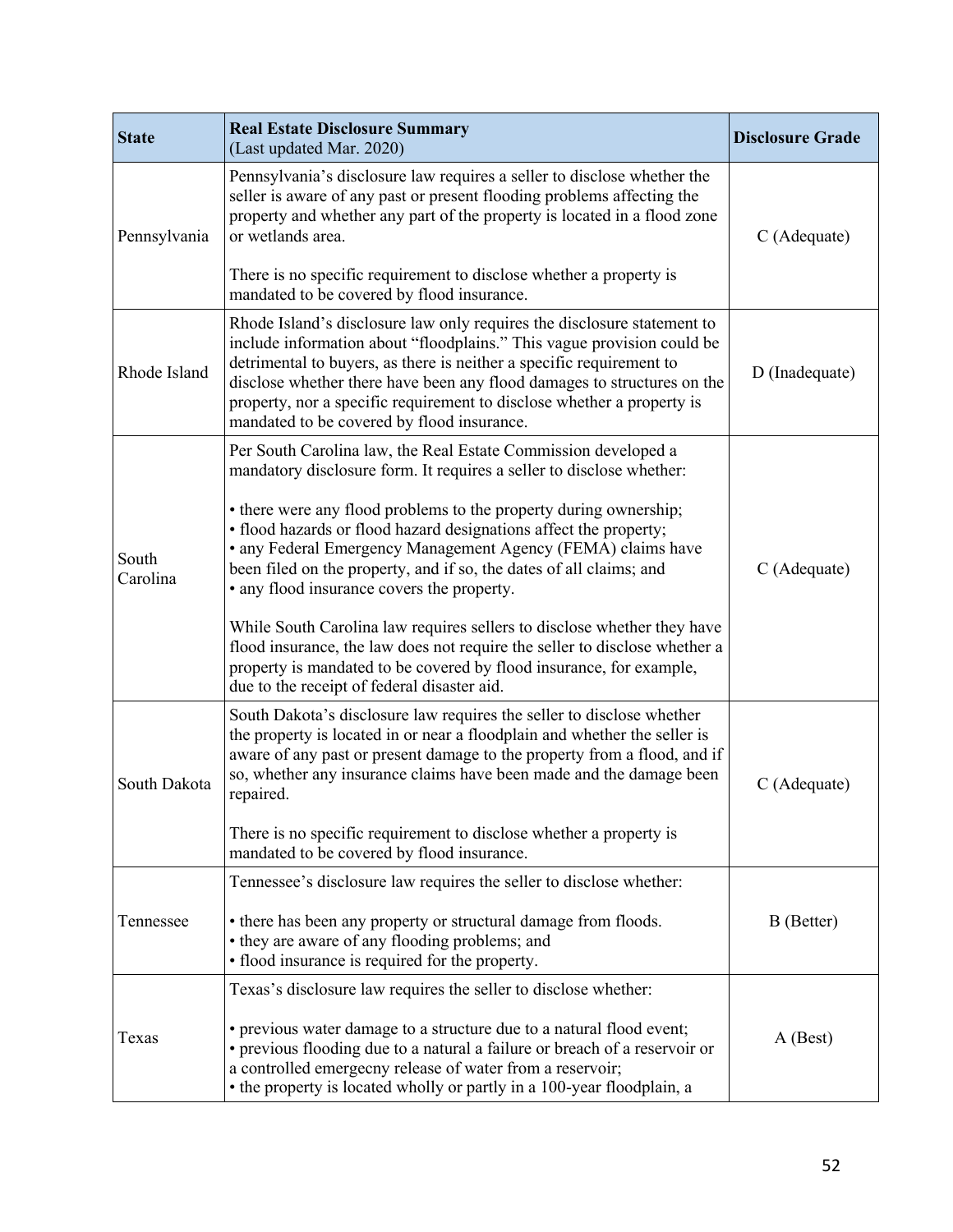| <b>State</b>      | <b>Real Estate Disclosure Summary</b><br>(Last updated Mar. 2020)                                                                                                                                                                                                                                                                                                                                                            | <b>Disclosure Grade</b> |
|-------------------|------------------------------------------------------------------------------------------------------------------------------------------------------------------------------------------------------------------------------------------------------------------------------------------------------------------------------------------------------------------------------------------------------------------------------|-------------------------|
| Pennsylvania      | Pennsylvania's disclosure law requires a seller to disclose whether the<br>seller is aware of any past or present flooding problems affecting the<br>property and whether any part of the property is located in a flood zone<br>or wetlands area.                                                                                                                                                                           | C (Adequate)            |
|                   | There is no specific requirement to disclose whether a property is<br>mandated to be covered by flood insurance.                                                                                                                                                                                                                                                                                                             |                         |
| Rhode Island      | Rhode Island's disclosure law only requires the disclosure statement to<br>include information about "floodplains." This vague provision could be<br>detrimental to buyers, as there is neither a specific requirement to<br>disclose whether there have been any flood damages to structures on the<br>property, nor a specific requirement to disclose whether a property is<br>mandated to be covered by flood insurance. | D (Inadequate)          |
| South<br>Carolina | Per South Carolina law, the Real Estate Commission developed a<br>mandatory disclosure form. It requires a seller to disclose whether:                                                                                                                                                                                                                                                                                       |                         |
|                   | • there were any flood problems to the property during ownership;<br>· flood hazards or flood hazard designations affect the property;<br>• any Federal Emergency Management Agency (FEMA) claims have<br>been filed on the property, and if so, the dates of all claims; and<br>• any flood insurance covers the property.                                                                                                  | C (Adequate)            |
|                   | While South Carolina law requires sellers to disclose whether they have<br>flood insurance, the law does not require the seller to disclose whether a<br>property is mandated to be covered by flood insurance, for example,<br>due to the receipt of federal disaster aid.                                                                                                                                                  |                         |
| South Dakota      | South Dakota's disclosure law requires the seller to disclose whether<br>the property is located in or near a floodplain and whether the seller is<br>aware of any past or present damage to the property from a flood, and if<br>so, whether any insurance claims have been made and the damage been<br>repaired.<br>There is no specific requirement to disclose whether a property is                                     | C (Adequate)            |
|                   | mandated to be covered by flood insurance.                                                                                                                                                                                                                                                                                                                                                                                   |                         |
| Tennessee         | Tennessee's disclosure law requires the seller to disclose whether:<br>• there has been any property or structural damage from floods.<br>• they are aware of any flooding problems; and<br>• flood insurance is required for the property.                                                                                                                                                                                  | B (Better)              |
| Texas             | Texas's disclosure law requires the seller to disclose whether:<br>• previous water damage to a structure due to a natural flood event;<br>• previous flooding due to a natural a failure or breach of a reservoir or<br>a controlled emergecny release of water from a reservoir;<br>• the property is located wholly or partly in a 100-year floodplain, a                                                                 | A (Best)                |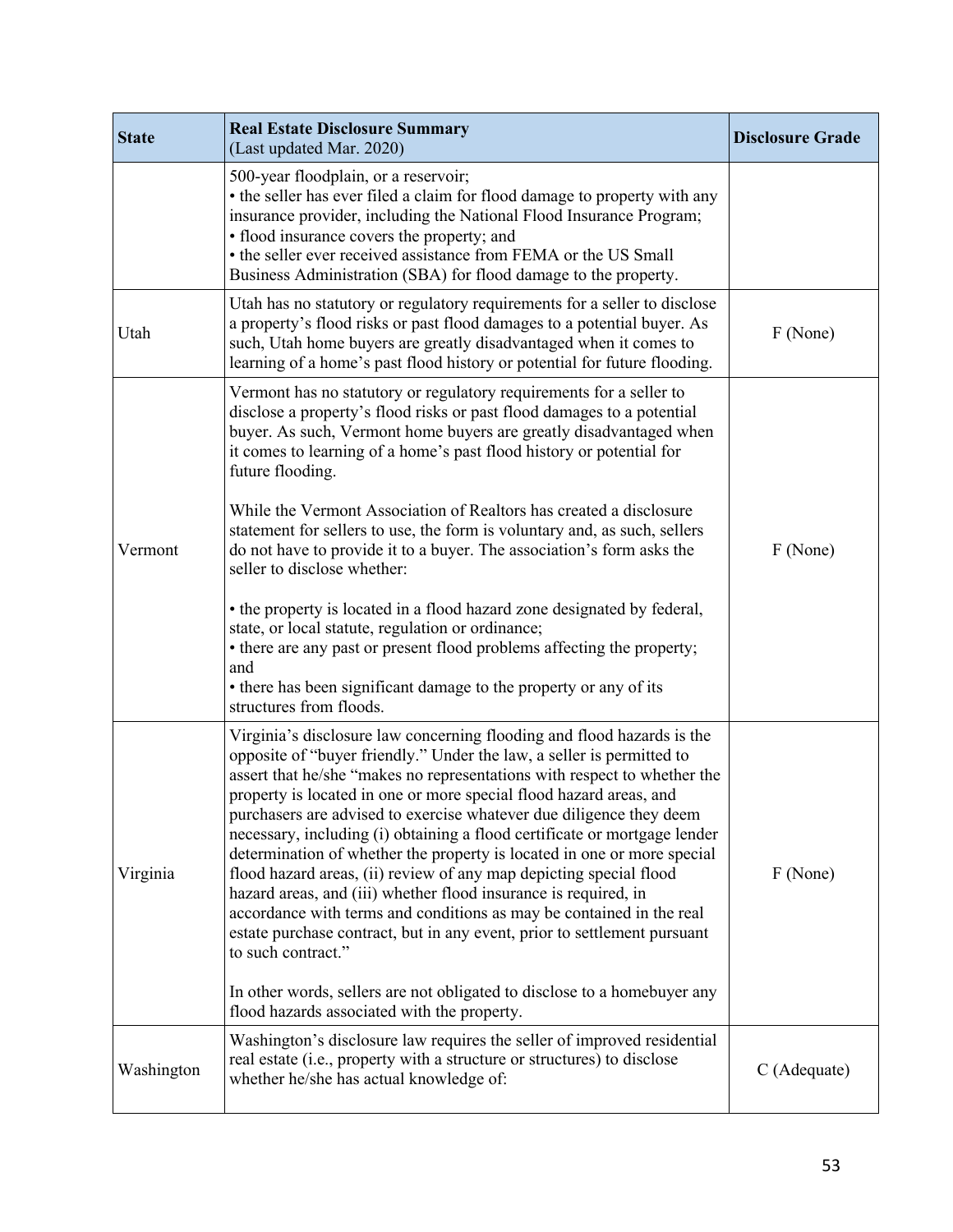| <b>State</b> | <b>Real Estate Disclosure Summary</b><br>(Last updated Mar. 2020)                                                                                                                                                                                                                                                                                                                                                                                                                                                                                                                                                                                                                                                                                                                                                                                                                                                               | <b>Disclosure Grade</b> |
|--------------|---------------------------------------------------------------------------------------------------------------------------------------------------------------------------------------------------------------------------------------------------------------------------------------------------------------------------------------------------------------------------------------------------------------------------------------------------------------------------------------------------------------------------------------------------------------------------------------------------------------------------------------------------------------------------------------------------------------------------------------------------------------------------------------------------------------------------------------------------------------------------------------------------------------------------------|-------------------------|
|              | 500-year floodplain, or a reservoir;<br>• the seller has ever filed a claim for flood damage to property with any<br>insurance provider, including the National Flood Insurance Program;<br>• flood insurance covers the property; and<br>• the seller ever received assistance from FEMA or the US Small<br>Business Administration (SBA) for flood damage to the property.                                                                                                                                                                                                                                                                                                                                                                                                                                                                                                                                                    |                         |
| Utah         | Utah has no statutory or regulatory requirements for a seller to disclose<br>a property's flood risks or past flood damages to a potential buyer. As<br>such, Utah home buyers are greatly disadvantaged when it comes to<br>learning of a home's past flood history or potential for future flooding.                                                                                                                                                                                                                                                                                                                                                                                                                                                                                                                                                                                                                          | F (None)                |
| Vermont      | Vermont has no statutory or regulatory requirements for a seller to<br>disclose a property's flood risks or past flood damages to a potential<br>buyer. As such, Vermont home buyers are greatly disadvantaged when<br>it comes to learning of a home's past flood history or potential for<br>future flooding.                                                                                                                                                                                                                                                                                                                                                                                                                                                                                                                                                                                                                 |                         |
|              | While the Vermont Association of Realtors has created a disclosure<br>statement for sellers to use, the form is voluntary and, as such, sellers<br>do not have to provide it to a buyer. The association's form asks the<br>seller to disclose whether:                                                                                                                                                                                                                                                                                                                                                                                                                                                                                                                                                                                                                                                                         | F (None)                |
|              | • the property is located in a flood hazard zone designated by federal,<br>state, or local statute, regulation or ordinance;<br>• there are any past or present flood problems affecting the property;<br>and<br>• there has been significant damage to the property or any of its<br>structures from floods.                                                                                                                                                                                                                                                                                                                                                                                                                                                                                                                                                                                                                   |                         |
| Virginia     | Virginia's disclosure law concerning flooding and flood hazards is the<br>opposite of "buyer friendly." Under the law, a seller is permitted to<br>assert that he/she "makes no representations with respect to whether the<br>property is located in one or more special flood hazard areas, and<br>purchasers are advised to exercise whatever due diligence they deem<br>necessary, including (i) obtaining a flood certificate or mortgage lender<br>determination of whether the property is located in one or more special<br>flood hazard areas, (ii) review of any map depicting special flood<br>hazard areas, and (iii) whether flood insurance is required, in<br>accordance with terms and conditions as may be contained in the real<br>estate purchase contract, but in any event, prior to settlement pursuant<br>to such contract."<br>In other words, sellers are not obligated to disclose to a homebuyer any | F (None)                |
|              | flood hazards associated with the property.                                                                                                                                                                                                                                                                                                                                                                                                                                                                                                                                                                                                                                                                                                                                                                                                                                                                                     |                         |
| Washington   | Washington's disclosure law requires the seller of improved residential<br>real estate (i.e., property with a structure or structures) to disclose<br>whether he/she has actual knowledge of:                                                                                                                                                                                                                                                                                                                                                                                                                                                                                                                                                                                                                                                                                                                                   | C (Adequate)            |